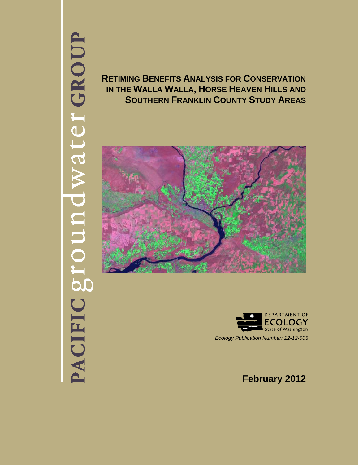# PACIFIC groundwater GROUP

**RETIMING BENEFITS ANALYSIS FOR CONSERVATION IN THE WALLA WALLA, HORSE HEAVEN HILLS AND SOUTHERN FRANKLIN COUNTY STUDY AREAS** 





*Ecology Publication Number: 12-12-005* 

**February 2012**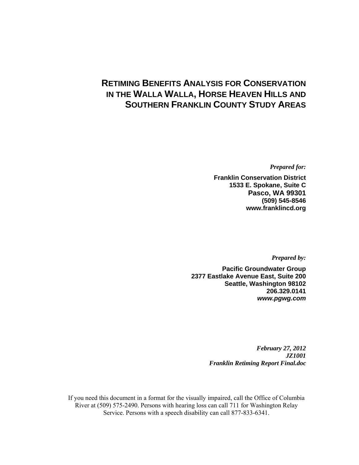# **RETIMING BENEFITS ANALYSIS FOR CONSERVATION IN THE WALLA WALLA, HORSE HEAVEN HILLS AND SOUTHERN FRANKLIN COUNTY STUDY AREAS**

*Prepared for:* 

**Franklin Conservation District 1533 E. Spokane, Suite C Pasco, WA 99301 (509) 545-8546 www.franklincd.org** 

*Prepared by:* 

**Pacific Groundwater Group 2377 Eastlake Avenue East, Suite 200 Seattle, Washington 98102 206.329.0141**  *www.pgwg.com*

> *February 27, 2012 JZ1001 Franklin Retiming Report Final.doc*

If you need this document in a format for the visually impaired, call the Office of Columbia River at (509) 575-2490. Persons with hearing loss can call 711 for Washington Relay Service. Persons with a speech disability can call 877-833-6341.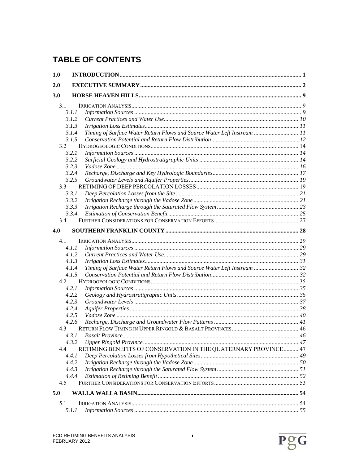# **TABLE OF CONTENTS**

| 1.0 |                                                                                  |  |
|-----|----------------------------------------------------------------------------------|--|
| 2.0 |                                                                                  |  |
| 3.0 |                                                                                  |  |
| 3.1 |                                                                                  |  |
|     | 3.1.1                                                                            |  |
|     | 3.1.2                                                                            |  |
|     | 3.1.3                                                                            |  |
|     | Timing of Surface Water Return Flows and Source Water Left Instream  11<br>3.1.4 |  |
|     | 3.1.5                                                                            |  |
| 3.2 |                                                                                  |  |
|     | 3.2.1                                                                            |  |
|     | 3.2.2                                                                            |  |
|     | 3.2.3                                                                            |  |
|     | 3.2.4                                                                            |  |
|     | 3.2.5                                                                            |  |
| 3.3 |                                                                                  |  |
|     | 3.3.1                                                                            |  |
|     | 3.3.2                                                                            |  |
|     | 3.3.3                                                                            |  |
|     | 3.3.4                                                                            |  |
| 3.4 |                                                                                  |  |
| 4.0 |                                                                                  |  |
| 4.1 |                                                                                  |  |
|     | 4.1.1                                                                            |  |
|     | 4.1.2                                                                            |  |
|     | 4.1.3                                                                            |  |
|     | Timing of Surface Water Return Flows and Source Water Left Instream  32<br>4.1.4 |  |
|     | 4.1.5                                                                            |  |
| 4.2 |                                                                                  |  |
|     | 4.2.1                                                                            |  |
|     | 4.2.2                                                                            |  |
|     | 4.2.3                                                                            |  |
|     | 4.2.4                                                                            |  |
|     | 4.2.5                                                                            |  |
|     | 4.2.6                                                                            |  |
| 4.3 |                                                                                  |  |
|     | 4.3.1                                                                            |  |
|     | 4.3.2                                                                            |  |
| 4.4 | RETIMING BENEFITS OF CONSERVATION IN THE QUATERNARY PROVINCE 47                  |  |
|     | 4.4.1                                                                            |  |
|     | 4.4.2                                                                            |  |
|     | 4.4.3                                                                            |  |
|     | 4.4.4                                                                            |  |
| 4.5 |                                                                                  |  |
|     |                                                                                  |  |
| 5.0 |                                                                                  |  |
| 5.1 |                                                                                  |  |
|     | 5.1.1                                                                            |  |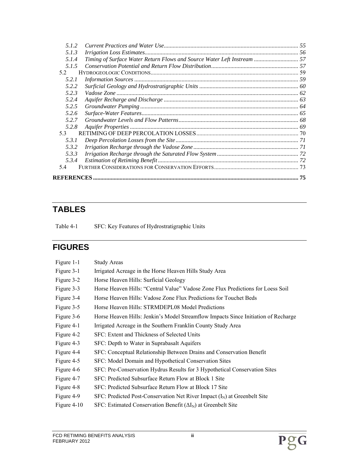| 5.1.2 |                                                                         |    |
|-------|-------------------------------------------------------------------------|----|
| 5.1.3 |                                                                         |    |
| 5.1.4 | Timing of Surface Water Return Flows and Source Water Left Instream  57 |    |
| 5.1.5 |                                                                         |    |
| 52    |                                                                         |    |
| 5.2.1 |                                                                         |    |
| 5.2.2 |                                                                         |    |
| 5.2.3 |                                                                         |    |
| 5.2.4 |                                                                         |    |
| 5.2.5 |                                                                         |    |
| 5.2.6 |                                                                         |    |
| 5.2.7 |                                                                         |    |
| 5.2.8 |                                                                         |    |
| 53    |                                                                         |    |
| 5.3.1 |                                                                         |    |
| 5.3.2 |                                                                         |    |
| 5.3.3 |                                                                         |    |
| 5.3.4 |                                                                         |    |
| 54    |                                                                         |    |
|       |                                                                         | 75 |
|       |                                                                         |    |

# **TABLES**

Table 4-1 SFC: Key Features of Hydrostratigraphic Units

# **FIGURES**

| Figure 1-1    | <b>Study Areas</b>                                                                 |
|---------------|------------------------------------------------------------------------------------|
| Figure 3-1    | Irrigated Acreage in the Horse Heaven Hills Study Area                             |
| Figure 3-2    | Horse Heaven Hills: Surficial Geology                                              |
| Figure 3-3    | Horse Heaven Hills: "Central Value" Vadose Zone Flux Predictions for Loess Soil    |
| Figure 3-4    | Horse Heaven Hills: Vadose Zone Flux Predictions for Touchet Beds                  |
| Figure 3-5    | Horse Heaven Hills: STRMDEPL08 Model Predictions                                   |
| Figure 3-6    | Horse Heaven Hills: Jenkin's Model Streamflow Impacts Since Initiation of Recharge |
| Figure 4-1    | Irrigated Acreage in the Southern Franklin County Study Area                       |
| Figure 4-2    | SFC: Extent and Thickness of Selected Units                                        |
| Figure 4-3    | SFC: Depth to Water in Suprabasalt Aquifers                                        |
| Figure 4-4    | SFC: Conceptual Relationship Between Drains and Conservation Benefit               |
| Figure 4-5    | SFC: Model Domain and Hypothetical Conservation Sites                              |
| Figure 4-6    | SFC: Pre-Conservation Hydrus Results for 3 Hypothetical Conservation Sites         |
| Figure 4-7    | SFC: Predicted Subsurface Return Flow at Block 1 Site                              |
| Figure 4-8    | SFC: Predicted Subsurface Return Flow at Block 17 Site                             |
| Figure 4-9    | SFC: Predicted Post-Conservation Net River Impact $(I_N)$ at Greenbelt Site        |
| Figure $4-10$ | SFC: Estimated Conservation Benefit $(\Delta I_N)$ at Greenbelt Site               |

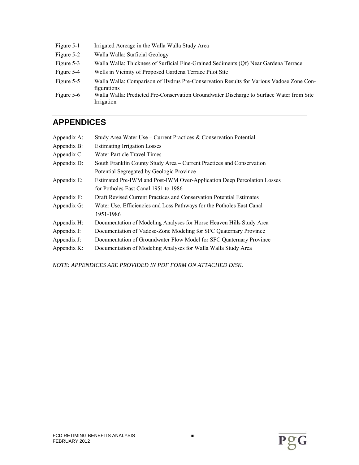- Figure 5-1 Irrigated Acreage in the Walla Walla Study Area
- Figure 5-2 Walla Walla: Surficial Geology
- Figure 5-3 Walla Walla: Thickness of Surficial Fine-Grained Sediments (Qf) Near Gardena Terrace
- Figure 5-4 Wells in Vicinity of Proposed Gardena Terrace Pilot Site
- Figure 5-5 Walla Walla: Comparison of Hydrus Pre-Conservation Results for Various Vadose Zone Configurations
- Figure 5-6 Walla Walla: Predicted Pre-Conservation Groundwater Discharge to Surface Water from Site Irrigation

# **APPENDICES**

| Appendix A:    | Study Area Water Use – Current Practices & Conservation Potential       |
|----------------|-------------------------------------------------------------------------|
| Appendix B:    | <b>Estimating Irrigation Losses</b>                                     |
| Appendix C:    | Water Particle Travel Times                                             |
| Appendix D:    | South Franklin County Study Area – Current Practices and Conservation   |
|                | Potential Segregated by Geologic Province                               |
| Appendix E:    | Estimated Pre-IWM and Post-IWM Over-Application Deep Percolation Losses |
|                | for Potholes East Canal 1951 to 1986                                    |
| Appendix F:    | Draft Revised Current Practices and Conservation Potential Estimates    |
| Appendix G:    | Water Use, Efficiencies and Loss Pathways for the Potholes East Canal   |
|                | 1951-1986                                                               |
| Appendix H:    | Documentation of Modeling Analyses for Horse Heaven Hills Study Area    |
| Appendix I:    | Documentation of Vadose-Zone Modeling for SFC Quaternary Province       |
| Appendix J:    | Documentation of Groundwater Flow Model for SFC Quaternary Province     |
| Appendix $K$ : | Documentation of Modeling Analyses for Walla Walla Study Area           |
|                |                                                                         |

*NOTE: APPENDICES ARE PROVIDED IN PDF FORM ON ATTACHED DISK.*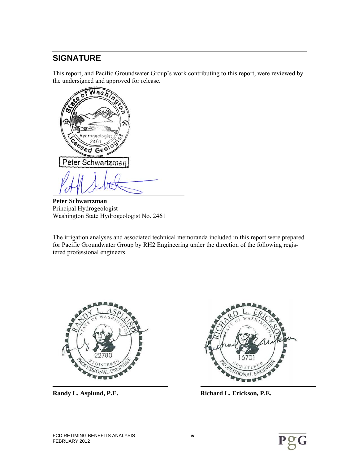# **SIGNATURE**

This report, and Pacific Groundwater Group's work contributing to this report, were reviewed by the undersigned and approved for release.

Nas drogeci 2461 **Onsed Geo** Peter Schwartzman

**Peter Schwartzman** Principal Hydrogeologist Washington State Hydrogeologist No. 2461

The irrigation analyses and associated technical memoranda included in this report were prepared for Pacific Groundwater Group by RH2 Engineering under the direction of the following registered professional engineers.





Randy L. Asplund, P.E. **Richard L. Erickson, P.E. Richard L. Erickson, P.E.** 

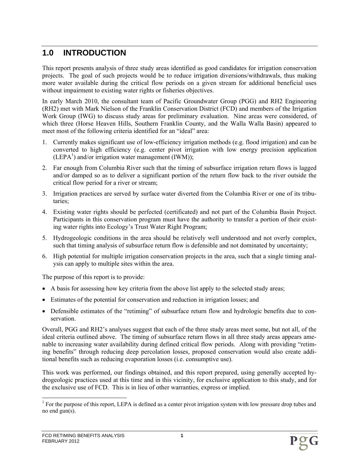# **1.0 INTRODUCTION**

This report presents analysis of three study areas identified as good candidates for irrigation conservation projects. The goal of such projects would be to reduce irrigation diversions/withdrawals, thus making more water available during the critical flow periods on a given stream for additional beneficial uses without impairment to existing water rights or fisheries objectives.

In early March 2010, the consultant team of Pacific Groundwater Group (PGG) and RH2 Engineering (RH2) met with Mark Nielson of the Franklin Conservation District (FCD) and members of the Irrigation Work Group (IWG) to discuss study areas for preliminary evaluation. Nine areas were considered, of which three (Horse Heaven Hills, Southern Franklin County, and the Walla Walla Basin) appeared to meet most of the following criteria identified for an "ideal" area:

- 1. Currently makes significant use of low-efficiency irrigation methods (e.g. flood irrigation) and can be converted to high efficiency (e.g. center pivot irrigation with low energy precision application  $(LEPA<sup>1</sup>)$  and/or irrigation water management  $(IWM)$ );
- 2. Far enough from Columbia River such that the timing of subsurface irrigation return flows is lagged and/or damped so as to deliver a significant portion of the return flow back to the river outside the critical flow period for a river or stream;
- 3. Irrigation practices are served by surface water diverted from the Columbia River or one of its tributaries;
- 4. Existing water rights should be perfected (certificated) and not part of the Columbia Basin Project. Participants in this conservation program must have the authority to transfer a portion of their existing water rights into Ecology's Trust Water Right Program;
- 5. Hydrogeologic conditions in the area should be relatively well understood and not overly complex, such that timing analysis of subsurface return flow is defensible and not dominated by uncertainty;
- 6. High potential for multiple irrigation conservation projects in the area, such that a single timing analysis can apply to multiple sites within the area.

The purpose of this report is to provide:

- A basis for assessing how key criteria from the above list apply to the selected study areas;
- Estimates of the potential for conservation and reduction in irrigation losses; and
- Defensible estimates of the "retiming" of subsurface return flow and hydrologic benefits due to conservation.

Overall, PGG and RH2's analyses suggest that each of the three study areas meet some, but not all, of the ideal criteria outlined above. The timing of subsurface return flows in all three study areas appears amenable to increasing water availability during defined critical flow periods. Along with providing "retiming benefits" through reducing deep percolation losses, proposed conservation would also create additional benefits such as reducing evaporation losses (i.e. consumptive use).

This work was performed, our findings obtained, and this report prepared, using generally accepted hydrogeologic practices used at this time and in this vicinity, for exclusive application to this study, and for the exclusive use of FCD. This is in lieu of other warranties, express or implied.

<sup>&</sup>lt;sup>1</sup> For the purpose of this report, LEPA is defined as a center pivot irrigation system with low pressure drop tubes and no end gun(s).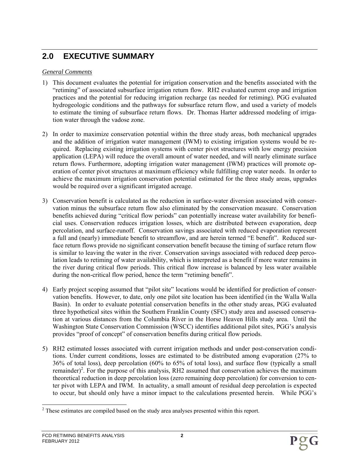# **2.0 EXECUTIVE SUMMARY**

#### *General Comments*

- 1) This document evaluates the potential for irrigation conservation and the benefits associated with the "retiming" of associated subsurface irrigation return flow. RH2 evaluated current crop and irrigation practices and the potential for reducing irrigation recharge (as needed for retiming). PGG evaluated hydrogeologic conditions and the pathways for subsurface return flow, and used a variety of models to estimate the timing of subsurface return flows. Dr. Thomas Harter addressed modeling of irrigation water through the vadose zone.
- 2) In order to maximize conservation potential within the three study areas, both mechanical upgrades and the addition of irrigation water management (IWM) to existing irrigation systems would be required. Replacing existing irrigation systems with center pivot structures with low energy precision application (LEPA) will reduce the overall amount of water needed, and will nearly eliminate surface return flows. Furthermore, adopting irrigation water management (IWM) practices will promote operation of center pivot structures at maximum efficiency while fulfilling crop water needs. In order to achieve the maximum irrigation conservation potential estimated for the three study areas, upgrades would be required over a significant irrigated acreage.
- 3) Conservation benefit is calculated as the reduction in surface-water diversion associated with conservation minus the subsurface return flow also eliminated by the conservation measure. Conservation benefits achieved during "critical flow periods" can potentially increase water availability for beneficial uses. Conservation reduces irrigation losses, which are distributed between evaporation, deep percolation, and surface-runoff. Conservation savings associated with reduced evaporation represent a full and (nearly) immediate benefit to streamflow, and are herein termed "E benefit". Reduced surface return flows provide no significant conservation benefit because the timing of surface return flow is similar to leaving the water in the river. Conservation savings associated with reduced deep percolation leads to retiming of water availability, which is interpreted as a benefit if more water remains in the river during critical flow periods. This critical flow increase is balanced by less water available during the non-critical flow period, hence the term "retiming benefit".
- 4) Early project scoping assumed that "pilot site" locations would be identified for prediction of conservation benefits. However, to date, only one pilot site location has been identified (in the Walla Walla Basin). In order to evaluate potential conservation benefits in the other study areas, PGG evaluated three hypothetical sites within the Southern Franklin County (SFC) study area and assessed conservation at various distances from the Columbia River in the Horse Heaven Hills study area. Until the Washington State Conservation Commission (WSCC) identifies additional pilot sites, PGG's analysis provides "proof of concept" of conservation benefits during critical flow periods.
- 5) RH2 estimated losses associated with current irrigation methods and under post-conservation conditions. Under current conditions, losses are estimated to be distributed among evaporation (27% to 36% of total loss), deep percolation (60% to 65% of total loss), and surface flow (typically a small remainder)<sup>2</sup>. For the purpose of this analysis, RH2 assumed that conservation achieves the maximum theoretical reduction in deep percolation loss (zero remaining deep percolation) for conversion to center pivot with LEPA and IWM. In actuality, a small amount of residual deep percolation is expected to occur, but should only have a minor impact to the calculations presented herein. While PGG's

<sup>&</sup>lt;sup>2</sup> These estimates are compiled based on the study area analyses presented within this report.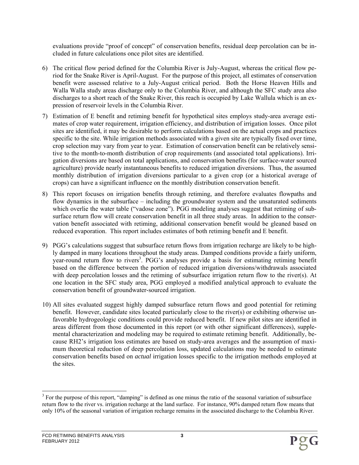evaluations provide "proof of concept" of conservation benefits, residual deep percolation can be included in future calculations once pilot sites are identified.

- 6) The critical flow period defined for the Columbia River is July-August, whereas the critical flow period for the Snake River is April-August. For the purpose of this project, all estimates of conservation benefit were assessed relative to a July-August critical period. Both the Horse Heaven Hills and Walla Walla study areas discharge only to the Columbia River, and although the SFC study area also discharges to a short reach of the Snake River, this reach is occupied by Lake Wallula which is an expression of reservoir levels in the Columbia River.
- 7) Estimation of E benefit and retiming benefit for hypothetical sites employs study-area average estimates of crop water requirement, irrigation efficiency, and distribution of irrigation losses. Once pilot sites are identified, it may be desirable to perform calculations based on the actual crops and practices specific to the site. While irrigation methods associated with a given site are typically fixed over time, crop selection may vary from year to year. Estimation of conservation benefit can be relatively sensitive to the month-to-month distribution of crop requirements (and associated total applications). Irrigation diversions are based on total applications, and conservation benefits (for surface-water sourced agriculture) provide nearly instantaneous benefits to reduced irrigation diversions. Thus, the assumed monthly distribution of irrigation diversions particular to a given crop (or a historical average of crops) can have a significant influence on the monthly distribution conservation benefit.
- 8) This report focuses on irrigation benefits through retiming, and therefore evaluates flowpaths and flow dynamics in the subsurface – including the groundwater system and the unsaturated sediments which overlie the water table ("vadose zone"). PGG modeling analyses suggest that retiming of subsurface return flow will create conservation benefit in all three study areas. In addition to the conservation benefit associated with retiming, additional conservation benefit would be gleaned based on reduced evaporation. This report includes estimates of both retiming benefit and E benefit.
- 9) PGG's calculations suggest that subsurface return flows from irrigation recharge are likely to be highly damped in many locations throughout the study areas. Damped conditions provide a fairly uniform, year-round return flow to rivers<sup>3</sup>. PGG's analyses provide a basis for estimating retiming benefit based on the difference between the portion of reduced irrigation diversions/withdrawals associated with deep percolation losses and the retiming of subsurface irrigation return flow to the river(s). At one location in the SFC study area, PGG employed a modified analytical approach to evaluate the conservation benefit of groundwater-sourced irrigation.
- 10) All sites evaluated suggest highly damped subsurface return flows and good potential for retiming benefit. However, candidate sites located particularly close to the river(s) or exhibiting otherwise unfavorable hydrogeologic conditions could provide reduced benefit. If new pilot sites are identified in areas different from those documented in this report (or with other significant differences), supplemental characterization and modeling may be required to estimate retiming benefit. Additionally, because RH2's irrigation loss estimates are based on study-area averages and the assumption of maximum theoretical reduction of deep percolation loss, updated calculations may be needed to estimate conservation benefits based on *actual* irrigation losses specific to the irrigation methods employed at the sites.

<sup>1</sup>  $3$  For the purpose of this report, "damping" is defined as one minus the ratio of the seasonal variation of subsurface return flow to the river vs. irrigation recharge at the land surface. For instance, 90% damped return flow means that only 10% of the seasonal variation of irrigation recharge remains in the associated discharge to the Columbia River.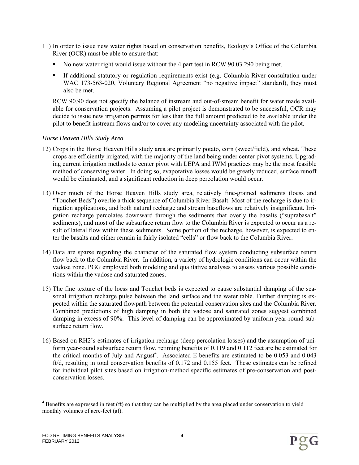- 11) In order to issue new water rights based on conservation benefits, Ecology's Office of the Columbia River (OCR) must be able to ensure that:
	- No new water right would issue without the 4 part test in RCW 90.03.290 being met.
	- If additional statutory or regulation requirements exist (e.g. Columbia River consultation under WAC 173-563-020, Voluntary Regional Agreement "no negative impact" standard), they must also be met.

RCW 90.90 does not specify the balance of instream and out-of-stream benefit for water made available for conservation projects. Assuming a pilot project is demonstrated to be successful, OCR may decide to issue new irrigation permits for less than the full amount predicted to be available under the pilot to benefit instream flows and/or to cover any modeling uncertainty associated with the pilot.

#### *Horse Heaven Hills Study Area*

- 12) Crops in the Horse Heaven Hills study area are primarily potato, corn (sweet/field), and wheat. These crops are efficiently irrigated, with the majority of the land being under center pivot systems. Upgrading current irrigation methods to center pivot with LEPA and IWM practices may be the most feasible method of conserving water. In doing so, evaporative losses would be greatly reduced, surface runoff would be eliminated, and a significant reduction in deep percolation would occur.
- 13) Over much of the Horse Heaven Hills study area, relatively fine-grained sediments (loess and "Touchet Beds") overlie a thick sequence of Columbia River Basalt. Most of the recharge is due to irrigation applications, and both natural recharge and stream baseflows are relatively insignificant. Irrigation recharge percolates downward through the sediments that overly the basalts ("suprabasalt" sediments), and most of the subsurface return flow to the Columbia River is expected to occur as a result of lateral flow within these sediments. Some portion of the recharge, however, is expected to enter the basalts and either remain in fairly isolated "cells" or flow back to the Columbia River.
- 14) Data are sparse regarding the character of the saturated flow system conducting subsurface return flow back to the Columbia River. In addition, a variety of hydrologic conditions can occur within the vadose zone. PGG employed both modeling and qualitative analyses to assess various possible conditions within the vadose and saturated zones.
- 15) The fine texture of the loess and Touchet beds is expected to cause substantial damping of the seasonal irrigation recharge pulse between the land surface and the water table. Further damping is expected within the saturated flowpath between the potential conservation sites and the Columbia River. Combined predictions of high damping in both the vadose and saturated zones suggest combined damping in excess of 90%. This level of damping can be approximated by uniform year-round subsurface return flow.
- 16) Based on RH2's estimates of irrigation recharge (deep percolation losses) and the assumption of uniform year-round subsurface return flow, retiming benefits of 0.119 and 0.112 feet are be estimated for the critical months of July and August<sup>4</sup>. Associated E benefits are estimated to be  $0.053$  and  $0.043$ ft/d, resulting in total conservation benefits of 0.172 and 0.155 feet. These estimates can be refined for individual pilot sites based on irrigation-method specific estimates of pre-conservation and postconservation losses.

l  $4$  Benefits are expressed in feet (ft) so that they can be multiplied by the area placed under conservation to yield monthly volumes of acre-feet (af).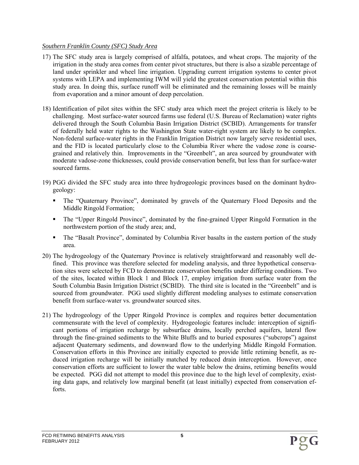#### *Southern Franklin County (SFC) Study Area*

- 17) The SFC study area is largely comprised of alfalfa, potatoes, and wheat crops. The majority of the irrigation in the study area comes from center pivot structures, but there is also a sizable percentage of land under sprinkler and wheel line irrigation. Upgrading current irrigation systems to center pivot systems with LEPA and implementing IWM will yield the greatest conservation potential within this study area. In doing this, surface runoff will be eliminated and the remaining losses will be mainly from evaporation and a minor amount of deep percolation.
- 18) Identification of pilot sites within the SFC study area which meet the project criteria is likely to be challenging. Most surface-water sourced farms use federal (U.S. Bureau of Reclamation) water rights delivered through the South Columbia Basin Irrigation District (SCBID). Arrangements for transfer of federally held water rights to the Washington State water-right system are likely to be complex. Non-federal surface-water rights in the Franklin Irrigation District now largely serve residential uses, and the FID is located particularly close to the Columbia River where the vadose zone is coarsegrained and relatively thin. Improvements in the "Greenbelt", an area sourced by groundwater with moderate vadose-zone thicknesses, could provide conservation benefit, but less than for surface-water sourced farms.
- 19) PGG divided the SFC study area into three hydrogeologic provinces based on the dominant hydrogeology:
	- The "Quaternary Province", dominated by gravels of the Quaternary Flood Deposits and the Middle Ringold Formation;
	- The "Upper Ringold Province", dominated by the fine-grained Upper Ringold Formation in the northwestern portion of the study area; and,
	- The "Basalt Province", dominated by Columbia River basalts in the eastern portion of the study area.
- 20) The hydrogeology of the Quaternary Province is relatively straightforward and reasonably well defined. This province was therefore selected for modeling analysis, and three hypothetical conservation sites were selected by FCD to demonstrate conservation benefits under differing conditions. Two of the sites, located within Block 1 and Block 17, employ irrigation from surface water from the South Columbia Basin Irrigation District (SCBID). The third site is located in the "Greenbelt" and is sourced from groundwater. PGG used slightly different modeling analyses to estimate conservation benefit from surface-water vs. groundwater sourced sites.
- 21) The hydrogeology of the Upper Ringold Province is complex and requires better documentation commensurate with the level of complexity. Hydrogeologic features include: interception of significant portions of irrigation recharge by subsurface drains, locally perched aquifers, lateral flow through the fine-grained sediments to the White Bluffs and to buried exposures ("subcrops") against adjacent Quaternary sediments, and downward flow to the underlying Middle Ringold Formation. Conservation efforts in this Province are initially expected to provide little retiming benefit, as reduced irrigation recharge will be initially matched by reduced drain interception. However, once conservation efforts are sufficient to lower the water table below the drains, retiming benefits would be expected. PGG did not attempt to model this province due to the high level of complexity, existing data gaps, and relatively low marginal benefit (at least initially) expected from conservation efforts.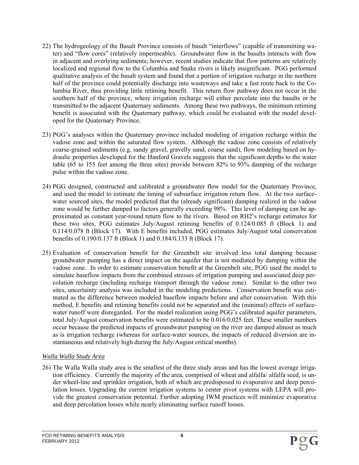- 22) The hydrogeology of the Basalt Province consists of basalt "interflows" (capable of transmitting water) and "flow cores" (relatively impermeable). Groundwater flow in the basalts interacts with flow in adjacent and overlying sediments; however, recent studies indicate that flow patterns are relatively localized and regional flow to the Columbia and Snake rivers is likely insignificant. PGG performed qualitative analysis of the basalt system and found that a portion of irrigation recharge in the northern half of the province could potentially discharge into wasteways and take a fast route back to the Columbia River, thus providing little retiming benefit. This return flow pathway does not occur in the southern half of the province, where irrigation recharge will either percolate into the basalts or be transmitted to the adjacent Quaternary sediments. Among these two pathways, the minimum retiming benefit is associated with the Quaternary pathway, which could be evaluated with the model developed for the Quaternary Province.
- 23) PGG's analyses within the Quaternary province included modeling of irrigation recharge within the vadose zone and within the saturated flow system. Although the vadose zone consists of relatively coarse-grained sediments (e.g. sandy gravel, gravelly sand, coarse sand), flow modeling based on hydraulic properties developed for the Hanford Gravels suggests that the significant depths to the water table (65 to 155 feet among the three sites) provide between 82% to 93% damping of the recharge pulse within the vadose zone.
- 24) PGG designed, constructed and calibrated a groundwater flow model for the Quaternary Province, and used the model to estimate the timing of subsurface irrigation return flow. At the two surfacewater sourced sites, the model predicted that the (already significant) damping realized in the vadose zone would be further damped to factors generally exceeding 98%. This level of damping can be approximated as constant year-round return flow to the rivers. Based on RH2's recharge estimates for these two sites, PGG estimates July/August retiming benefits of 0.124/0.085 ft (Block 1) and 0.114/0.078 ft (Block 17). With E benefits included, PGG estimates July/August total conservation benefits of 0.190/0.137 ft (Block 1) and 0.184/0.133 ft (Block 17).
- 25) Evaluation of conservation benefit for the Greenbelt site involved less total damping because groundwater pumping has a direct impact on the aquifer that is not mediated by damping within the vadose zone. In order to estimate conservation benefit at the Greenbelt site, PGG used the model to simulate baseflow impacts from the combined stresses of irrigation pumping and associated deep percolation recharge (including recharge transport through the vadose zone). Similar to the other two sites, uncertainty analysis was included in the modeling predictions. Conservation benefit was estimated as the difference between modeled baseflow impacts before and after conservation. With this method, E benefits and retiming benefits could not be separated and the (minimal) effects of surfacewater runoff were disregarded. For the model realization using PGG's calibrated aquifer parameters, total July/August conservation benefits were estimated to be 0.016/0.025 feet. These smaller numbers occur because the predicted impacts of groundwater pumping on the river are damped almost as much as is irrigation recharge (whereas for surface-water sources, the impacts of reduced diversion are instantaneous and relatively high during the July/August critical months).

#### *Walla Walla Study Area*

26) The Walla Walla study area is the smallest of the three study areas and has the lowest average irrigation efficiency. Currently the majority of the area, comprised of wheat and alfalfa/ alfalfa seed, is under wheel-line and sprinkler irrigation, both of which are predisposed to evaporative and deep percolation losses. Upgrading the current irrigation systems to center pivot systems with LEPA will provide the greatest conservation potential. Further adopting IWM practices will minimize evaporative and deep percolation losses while nearly eliminating surface runoff losses.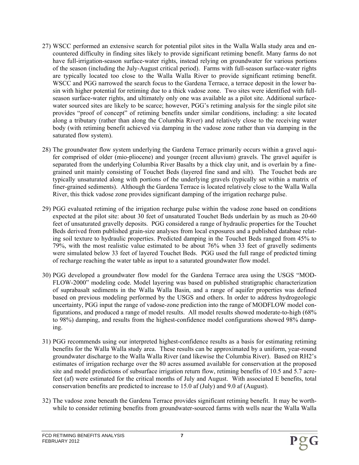- 27) WSCC performed an extensive search for potential pilot sites in the Walla Walla study area and encountered difficulty in finding sites likely to provide significant retiming benefit. Many farms do not have full-irrigation-season surface-water rights, instead relying on groundwater for various portions of the season (including the July-August critical period). Farms with full-season surface-water rights are typically located too close to the Walla Walla River to provide significant retiming benefit. WSCC and PGG narrowed the search focus to the Gardena Terrace, a terrace deposit in the lower basin with higher potential for retiming due to a thick vadose zone. Two sites were identified with fullseason surface-water rights, and ultimately only one was available as a pilot site. Additional surfacewater sourced sites are likely to be scarce; however, PGG's retiming analysis for the single pilot site provides "proof of concept" of retiming benefits under similar conditions, including: a site located along a tributary (rather than along the Columbia River) and relatively close to the receiving water body (with retiming benefit achieved via damping in the vadose zone rather than via damping in the saturated flow system).
- 28) The groundwater flow system underlying the Gardena Terrace primarily occurs within a gravel aquifer comprised of older (mio-pliocene) and younger (recent alluvium) gravels. The gravel aquifer is separated from the underlying Columbia River Basalts by a thick clay unit, and is overlain by a finegrained unit mainly consisting of Touchet Beds (layered fine sand and silt). The Touchet beds are typically unsaturated along with portions of the underlying gravels (typically set within a matrix of finer-grained sediments). Although the Gardena Terrace is located relatively close to the Walla Walla River, this thick vadose zone provides significant damping of the irrigation recharge pulse.
- 29) PGG evaluated retiming of the irrigation recharge pulse within the vadose zone based on conditions expected at the pilot site: about 30 feet of unsaturated Touchet Beds underlain by as much as 20-60 feet of unsaturated gravelly deposits. PGG considered a range of hydraulic properties for the Touchet Beds derived from published grain-size analyses from local exposures and a published database relating soil texture to hydraulic properties. Predicted damping in the Touchet Beds ranged from 45% to 79%, with the most realistic value estimated to be about 76% when 33 feet of gravelly sediments were simulated below 33 feet of layered Touchet Beds. PGG used the full range of predicted timing of recharge reaching the water table as input to a saturated groundwater flow model.
- 30) PGG developed a groundwater flow model for the Gardena Terrace area using the USGS "MOD-FLOW-2000" modeling code. Model layering was based on published stratigraphic characterization of suprabasalt sediments in the Walla Walla Basin, and a range of aquifer properties was defined based on previous modeling performed by the USGS and others. In order to address hydrogeologic uncertainty, PGG input the range of vadose-zone prediction into the range of MODFLOW model configurations, and produced a range of model results. All model results showed moderate-to-high (68% to 98%) damping, and results from the highest-confidence model configurations showed 98% damping.
- 31) PGG recommends using our interpreted highest-confidence results as a basis for estimating retiming benefits for the Walla Walla study area. These results can be approximated by a uniform, year-round groundwater discharge to the Walla Walla River (and likewise the Columbia River). Based on RH2's estimates of irrigation recharge over the 80 acres assumed available for conservation at the proposed site and model predictions of subsurface irrigation return flow, retiming benefits of 10.5 and 5.7 acrefeet (af) were estimated for the critical months of July and August. With associated E benefits, total conservation benefits are predicted to increase to 15.0 af (July) and 9.0 af (August).
- 32) The vadose zone beneath the Gardena Terrace provides significant retiming benefit. It may be worthwhile to consider retiming benefits from groundwater-sourced farms with wells near the Walla Walla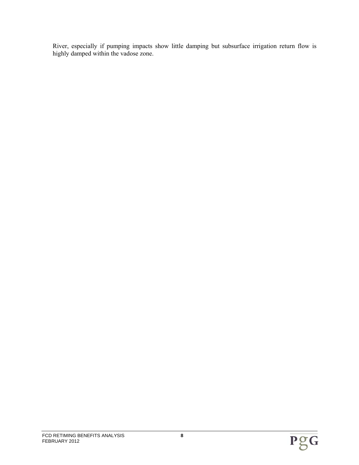River, especially if pumping impacts show little damping but subsurface irrigation return flow is highly damped within the vadose zone.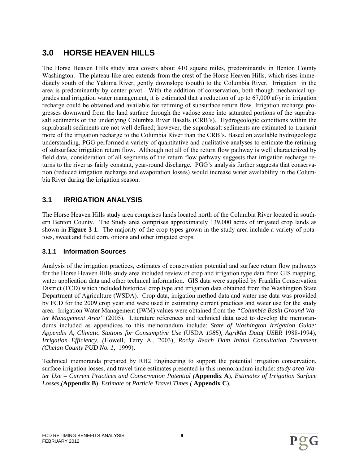# **3.0 HORSE HEAVEN HILLS**

The Horse Heaven Hills study area covers about 410 square miles, predominantly in Benton County Washington. The plateau-like area extends from the crest of the Horse Heaven Hills, which rises immediately south of the Yakima River, gently downslope (south) to the Columbia River. Irrigation in the area is predominantly by center pivot. With the addition of conservation, both though mechanical upgrades and irrigation water management, it is estimated that a reduction of up to 67,000 af/yr in irrigation recharge could be obtained and available for retiming of subsurface return flow. Irrigation recharge progresses downward from the land surface through the vadose zone into saturated portions of the suprabasalt sediments or the underlying Columbia River Basalts (CRB's). Hydrogeologic conditions within the suprabasalt sediments are not well defined; however, the suprabasalt sediments are estimated to transmit more of the irrigation recharge to the Columbia River than the CRB's. Based on available hydrogeologic understanding, PGG performed a variety of quantitative and qualitative analyses to estimate the retiming of subsurface irrigation return flow. Although not all of the return flow pathway is well characterized by field data, consideration of all segments of the return flow pathway suggests that irrigation recharge returns to the river as fairly constant, year-round discharge. PGG's analysis further suggests that conservation (reduced irrigation recharge and evaporation losses) would increase water availability in the Columbia River during the irrigation season.

# **3.1 IRRIGATION ANALYSIS**

The Horse Heaven Hills study area comprises lands located north of the Columbia River located in southern Benton County. The Study area comprises approximately 139,000 acres of irrigated crop lands as shown in **Figure 3-1**. The majority of the crop types grown in the study area include a variety of potatoes, sweet and field corn, onions and other irrigated crops.

## **3.1.1 Information Sources**

Analysis of the irrigation practices, estimates of conservation potential and surface return flow pathways for the Horse Heaven Hills study area included review of crop and irrigation type data from GIS mapping, water application data and other technical information. GIS data were supplied by Franklin Conservation District (FCD) which included historical crop type and irrigation data obtained from the Washington State Department of Agriculture (WSDA)*.* Crop data, irrigation method data and water use data was provided by FCD for the 2009 crop year and were used in estimating current practices and water use for the study area. Irrigation Water Management (IWM) values were obtained from the *"Columbia Basin Ground Water Management Area"* (2005).Literature references and technical data used to develop the memorandums included as appendices to this memorandum include: *State of Washington Irrigation Guide: Appendix A, Climatic Stations for Consumptive Use* (USDA *1985), AgriMet Data( USBR* 1988-1994), *Irrigation Efficiency, (*Howell, Terry A., 2003), *Rocky Reach Dam Initial Consultation Document (Chelan County PUD No. 1,* 1999).

Technical memoranda prepared by RH2 Engineering to support the potential irrigation conservation, surface irrigation losses, and travel time estimates presented in this memorandum include: *study area Water Use – Current Practices and Conservation Potential (***Appendix A**), *Estimates of Irrigation Surface Losses,(***Appendix B**)*, Estimate of Particle Travel Times (* **Appendix C**)*.*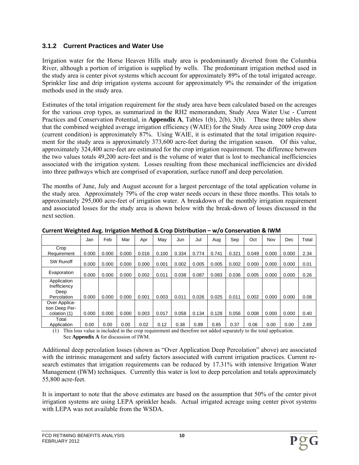## **3.1.2 Current Practices and Water Use**

Irrigation water for the Horse Heaven Hills study area is predominantly diverted from the Columbia River, although a portion of irrigation is supplied by wells. The predominant irrigation method used in the study area is center pivot systems which account for approximately 89% of the total irrigated acreage. Sprinkler line and drip irrigation systems account for approximately 9% the remainder of the irrigation methods used in the study area.

Estimates of the total irrigation requirement for the study area have been calculated based on the acreages for the various crop types, as summarized in the RH2 memorandum, Study Area Water Use - Current Practices and Conservation Potential, in **Appendix A**, Tables 1(b), 2(b), 3(b). These three tables show that the combined weighted average irrigation efficiency (WAIE) for the Study Area using 2009 crop data (current condition) is approximately 87%. Using WAIE, it is estimated that the total irrigation requirement for the study area is approximately 373,600 acre-feet during the irrigation season. Of this value, approximately 324,400 acre-feet are estimated for the crop irrigation requirement. The difference between the two values totals 49,200 acre-feet and is the volume of water that is lost to mechanical inefficiencies associated with the irrigation system. Losses resulting from these mechanical inefficiencies are divided into three pathways which are comprised of evaporation, surface runoff and deep percolation.

The months of June, July and August account for a largest percentage of the total application volume in the study area. Approximately 79% of the crop water needs occurs in these three months. This totals to approximately 295,000 acre-feet of irrigation water. A breakdown of the monthly irrigation requirement and associated losses for the study area is shown below with the break-down of losses discussed in the next section.

|                                                    | Jan   | Feb   | Mar   | Apr   | Mav   | Jun   | Jul   | Aug   | Sep   | Oct   | Nov   | Dec   | Total |
|----------------------------------------------------|-------|-------|-------|-------|-------|-------|-------|-------|-------|-------|-------|-------|-------|
| Crop<br>Requirement                                | 0.000 | 0.000 | 0.000 | 0.016 | 0.100 | 0.334 | 0.774 | 0.741 | 0.321 | 0.049 | 0.000 | 0.000 | 2.34  |
| SW Runoff                                          | 0.000 | 0.000 | 0.000 | 0.000 | 0.001 | 0.002 | 0.005 | 0.005 | 0.002 | 0.000 | 0.000 | 0.000 | 0.01  |
| Evaporation                                        | 0.000 | 0.000 | 0.000 | 0.002 | 0.011 | 0.038 | 0.087 | 0.083 | 0.036 | 0.005 | 0.000 | 0.000 | 0.26  |
| Application<br>Inefficiency<br>Deep<br>Percolation | 0.000 | 0.000 | 0.000 | 0.001 | 0.003 | 0.011 | 0.026 | 0.025 | 0.011 | 0.002 | 0.000 | 0.000 | 0.08  |
| Over Applica-<br>tion Deep Per-<br>colation (1)    | 0.000 | 0.000 | 0.000 | 0.003 | 0.017 | 0.058 | 0.134 | 0.128 | 0.056 | 0.008 | 0.000 | 0.000 | 0.40  |
| Total<br>Application                               | 0.00  | 0.00  | 0.00  | 0.02  | 0.12  | 0.38  | 0.89  | 0.85  | 0.37  | 0.06  | 0.00  | 0.00  | 2.69  |

**Current Weighted Avg. Irrigation Method & Crop Distribution – w/o Conservation & IWM**

(1) This loss value is included in the crop requirement and therefore not added separately to the total application. See **Appendix A** for discussion of IWM.

Additional deep percolation losses (shown as "Over Application Deep Percolation" above) are associated with the intrinsic management and safety factors associated with current irrigation practices. Current research estimates that irrigation requirements can be reduced by 17.31% with intensive Irrigation Water Management (IWM) techniques. Currently this water is lost to deep percolation and totals approximately 55,800 acre-feet.

It is important to note that the above estimates are based on the assumption that 50% of the center pivot irrigation systems are using LEPA sprinkler heads. Actual irrigated acreage using center pivot systems with LEPA was not available from the WSDA.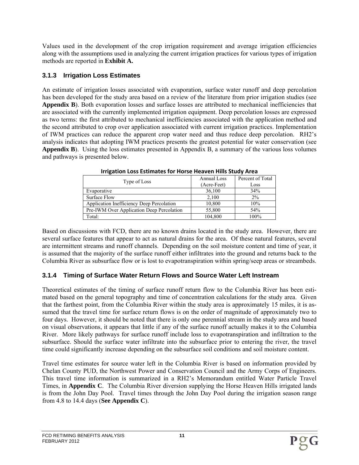Values used in the development of the crop irrigation requirement and average irrigation efficiencies along with the assumptions used in analyzing the current irrigation practices for various types of irrigation methods are reported in **Exhibit A.**

## **3.1.3 Irrigation Loss Estimates**

An estimate of irrigation losses associated with evaporation, surface water runoff and deep percolation has been developed for the study area based on a review of the literature from prior irrigation studies (see Appendix B). Both evaporation losses and surface losses are attributed to mechanical inefficiencies that are associated with the currently implemented irrigation equipment. Deep percolation losses are expressed as two terms: the first attributed to mechanical inefficiencies associated with the application method and the second attributed to crop over application associated with current irrigation practices. Implementation of IWM practices can reduce the apparent crop water need and thus reduce deep percolation. RH2's analysis indicates that adopting IWM practices presents the greatest potential for water conservation (see **Appendix B**). Using the loss estimates presented in Appendix B, a summary of the various loss volumes and pathways is presented below.

|                                           | Annual Loss | Percent of Total |
|-------------------------------------------|-------------|------------------|
| Type of Loss                              | (Acre-Feet) | Loss             |
| Evaporative                               | 36,100      | 34%              |
| Surface Flow                              | 2,100       | $2\%$            |
| Application Inefficiency Deep Percolation | 10,800      | 10%              |
| Pre-IWM Over Application Deep Percolation | 55,800      | 54%              |
| Total:                                    | 104,800     | 100%             |

**Irrigation Loss Estimates for Horse Heaven Hills Study Area**

Based on discussions with FCD, there are no known drains located in the study area. However, there are several surface features that appear to act as natural drains for the area. Of these natural features, several are intermittent streams and runoff channels. Depending on the soil moisture content and time of year, it is assumed that the majority of the surface runoff either infiltrates into the ground and returns back to the Columbia River as subsurface flow or is lost to evapotranspiration within spring/seep areas or streambeds.

# **3.1.4 Timing of Surface Water Return Flows and Source Water Left Instream**

Theoretical estimates of the timing of surface runoff return flow to the Columbia River has been estimated based on the general topography and time of concentration calculations for the study area. Given that the farthest point, from the Columbia River within the study area is approximately 15 miles, it is assumed that the travel time for surface return flows is on the order of magnitude of approximately two to four days. However, it should be noted that there is only one perennial stream in the study area and based on visual observations, it appears that little if any of the surface runoff actually makes it to the Columbia River. More likely pathways for surface runoff include loss to evapotranspiration and infiltration to the subsurface. Should the surface water infiltrate into the subsurface prior to entering the river, the travel time could significantly increase depending on the subsurface soil conditions and soil moisture content.

Travel time estimates for source water left in the Columbia River is based on information provided by Chelan County PUD, the Northwest Power and Conservation Council and the Army Corps of Engineers. This travel time information is summarized in a RH2's Memorandum entitled Water Particle Travel Times, in **Appendix C**. The Columbia River diversion supplying the Horse Heaven Hills irrigated lands is from the John Day Pool. Travel times through the John Day Pool during the irrigation season range from 4.8 to 14.4 days (**See Appendix C**).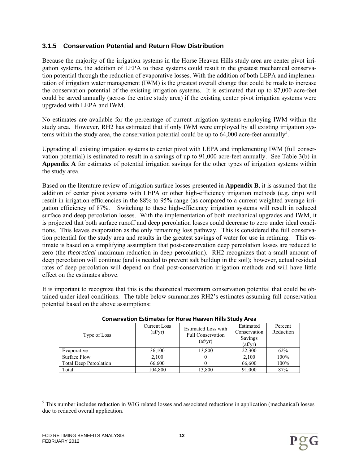## **3.1.5 Conservation Potential and Return Flow Distribution**

Because the majority of the irrigation systems in the Horse Heaven Hills study area are center pivot irrigation systems, the addition of LEPA to these systems could result in the greatest mechanical conservation potential through the reduction of evaporative losses. With the addition of both LEPA and implementation of irrigation water management (IWM) is the greatest overall change that could be made to increase the conservation potential of the existing irrigation systems. It is estimated that up to 87,000 acre-feet could be saved annually (across the entire study area) if the existing center pivot irrigation systems were upgraded with LEPA and IWM.

No estimates are available for the percentage of current irrigation systems employing IWM within the study area. However, RH2 has estimated that if only IWM were employed by all existing irrigation systems within the study area, the conservation potential could be up to  $64,000$  acre-feet annually<sup>5</sup>.

Upgrading all existing irrigation systems to center pivot with LEPA and implementing IWM (full conservation potential) is estimated to result in a savings of up to 91,000 acre-feet annually. See Table 3(b) in **Appendix A** for estimates of potential irrigation savings for the other types of irrigation systems within the study area.

Based on the literature review of irrigation surface losses presented in **Appendix B**, it is assumed that the addition of center pivot systems with LEPA or other high-efficiency irrigation methods (e.g. drip) will result in irrigation efficiencies in the 88% to 95% range (as compared to a current weighted average irrigation efficiency of 87%. Switching to these high-efficiency irrigation systems will result in reduced surface and deep percolation losses. With the implementation of both mechanical upgrades and IWM, it is projected that both surface runoff and deep percolation losses could decrease to zero under ideal conditions. This leaves evaporation as the only remaining loss pathway. This is considered the full conservation potential for the study area and results in the greatest savings of water for use in retiming. This estimate is based on a simplifying assumption that post-conservation deep percolation losses are reduced to zero (the *theoretical* maximum reduction in deep percolation). RH2 recognizes that a small amount of deep percolation will continue (and is needed to prevent salt buildup in the soil); however, actual residual rates of deep percolation will depend on final post-conservation irrigation methods and will have little effect on the estimates above.

It is important to recognize that this is the theoretical maximum conservation potential that could be obtained under ideal conditions. The table below summarizes RH2's estimates assuming full conservation potential based on the above assumptions:

| Type of Loss                  | Current Loss<br>$\text{(af/yr)}$ | <b>Estimated Loss with</b><br><b>Full Conservation</b><br>$\text{(af/yr)}$ | Estimated<br>Conservation<br>Savings<br>$\text{(af/yr)}$ | Percent<br>Reduction |  |  |  |  |  |  |  |  |  |
|-------------------------------|----------------------------------|----------------------------------------------------------------------------|----------------------------------------------------------|----------------------|--|--|--|--|--|--|--|--|--|
| Evaporative                   | 36,100                           | 13.800                                                                     | 22,300                                                   | 62%                  |  |  |  |  |  |  |  |  |  |
| Surface Flow                  | 2,100                            |                                                                            | 2.100                                                    | 100%                 |  |  |  |  |  |  |  |  |  |
| <b>Total Deep Percolation</b> | 66.600                           |                                                                            | 66,600                                                   | 100%                 |  |  |  |  |  |  |  |  |  |
| Total:                        | 104,800                          | 13.800                                                                     | 91,000                                                   | 87%                  |  |  |  |  |  |  |  |  |  |

#### **Conservation Estimates for Horse Heaven Hills Study Area**

l <sup>5</sup> This number includes reduction in WIG related losses and associated reductions in application (mechanical) losses due to reduced overall application.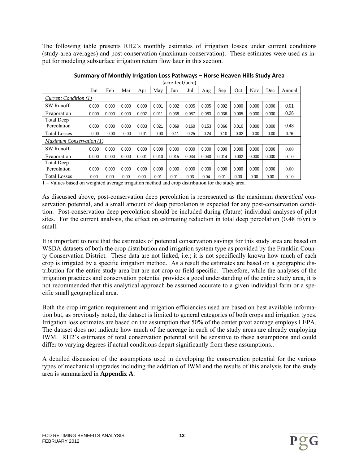The following table presents RH2's monthly estimates of irrigation losses under current conditions (study-area averages) and post-conservation (maximum conservation). These estimates were used as input for modeling subsurface irrigation return flow later in this section.

|                                  | Jan   | Feb   | Mar   | Apr   | May   | Jun   | Jul   | Aug   | Sep   | Oct   | <b>Nov</b> | Dec   | Annual |
|----------------------------------|-------|-------|-------|-------|-------|-------|-------|-------|-------|-------|------------|-------|--------|
| Current Condition (1)            |       |       |       |       |       |       |       |       |       |       |            |       |        |
| <b>SW Runoff</b>                 | 0.000 | 0.000 | 0.000 | 0.000 | 0.001 | 0.002 | 0.005 | 0.005 | 0.002 | 0.000 | 0.000      | 0.000 | 0.01   |
| Evaporation                      | 0.000 | 0.000 | 0.000 | 0.002 | 0.011 | 0.038 | 0.087 | 0.083 | 0.036 | 0.005 | 0.000      | 0.000 | 0.26   |
| <b>Total Deep</b><br>Percolation | 0.000 | 0.000 | 0.000 | 0.003 | 0.021 | 0.069 | 0.160 | 0.153 | 0.066 | 0.010 | 0.000      | 0.000 | 0.48   |
| <b>Total Losses</b>              | 0.00  | 0.00  | 0.00  | 0.01  | 0.03  | 0.11  | 0.25  | 0.24  | 0.10  | 0.02  | 0.00       | 0.00  | 0.76   |
| Maximum Conservation (1)         |       |       |       |       |       |       |       |       |       |       |            |       |        |
| <b>SW Runoff</b>                 | 0.000 | 0.000 | 0.000 | 0.000 | 0.000 | 0.000 | 0.000 | 0.000 | 0.000 | 0.000 | 0.000      | 0.000 | 0.00   |
| Evaporation                      | 0.000 | 0.000 | 0.000 | 0.001 | 0.010 | 0.015 | 0.034 | 0.040 | 0.014 | 0.002 | 0.000      | 0.000 | 0.10   |
| <b>Total Deep</b>                |       |       |       |       |       |       |       |       |       |       |            |       |        |
| Percolation                      | 0.000 | 0.000 | 0.000 | 0.000 | 0.000 | 0.000 | 0.000 | 0.000 | 0.000 | 0.000 | 0.000      | 0.000 | 0.00   |
| <b>Total Losses</b>              | 0.00  | 0.00  | 0.00  | 0.00  | 0.01  | 0.01  | 0.03  | 0.04  | 0.01  | 0.00  | 0.00       | 0.00  | 0.10   |

**Summary of Monthly Irrigation Loss Pathways – Horse Heaven Hills Study Area** (acre‐feet/acre)

1 – Values based on weighted average irrigation method and crop distribution for the study area.

As discussed above, post-conservation deep percolation is represented as the maximum *theoretical* conservation potential, and a small amount of deep percolation is expected for any post-conservation condition. Post-conservation deep percolation should be included during (future) individual analyses of pilot sites. For the current analysis, the effect on estimating reduction in total deep percolation  $(0.48 \text{ ft/yr})$  is small.

It is important to note that the estimates of potential conservation savings for this study area are based on WSDA datasets of both the crop distribution and irrigation system type as provided by the Franklin County Conservation District. These data are not linked, i.e.; it is not specifically known how much of each crop is irrigated by a specific irrigation method. As a result the estimates are based on a geographic distribution for the entire study area but are not crop or field specific. Therefore, while the analyses of the irrigation practices and conservation potential provides a good understanding of the entire study area, it is not recommended that this analytical approach be assumed accurate to a given individual farm or a specific small geographical area.

Both the crop irrigation requirement and irrigation efficiencies used are based on best available information but, as previously noted, the dataset is limited to general categories of both crops and irrigation types. Irrigation loss estimates are based on the assumption that 50% of the center pivot acreage employs LEPA. The dataset does not indicate how much of the acreage in each of the study areas are already employing IWM. RH2's estimates of total conservation potential will be sensitive to these assumptions and could differ to varying degrees if actual conditions depart significantly from these assumptions..

A detailed discussion of the assumptions used in developing the conservation potential for the various types of mechanical upgrades including the addition of IWM and the results of this analysis for the study area is summarized in **Appendix A**.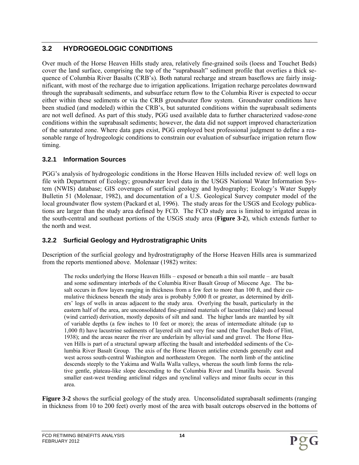# **3.2 HYDROGEOLOGIC CONDITIONS**

Over much of the Horse Heaven Hills study area, relatively fine-grained soils (loess and Touchet Beds) cover the land surface, comprising the top of the "suprabasalt" sediment profile that overlies a thick sequence of Columbia River Basalts (CRB's). Both natural recharge and stream baseflows are fairly insignificant, with most of the recharge due to irrigation applications. Irrigation recharge percolates downward through the suprabasalt sediments, and subsurface return flow to the Columbia River is expected to occur either within these sediments or via the CRB groundwater flow system. Groundwater conditions have been studied (and modeled) within the CRB's, but saturated conditions within the suprabasalt sediments are not well defined. As part of this study, PGG used available data to further characterized vadose-zone conditions within the suprabasalt sediments; however, the data did not support improved characterization of the saturated zone. Where data gaps exist, PGG employed best professional judgment to define a reasonable range of hydrogeologic conditions to constrain our evaluation of subsurface irrigation return flow timing.

## **3.2.1 Information Sources**

PGG's analysis of hydrogeologic conditions in the Horse Heaven Hills included review of: well logs on file with Department of Ecology; groundwater level data in the USGS National Water Information System (NWIS) database; GIS coverages of surficial geology and hydrography; Ecology's Water Supply Bulletin 51 (Molenaar, 1982), and documentation of a U.S. Geological Survey computer model of the local groundwater flow system (Packard et al, 1996). The study areas for the USGS and Ecology publications are larger than the study area defined by FCD. The FCD study area is limited to irrigated areas in the south-central and southeast portions of the USGS study area (**Figure 3-2**), which extends further to the north and west.

# **3.2.2 Surficial Geology and Hydrostratigraphic Units**

Description of the surficial geology and hydrostratigraphy of the Horse Heaven Hills area is summarized from the reports mentioned above. Molenaar (1982) writes:

The rocks underlying the Horse Heaven Hills – exposed or beneath a thin soil mantle – are basalt and some sedimentary interbeds of the Columbia River Basalt Group of Miocene Age. The basalt occurs in flow layers ranging in thickness from a few feet to more than 100 ft, and their cumulative thickness beneath the study area is probably 5,000 ft or greater, as determined by drillers' logs of wells in areas adjacent to the study area. Overlying the basalt, particularly in the eastern half of the area, are unconsolidated fine-grained materials of lacustrine (lake) and loessal (wind carried) derivation, mostly deposits of silt and sand. The higher lands are mantled by silt of variable depths (a few inches to 10 feet or more); the areas of intermediate altitude (up to 1,000 ft) have lacustrine sediments of layered silt and very fine sand (the Touchet Beds of Flint, 1938); and the areas nearer the river are underlain by alluvial sand and gravel. The Horse Heaven Hills is part of a structural upwarp affecting the basalt and interbedded sediments of the Columbia River Basalt Group. The axis of the Horse Heaven anticline extends generally east and west across south-central Washington and northeastern Oregon. The north limb of the anticline descends steeply to the Yakima and Walla Walla valleys, whereas the south limb forms the relative gentle, plateau-like slope descending to the Columbia River and Umatilla basin. Several smaller east-west trending anticlinal ridges and synclinal valleys and minor faults occur in this area.

**Figure 3-2** shows the surficial geology of the study area. Unconsolidated suprabasalt sediments (ranging in thickness from 10 to 200 feet) overly most of the area with basalt outcrops observed in the bottoms of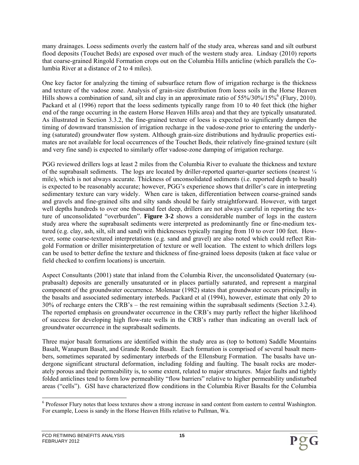many drainages. Loess sediments overly the eastern half of the study area, whereas sand and silt outburst flood deposits (Touchet Beds) are exposed over much of the western study area. Lindsay (2010) reports that coarse-grained Ringold Formation crops out on the Columbia Hills anticline (which parallels the Columbia River at a distance of 2 to 4 miles).

One key factor for analyzing the timing of subsurface return flow of irrigation recharge is the thickness and texture of the vadose zone. Analysis of grain-size distribution from loess soils in the Horse Heaven Hills shows a combination of sand, silt and clay in an approximate ratio of 55%/30%/15% (Flury, 2010). Packard et al (1996) report that the loess sediments typically range from 10 to 40 feet thick (the higher end of the range occurring in the eastern Horse Heaven Hills area) and that they are typically unsaturated. As illustrated in Section 3.3.2, the fine-grained texture of loess is expected to significantly dampen the timing of downward transmission of irrigation recharge in the vadose-zone prior to entering the underlying (saturated) groundwater flow system. Although grain-size distributions and hydraulic properties estimates are not available for local occurrences of the Touchet Beds, their relatively fine-grained texture (silt and very fine sand) is expected to similarly offer vadose-zone damping of irrigation recharge.

PGG reviewed drillers logs at least 2 miles from the Columbia River to evaluate the thickness and texture of the suprabasalt sediments. The logs are located by driller-reported quarter-quarter sections (nearest  $\frac{1}{4}$ mile), which is not always accurate. Thickness of unconsolidated sediments (i.e. reported depth to basalt) is expected to be reasonably accurate; however, PGG's experience shows that driller's care in interpreting sedimentary texture can vary widely. When care is taken, differentiation between coarse-grained sands and gravels and fine-grained silts and silty sands should be fairly straightforward. However, with target well depths hundreds to over one thousand feet deep, drillers are not always careful in reporting the texture of unconsolidated "overburden". **Figure 3-2** shows a considerable number of logs in the eastern study area where the suprabasalt sediments were interpreted as predominantly fine or fine-medium textured (e.g. clay, ash, silt, silt and sand) with thicknesses typically ranging from 10 to over 100 feet. However, some coarse-textured interpretations (e.g. sand and gravel) are also noted which could reflect Ringold Formation or driller misinterpretation of texture or well location. The extent to which drillers logs can be used to better define the texture and thickness of fine-grained loess deposits (taken at face value or field checked to confirm locations) is uncertain.

Aspect Consultants (2001) state that inland from the Columbia River, the unconsolidated Quaternary (suprabasalt) deposits are generally unsaturated or in places partially saturated, and represent a marginal component of the groundwater occurrence. Molenaar (1982) states that groundwater occurs principally in the basalts and associated sedimentary interbeds. Packard et al (1994), however, estimate that only 20 to 30% of recharge enters the CRB's – the rest remaining within the suprabasalt sediments (Section 3.2.4). The reported emphasis on groundwater occurrence in the CRB's may partly reflect the higher likelihood of success for developing high flow-rate wells in the CRB's rather than indicating an overall lack of groundwater occurrence in the suprabasalt sediments.

Three major basalt formations are identified within the study area as (top to bottom) Saddle Mountains Basalt, Wanapum Basalt, and Grande Ronde Basalt. Each formation is comprised of several basalt members, sometimes separated by sedimentary interbeds of the Ellensburg Formation. The basalts have undergone significant structural deformation, including folding and faulting. The basalt rocks are moderately porous and their permeability is, to some extent, related to major structures. Major faults and tightly folded anticlines tend to form low permeability "flow barriers" relative to higher permeability undisturbed areas ("cells"). GSI have characterized flow conditions in the Columbia River Basalts for the Columbia

l <sup>6</sup> Professor Flury notes that loess textures show a strong increase in sand content from eastern to central Washington. For example, Loess is sandy in the Horse Heaven Hills relative to Pullman, Wa.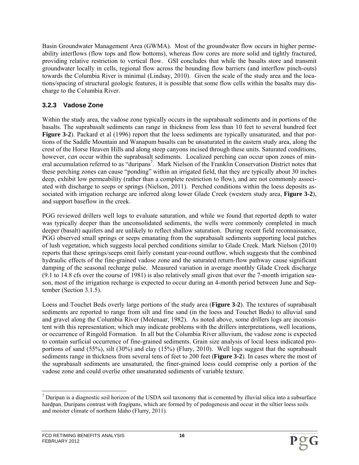Basin Groundwater Management Area (GWMA). Most of the groundwater flow occurs in higher permeability interflows (flow tops and flow bottoms), whereas flow cores are more solid and tightly fractured, providing relative restriction to vertical flow. GSI concludes that while the basalts store and transmit groundwater locally in cells, regional flow across the bounding flow barriers (and interflow pinch-outs) towards the Columbia River is minimal (Lindsay, 2010). Given the scale of the study area and the locations/spacing of structural geologic features, it is possible that some flow cells within the basalts may discharge to the Columbia River.

## **3.2.3 Vadose Zone**

Within the study area, the vadose zone typically occurs in the suprabasalt sediments and in portions of the basalts. The suprabasalt sediments can range in thickness from less than 10 feet to several hundred feet **Figure 3-2**). Packard et al (1996) report that the loess sediments are typically unsaturated, and that portions of the Saddle Mountain and Wanapum basalts can be unsaturated in the eastern study area, along the crest of the Horse Heaven Hills and along steep canyons incised through these units. Saturated conditions, however, *can* occur within the suprabasalt sediments. Localized perching can occur upon zones of mineral accumulation referred to as "duripans<sup>7</sup>. Mark Nielson of the Franklin Conservation District notes that these perching zones can cause "ponding" within an irrigated field, that they are typically about 30 inches deep, exhibit low permeability (rather than a complete restriction to flow), and are not commonly associated with discharge to seeps or springs (Nielson, 2011). Perched conditions within the loess deposits associated with irrigation recharge are inferred along lower Glade Creek (western study area, **Figure 3-2**), and support baseflow in the creek.

PGG reviewed drillers well logs to evaluate saturation, and while we found that reported depth to water was typically deeper than the unconsolidated sediments, the wells were commonly completed in much deeper (basalt) aquifers and are unlikely to reflect shallow saturation. During recent field reconnaissance, PGG observed small springs or seeps emanating from the suprabasalt sediments supporting local patches of lush vegetation, which suggests local perched conditions similar to Glade Creek. Mark Nielson (2010) reports that these springs/seeps emit fairly constant year-round outflow, which suggests that the combined hydraulic effects of the fine-grained vadose zone and the saturated return-flow pathway cause significant damping of the seasonal recharge pulse. Measured variation in average monthly Glade Creek discharge (9.1 to 14.8 cfs over the course of 1981) is also relatively small given that over the 7-month irrigation season, most of the irrigation recharge is expected to occur during an 4-month period between June and September (Section 3.1.5).

Loess and Touchet Beds overly large portions of the study area (**Figure 3-2**). The textures of suprabasalt sediments are reported to range from silt and fine sand (in the loess and Touchet Beds) to alluvial sand and gravel along the Columbia River (Molenaar, 1982). As noted above, some drillers logs are inconsistent with this representation; which may indicate problems with the drillers interpretations, well locations, or occurrence of Ringold Formation. In all but the Columbia River alluvium, the vadose zone is expected to contain surficial occurrence of fine-grained sediments. Grain size analysis of local loess indicated proportions of sand (55%), silt (30%) and clay (15%) (Flury, 2010). Well logs suggest that the suprabasalt sediments range in thickness from several tens of feet to 200 feet (**Figure 3-2**). In cases where the most of the suprabasalt sediments are unsaturated, the finer-grained loess could comprise only a portion of the vadose zone and could overlie other unsaturated sediments of variable texture.

l  $<sup>7</sup>$  Duripan is a diagnostic soil horizon of the USDA soil taxonomy that is cemented by illuvial silica into a subsurface</sup> hardpan. Duripans contrast with fragipans, which are formed by of pedogenesis and occur in the siltier loess soils and moister climate of northern Idaho (Flurry, 2011).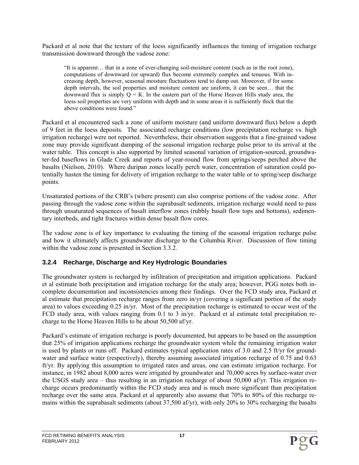Packard et al note that the texture of the loess significantly influences the timing of irrigation recharge transmission downward through the vadose zone:

"It is apparent… that in a zone of ever-changing soil-moisture content (such as in the root zone), computations of downward (or upward) flux become extremely complex and tenuous. With increasing depth, however, seasonal moisture fluctuations tend to damp out. Moreover, if for some depth intervals, the soil properties and moisture content are uniform, it can be seen… that the downward flux is simply  $Q = K$ . In the eastern part of the Horse Heaven Hills study area, the loess soil properties are very uniform with depth and in some areas it is sufficiently thick that the above conditions were found."

Packard et al encountered such a zone of uniform moisture (and uniform downward flux) below a depth of 9 feet in the loess deposits. The associated recharge conditions (low precipitation recharge vs. high irrigation recharge) were not reported. Nevertheless, their observation suggests that a fine-grained vadose zone may provide significant damping of the seasonal irrigation recharge pulse prior to its arrival at the water table. This concept is also supported by limited seasonal variation of irrigation-sourced, groundwater-fed baseflows in Glade Creek and reports of year-round flow from springs/seeps perched above the basalts (Nielson, 2010). Where duripan zones locally perch water, concentration of saturation could potentially hasten the timing for delivery of irrigation recharge to the water table or to spring/seep discharge points.

Unsaturated portions of the CRB's (where present) can also comprise portions of the vadose zone. After passing through the vadose zone within the suprabasalt sediments, irrigation recharge would need to pass through unsaturated sequences of basalt interflow zones (rubbly basalt flow tops and bottoms), sedimentary interbeds, and tight fractures within dense basalt flow cores.

The vadose zone is of key importance to evaluating the timing of the seasonal irrigation recharge pulse and how it ultimately affects groundwater discharge to the Columbia River. Discussion of flow timing within the vadose zone is presented in Section 3.3.2.

## **3.2.4 Recharge, Discharge and Key Hydrologic Boundaries**

The groundwater system is recharged by infiltration of precipitation and irrigation applications. Packard et al estimate both precipitation and irrigation recharge for the study area; however, PGG notes both incomplete documentation and inconsistencies among their findings. Over the FCD study area, Packard et al estimate that precipitation recharge ranges from zero in/yr (covering a significant portion of the study area) to values exceeding 0.25 in/yr. Most of the precipitation recharge is estimated to occur west of the FCD study area, with values ranging from 0.1 to 3 in/yr. Packard et al estimate total precipitation recharge to the Horse Heaven Hills to be about 50,500 af/yr.

Packard's estimate of irrigation recharge is poorly documented, but appears to be based on the assumption that 25% of irrigation applications recharge the groundwater system while the remaining irrigation water is used by plants or runs off. Packard estimates typical application rates of 3.0 and 2.5 ft/yr for groundwater and surface water (respectively), thereby assuming associated irrigation recharge of 0.75 and 0.63 ft/yr. By applying this assumption to irrigated rates and areas, one can estimate irrigation recharge. For instance, in 1982 about 8,000 acres were irrigated by groundwater and 70,000 acres by surface-water over the USGS study area – thus resulting in an irrigation recharge of about 50,000 af/yr. This irrigation recharge occurs predominantly within the FCD study area and is much more significant than precipitation recharge over the same area. Packard et al apparently also assume that 70% to 80% of this recharge remains within the suprabasalt sediments (about 37,500 af/yr), with only 20% to 30% recharging the basalts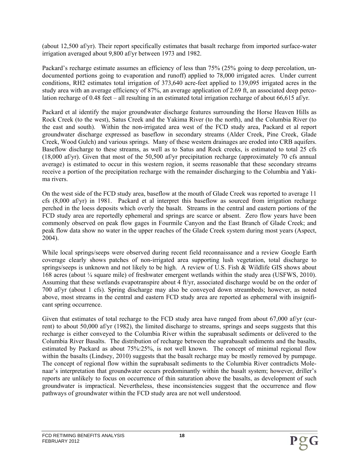(about 12,500 af/yr). Their report specifically estimates that basalt recharge from imported surface-water irrigation averaged about 9,800 af/yr between 1973 and 1982.

Packard's recharge estimate assumes an efficiency of less than 75% (25% going to deep percolation, undocumented portions going to evaporation and runoff) applied to 78,000 irrigated acres. Under current conditions, RH2 estimates total irrigation of 373,640 acre-feet applied to 139,095 irrigated acres in the study area with an average efficiency of 87%, an average application of 2.69 ft, an associated deep percolation recharge of 0.48 feet – all resulting in an estimated total irrigation recharge of about 66,615 af/yr.

Packard et al identify the major groundwater discharge features surrounding the Horse Heaven Hills as Rock Creek (to the west), Satus Creek and the Yakima River (to the north), and the Columbia River (to the east and south). Within the non-irrigated area west of the FCD study area, Packard et al report groundwater discharge expressed as baseflow in secondary streams (Alder Creek, Pine Creek, Glade Creek, Wood Gulch) and various springs. Many of these western drainages are eroded into CRB aquifers. Baseflow discharge to these streams, as well as to Satus and Rock creeks, is estimated to total 25 cfs (18,000 af/yr). Given that most of the 50,500 af/yr precipitation recharge (approximately 70 cfs annual average) is estimated to occur in this western region, it seems reasonable that these secondary streams receive a portion of the precipitation recharge with the remainder discharging to the Columbia and Yakima rivers.

On the west side of the FCD study area, baseflow at the mouth of Glade Creek was reported to average 11 cfs (8,000 af/yr) in 1981. Packard et al interpret this baseflow as sourced from irrigation recharge perched in the loess deposits which overly the basalt. Streams in the central and eastern portions of the FCD study area are reportedly ephemeral and springs are scarce or absent. Zero flow years have been commonly observed on peak flow gages in Fourmile Canyon and the East Branch of Glade Creek; and peak flow data show no water in the upper reaches of the Glade Creek system during most years (Aspect, 2004).

While local springs/seeps were observed during recent field reconnaissance and a review Google Earth coverage clearly shows patches of non-irrigated area supporting lush vegetation, total discharge to springs/seeps is unknown and not likely to be high. A review of U.S. Fish & Wildlife GIS shows about 168 acres (about ¼ square mile) of freshwater emergent wetlands within the study area (USFWS, 2010). Assuming that these wetlands evapotranspire about 4 ft/yr, associated discharge would be on the order of 700 af/yr (about 1 cfs). Spring discharge may also be conveyed down streambeds; however, as noted above, most streams in the central and eastern FCD study area are reported as ephemeral with insignificant spring occurrence.

Given that estimates of total recharge to the FCD study area have ranged from about 67,000 af/yr (current) to about 50,000 af/yr (1982), the limited discharge to streams, springs and seeps suggests that this recharge is either conveyed to the Columbia River within the suprabasalt sediments or delivered to the Columbia River Basalts. The distribution of recharge between the suprabasalt sediments and the basalts, estimated by Packard as about 75%:25%, is not well known. The concept of minimal regional flow within the basalts (Lindsey, 2010) suggests that the basalt recharge may be mostly removed by pumpage. The concept of regional flow within the suprabasalt sediments to the Columbia River contradicts Molenaar's interpretation that groundwater occurs predominantly within the basalt system; however, driller's reports are unlikely to focus on occurrence of thin saturation above the basalts, as development of such groundwater is impractical. Nevertheless, these inconsistencies suggest that the occurrence and flow pathways of groundwater within the FCD study area are not well understood.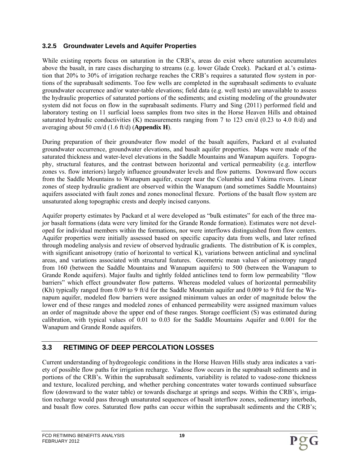## **3.2.5 Groundwater Levels and Aquifer Properties**

While existing reports focus on saturation in the CRB's, areas do exist where saturation accumulates above the basalt, in rare cases discharging to streams (e.g. lower Glade Creek). Packard et al.'s estimation that 20% to 30% of irrigation recharge reaches the CRB's requires a saturated flow system in portions of the suprabasalt sediments. Too few wells are completed in the suprabasalt sediments to evaluate groundwater occurrence and/or water-table elevations; field data (e.g. well tests) are unavailable to assess the hydraulic properties of saturated portions of the sediments; and existing modeling of the groundwater system did not focus on flow in the suprabasalt sediments. Flurry and Sing (2011) performed field and laboratory testing on 11 surficial loess samples from two sites in the Horse Heaven Hills and obtained saturated hydraulic conductivities (K) measurements ranging from 7 to 123 cm/d (0.23 to 4.0 ft/d) and averaging about 50 cm/d (1.6 ft/d) (**Appendix H**).

During preparation of their groundwater flow model of the basalt aquifers, Packard et al evaluated groundwater occurrence, groundwater elevations, and basalt aquifer properties. Maps were made of the saturated thickness and water-level elevations in the Saddle Mountains and Wanapum aquifers. Topography, structural features, and the contrast between horizontal and vertical permeability (e.g. interflow zones vs. flow interiors) largely influence groundwater levels and flow patterns. Downward flow occurs from the Saddle Mountains to Wanapum aquifer, except near the Columbia and Yakima rivers. Linear zones of steep hydraulic gradient are observed within the Wanapum (and sometimes Saddle Mountains) aquifers associated with fault zones and zones monoclinal flexure. Portions of the basalt flow system are unsaturated along topographic crests and deeply incised canyons.

Aquifer property estimates by Packard et al were developed as "bulk estimates" for each of the three major basalt formations (data were very limited for the Grande Ronde formation). Estimates were not developed for individual members within the formations, nor were interflows distinguished from flow centers. Aquifer properties were initially assessed based on specific capacity data from wells, and later refined through modeling analysis and review of observed hydraulic gradients. The distribution of K is complex, with significant anisotropy (ratio of horizontal to vertical K), variations between anticlinal and synclinal areas, and variations associated with structural features. Geometric mean values of anisotropy ranged from 160 (between the Saddle Mountains and Wanapum aquifers) to 500 (between the Wanapum to Grande Ronde aquifers). Major faults and tightly folded anticlines tend to form low permeability "flow barriers" which effect groundwater flow patterns. Whereas modeled values of horizontal permeability (Kh) typically ranged from 0.09 to 9 ft/d for the Saddle Mountain aquifer and 0.009 to 9 ft/d for the Wanapum aquifer, modeled flow barriers were assigned minimum values an order of magnitude below the lower end of these ranges and modeled zones of enhanced permeability were assigned maximum values an order of magnitude above the upper end of these ranges. Storage coefficient (S) was estimated during calibration, with typical values of 0.01 to 0.03 for the Saddle Mountains Aquifer and 0.001 for the Wanapum and Grande Ronde aquifers.

# **3.3 RETIMING OF DEEP PERCOLATION LOSSES**

Current understanding of hydrogeologic conditions in the Horse Heaven Hills study area indicates a variety of possible flow paths for irrigation recharge. Vadose flow occurs in the suprabasalt sediments and in portions of the CRB's. Within the suprabasalt sediments, variability is related to vadose-zone thickness and texture, localized perching, and whether perching concentrates water towards continued subsurface flow (downward to the water table) or towards discharge at springs and seeps. Within the CRB's, irrigation recharge would pass through unsaturated sequences of basalt interflow zones, sedimentary interbeds, and basalt flow cores. Saturated flow paths can occur within the suprabasalt sediments and the CRB's;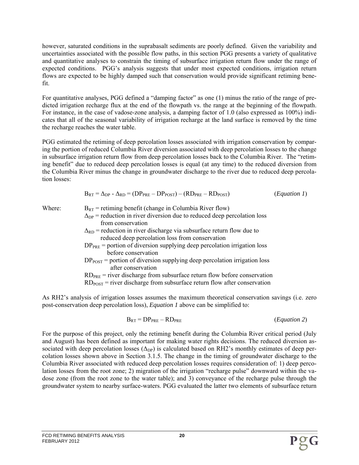however, saturated conditions in the suprabasalt sediments are poorly defined. Given the variability and uncertainties associated with the possible flow paths, in this section PGG presents a variety of qualitative and quantitative analyses to constrain the timing of subsurface irrigation return flow under the range of expected conditions. PGG's analysis suggests that under most expected conditions, irrigation return flows are expected to be highly damped such that conservation would provide significant retiming benefit.

For quantitative analyses, PGG defined a "damping factor" as one (1) minus the ratio of the range of predicted irrigation recharge flux at the end of the flowpath vs. the range at the beginning of the flowpath. For instance, in the case of vadose-zone analysis, a damping factor of 1.0 (also expressed as 100%) indicates that all of the seasonal variability of irrigation recharge at the land surface is removed by the time the recharge reaches the water table.

PGG estimated the retiming of deep percolation losses associated with irrigation conservation by comparing the portion of reduced Columbia River diversion associated with deep percolation losses to the change in subsurface irrigation return flow from deep percolation losses back to the Columbia River. The "retiming benefit" due to reduced deep percolation losses is equal (at any time) to the reduced diversion from the Columbia River minus the change in groundwater discharge to the river due to reduced deep percolation losses:

$$
B_{RT} = \Delta_{DP} - \Delta_{RD} = (DP_{PRE} - DP_{POST}) - (RD_{PRE} - RD_{POST})
$$
 (*Equation 1*)

| Where: | $B_{RT}$ = retiming benefit (change in Columbia River flow)                      |
|--------|----------------------------------------------------------------------------------|
|        | $\Lambda_{\text{DP}}$ = reduction in river diversion due to reduced deep percola |

- $\Delta_{\text{DP}}$  = reduction in river diversion due to reduced deep percolation loss from conservation
- $\Delta_{RD}$  = reduction in river discharge via subsurface return flow due to reduced deep percolation loss from conservation
- $DP<sub>PRE</sub>$  = portion of diversion supplying deep percolation irrigation loss before conservation
- $DP<sub>POST</sub>$  = portion of diversion supplying deep percolation irrigation loss after conservation

 $RD<sub>PRE</sub>$  = river discharge from subsurface return flow before conservation

 $RD<sub>POST</sub>$  = river discharge from subsurface return flow after conservation

As RH2's analysis of irrigation losses assumes the maximum theoretical conservation savings (i.e. zero post-conservation deep percolation loss), *Equation 1* above can be simplified to:

$$
B_{RT} = DP_{PRE} - RD_{PRE}
$$
 (Equation 2)

For the purpose of this project, only the retiming benefit during the Columbia River critical period (July and August) has been defined as important for making water rights decisions. The reduced diversion associated with deep percolation losses  $(\Delta_{DP})$  is calculated based on RH2's monthly estimates of deep percolation losses shown above in Section 3.1.5. The change in the timing of groundwater discharge to the Columbia River associated with reduced deep percolation losses requires consideration of: 1) deep percolation losses from the root zone; 2) migration of the irrigation "recharge pulse" downward within the vadose zone (from the root zone to the water table); and 3) conveyance of the recharge pulse through the groundwater system to nearby surface-waters. PGG evaluated the latter two elements of subsurface return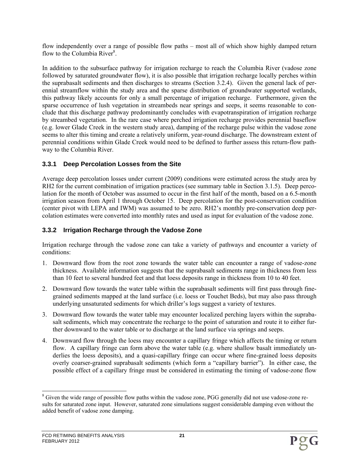flow independently over a range of possible flow paths – most all of which show highly damped return flow to the Columbia River<sup>8</sup>.

In addition to the subsurface pathway for irrigation recharge to reach the Columbia River (vadose zone followed by saturated groundwater flow), it is also possible that irrigation recharge locally perches within the suprabasalt sediments and then discharges to streams (Section 3.2.4). Given the general lack of perennial streamflow within the study area and the sparse distribution of groundwater supported wetlands, this pathway likely accounts for only a small percentage of irrigation recharge. Furthermore, given the sparse occurrence of lush vegetation in streambeds near springs and seeps, it seems reasonable to conclude that this discharge pathway predominantly concludes with evapotranspiration of irrigation recharge by streambed vegetation. In the rare case where perched irrigation recharge provides perennial baseflow (e.g. lower Glade Creek in the western study area), damping of the recharge pulse within the vadose zone seems to alter this timing and create a relatively uniform, year-round discharge. The downstream extent of perennial conditions within Glade Creek would need to be defined to further assess this return-flow pathway to the Columbia River.

## **3.3.1 Deep Percolation Losses from the Site**

Average deep percolation losses under current (2009) conditions were estimated across the study area by RH2 for the current combination of irrigation practices (see summary table in Section 3.1.5). Deep percolation for the month of October was assumed to occur in the first half of the month, based on a 6.5-month irrigation season from April 1 through October 15. Deep percolation for the post-conservation condition (center pivot with LEPA and IWM) was assumed to be zero. RH2's monthly pre-conservation deep percolation estimates were converted into monthly rates and used as input for evaluation of the vadose zone.

## **3.3.2 Irrigation Recharge through the Vadose Zone**

Irrigation recharge through the vadose zone can take a variety of pathways and encounter a variety of conditions:

- 1. Downward flow from the root zone towards the water table can encounter a range of vadose-zone thickness. Available information suggests that the suprabasalt sediments range in thickness from less than 10 feet to several hundred feet and that loess deposits range in thickness from 10 to 40 feet.
- 2. Downward flow towards the water table within the suprabasalt sediments will first pass through finegrained sediments mapped at the land surface (i.e. loess or Touchet Beds), but may also pass through underlying unsaturated sediments for which driller's logs suggest a variety of textures.
- 3. Downward flow towards the water table may encounter localized perching layers within the suprabasalt sediments, which may concentrate the recharge to the point of saturation and route it to either further downward to the water table or to discharge at the land surface via springs and seeps.
- 4. Downward flow through the loess may encounter a capillary fringe which affects the timing or return flow. A capillary fringe can form above the water table (e.g. where shallow basalt immediately underlies the loess deposits), and a quasi-capillary fringe can occur where fine-grained loess deposits overly coarser-grained suprabasalt sediments (which form a "capillary barrier"). In either case, the possible effect of a capillary fringe must be considered in estimating the timing of vadose-zone flow

<sup>1</sup> <sup>8</sup> Given the wide range of possible flow paths within the vadose zone, PGG generally did not use vadose-zone results for saturated zone input. However, saturated zone simulations suggest considerable damping even without the added benefit of vadose zone damping.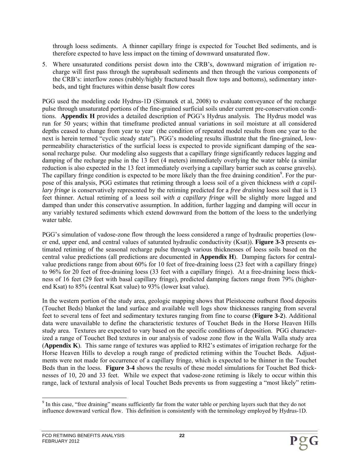through loess sediments. A thinner capillary fringe is expected for Touchet Bed sediments, and is therefore expected to have less impact on the timing of downward unsaturated flow.

5. Where unsaturated conditions persist down into the CRB's, downward migration of irrigation recharge will first pass through the suprabasalt sediments and then through the various components of the CRB's: interflow zones (rubbly/highly fractured basalt flow tops and bottoms), sedimentary interbeds, and tight fractures within dense basalt flow cores

PGG used the modeling code Hydrus-1D (Simunek et al, 2008) to evaluate conveyance of the recharge pulse through unsaturated portions of the fine-grained surficial soils under current pre-conservation conditions. **Appendix H** provides a detailed description of PGG's Hydrus analysis. The Hydrus model was run for 50 years; within that timeframe predicted annual variations in soil moisture at all considered depths ceased to change from year to year (the condition of repeated model results from one year to the next is herein termed "cyclic steady state"). PGG's modeling results illustrate that the fine-grained, lowpermeability characteristics of the surficial loess is expected to provide significant damping of the seasonal recharge pulse. Our modeling also suggests that a capillary fringe significantly reduces lagging and damping of the recharge pulse in the 13 feet (4 meters) immediately overlying the water table (a similar reduction is also expected in the 13 feet immediately overlying a capillary barrier such as coarse gravels). The capillary fringe condition is expected to be more likely than the free draining condition<sup>9</sup>. For the purpose of this analysis, PGG estimates that retiming through a loess soil of a given thickness *with a capillary fringe* is conservatively represented by the retiming predicted for a *free draining* loess soil that is 13 feet thinner. Actual retiming of a loess soil *with a capillary fringe* will be slightly more lagged and damped than under this conservative assumption. In addition, further lagging and damping will occur in any variably textured sediments which extend downward from the bottom of the loess to the underlying water table.

PGG's simulation of vadose-zone flow through the loess considered a range of hydraulic properties (lower end, upper end, and central values of saturated hydraulic conductivity (Ksat)). **Figure 3-3** presents estimated retiming of the seasonal recharge pulse through various thicknesses of loess soils based on the central value predictions (all predictions are documented in **Appendix H**). Damping factors for centralvalue predictions range from about 60% for 10 feet of free-draining loess (23 feet with a capillary fringe) to 96% for 20 feet of free-draining loess (33 feet with a capillary fringe). At a free-draining loess thickness of 16 feet (29 feet with basal capillary fringe), predicted damping factors range from 79% (higherend Ksat) to 85% (central Ksat value) to 93% (lower ksat value).

In the western portion of the study area, geologic mapping shows that Pleistocene outburst flood deposits (Touchet Beds) blanket the land surface and available well logs show thicknesses ranging from several feet to several tens of feet and sedimentary textures ranging from fine to coarse (**Figure 3-2**). Additional data were unavailable to define the characteristic textures of Touchet Beds in the Horse Heaven Hills study area. Textures are expected to vary based on the specific conditions of deposition. PGG characterized a range of Touchet Bed textures in our analysis of vadose zone flow in the Walla Walla study area (**Appendix K**). This same range of textures was applied to RH2's estimates of irrigation recharge for the Horse Heaven Hills to develop a rough range of predicted retiming within the Touchet Beds. Adjustments were not made for occurrence of a capillary fringe, which is expected to be thinner in the Touchet Beds than in the loess. **Figure 3-4** shows the results of these model simulations for Touchet Bed thicknesses of 10, 20 and 33 feet. While we expect that vadose-zone retiming is likely to occur within this range, lack of textural analysis of local Touchet Beds prevents us from suggesting a "most likely" retim-

<sup>&</sup>lt;sup>9</sup> In this case, "free draining" means sufficiently far from the water table or perching layers such that they do not influence downward vertical flow. This definition is consistently with the terminology employed by Hydrus-1D.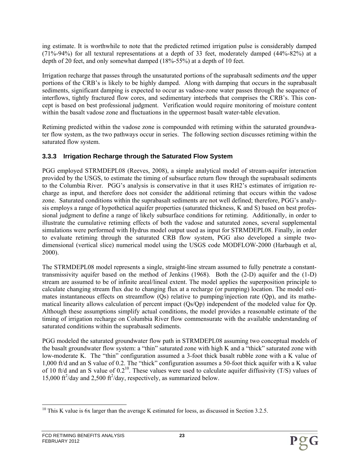ing estimate. It is worthwhile to note that the predicted retimed irrigation pulse is considerably damped (71%-94%) for all textural representations at a depth of 33 feet, moderately damped (44%-82%) at a depth of 20 feet, and only somewhat damped (18%-55%) at a depth of 10 feet.

Irrigation recharge that passes through the unsaturated portions of the suprabasalt sediments *and* the upper portions of the CRB's is likely to be highly damped. Along with damping that occurs in the suprabasalt sediments, significant damping is expected to occur as vadose-zone water passes through the sequence of interflows, tightly fractured flow cores, and sedimentary interbeds that comprises the CRB's. This concept is based on best professional judgment. Verification would require monitoring of moisture content within the basalt vadose zone and fluctuations in the uppermost basalt water-table elevation.

Retiming predicted within the vadose zone is compounded with retiming within the saturated groundwater flow system, as the two pathways occur in series. The following section discusses retiming within the saturated flow system.

#### **3.3.3 Irrigation Recharge through the Saturated Flow System**

PGG employed STRMDEPL08 (Reeves, 2008), a simple analytical model of stream-aquifer interaction provided by the USGS, to estimate the timing of subsurface return flow through the suprabasalt sediments to the Columbia River. PGG's analysis is conservative in that it uses RH2's estimates of irrigation recharge as input, and therefore does not consider the additional retiming that occurs within the vadose zone. Saturated conditions within the suprabasalt sediments are not well defined; therefore, PGG's analysis employs a range of hypothetical aquifer properties (saturated thickness, K and S) based on best professional judgment to define a range of likely subsurface conditions for retiming. Additionally, in order to illustrate the cumulative retiming effects of both the vadose and saturated zones, several supplemental simulations were performed with Hydrus model output used as input for STRMDEPL08. Finally, in order to evaluate retiming through the saturated CRB flow system, PGG also developed a simple twodimensional (vertical slice) numerical model using the USGS code MODFLOW-2000 (Harbaugh et al, 2000).

The STRMDEPL08 model represents a single, straight-line stream assumed to fully penetrate a constanttransmissivity aquifer based on the method of Jenkins (1968). Both the (2-D) aquifer and the (1-D) stream are assumed to be of infinite areal/lineal extent. The model applies the superposition principle to calculate changing stream flux due to changing flux at a recharge (or pumping) location. The model estimates instantaneous effects on streamflow (Qs) relative to pumping/injection rate (Qp), and its mathematical linearity allows calculation of percent impact (Qs/Qp) independent of the modeled value for Qp. Although these assumptions simplify actual conditions, the model provides a reasonable estimate of the timing of irrigation recharge on Columbia River flow commensurate with the available understanding of saturated conditions within the suprabasalt sediments.

PGG modeled the saturated groundwater flow path in STRMDEPL08 assuming two conceptual models of the basalt groundwater flow system: a "thin" saturated zone with high K and a "thick" saturated zone with low-moderate K. The "thin" configuration assumed a 3-foot thick basalt rubble zone with a K value of 1,000 ft/d and an S value of 0.2. The "thick" configuration assumes a 50-foot thick aquifer with a K value of 10 ft/d and an S value of  $0.2^{10}$ . These values were used to calculate aquifer diffusivity (T/S) values of 15,000 ft<sup>2</sup>/day and 2,500 ft<sup>2</sup>/day, respectively, as summarized below.

 $\overline{a}$ 

<sup>&</sup>lt;sup>10</sup> This K value is 6x larger than the average K estimated for loess, as discussed in Section 3.2.5.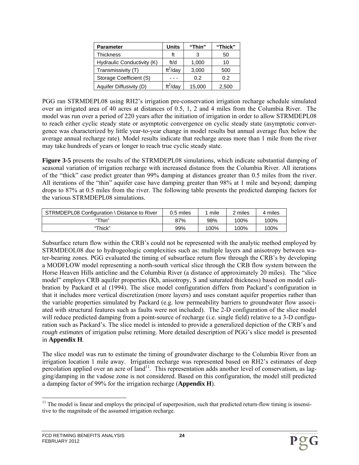| <b>Parameter</b>           | Units                    | "Thin" | "Thick" |
|----------------------------|--------------------------|--------|---------|
| <b>Thickness</b>           | ft                       |        | 50      |
| Hydraulic Conductivity (K) | ft/d                     | 1,000  | 10      |
| Transmissivity (T)         | $\text{ft}^2/\text{day}$ | 3,000  | 500     |
| Storage Coefficient (S)    |                          | 0.2    | 0.2     |
| Aquifer Diffusivity (D)    | $ft^2$ /day              | 15,000 | 2,500   |

PGG ran STRMDEPL08 using RH2's irrigation pre-conservation irrigation recharge schedule simulated over an irrigated area of 40 acres at distances of 0.5, 1, 2 and 4 miles from the Columbia River. The model was run over a period of 220 years after the initiation of irrigation in order to allow STRMDEPL08 to reach either cyclic steady state or asymptotic convergence on cyclic steady state (asymptotic convergence was characterized by little year-to-year change in model results but annual average flux below the average annual recharge rate). Model results indicate that recharge areas more than 1 mile from the river may take hundreds of years or longer to reach true cyclic steady state.

**Figure 3-5** presents the results of the STRMDEPL08 simulations, which indicate substantial damping of seasonal variation of irrigation recharge with increased distance from the Columbia River. All iterations of the "thick" case predict greater than 99% damping at distances greater than 0.5 miles from the river. All iterations of the "thin" aquifer case have damping greater than 98% at 1 mile and beyond; damping drops to 87% at 0.5 miles from the river. The following table presents the predicted damping factors for the various STRMDEPL08 simulations.

| STRMDEPL08 Configuration \ Distance to River | 0.5 miles | mile | ? miles | 4 miles |
|----------------------------------------------|-----------|------|---------|---------|
| "Thin"                                       | 87%       | 98%  | 100%    | 100%    |
| "Thick"                                      | 99%       | 100% | 100%    | 100%    |

Subsurface return flow within the CRB's could not be represented with the analytic method employed by STRMDEOL08 due to hydrogeologic complexities such as: multiple layers and anisotropy between water-bearing zones. PGG evaluated the timing of subsurface return flow through the CRB's by developing a MODFLOW model representing a north-south vertical slice through the CRB flow system between the Horse Heaven Hills anticline and the Columbia River (a distance of approximately 20 miles). The "slice model" employs CRB aquifer properties (Kh, anisotropy, S and saturated thickness) based on model calibration by Packard et al (1994). The slice model configuration differs from Packard's configuration in that it includes more vertical discretization (more layers) and uses constant aquifer properties rather than the variable properties simulated by Packard (e.g. low permeability barriers to groundwater flow associated with structural features such as faults were not included). The 2-D configuration of the slice model will reduce predicted damping from a point-source of recharge (i.e. single field) relative to a 3-D configuration such as Packard's. The slice model is intended to provide a generalized depiction of the CRB's and *rough estimates* of irrigation pulse retiming. More detailed description of PGG's slice model is presented in **Appendix H**.

The slice model was run to estimate the timing of groundwater discharge to the Columbia River from an irrigation location 1 mile away. Irrigation recharge was represented based on RH2's estimates of deep percolation applied over an acre of land<sup>11</sup>. This representation adds another level of conservatism, as lagging/damping in the vadose zone is not considered. Based on this configuration, the model still predicted a damping factor of 99% for the irrigation recharge (**Appendix H**).

<sup>1</sup>  $11$  The model is linear and employs the principal of superposition, such that predicted return-flow timing is insensitive to the magnitude of the assumed irrigation recharge.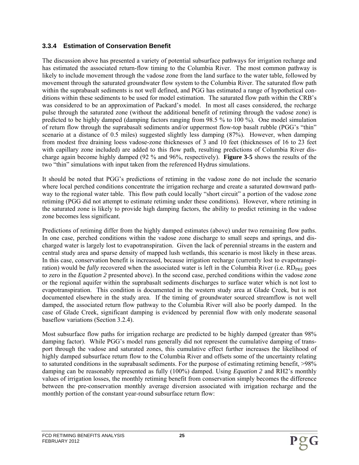#### **3.3.4 Estimation of Conservation Benefit**

The discussion above has presented a variety of potential subsurface pathways for irrigation recharge and has estimated the associated return-flow timing to the Columbia River. The most common pathway is likely to include movement through the vadose zone from the land surface to the water table, followed by movement through the saturated groundwater flow system to the Columbia River. The saturated flow path within the suprabasalt sediments is not well defined, and PGG has estimated a range of hypothetical conditions within these sediments to be used for model estimation. The saturated flow path within the CRB's was considered to be an approximation of Packard's model. In most all cases considered, the recharge pulse through the saturated zone (without the additional benefit of retiming through the vadose zone) is predicted to be highly damped (damping factors ranging from 98.5 % to 100 %). One model simulation of return flow through the suprabasalt sediments and/or uppermost flow-top basalt rubble (PGG's "thin" scenario at a distance of 0.5 miles) suggested slightly less damping (87%). However, when damping from modest free draining loess vadose-zone thicknesses of 3 and 10 feet (thicknesses of 16 to 23 feet with capillary zone included) are added to this flow path, resulting predictions of Columbia River discharge again become highly damped (92 % and 96%, respectively). **Figure 3-5** shows the results of the two "thin" simulations with input taken from the referenced Hydrus simulations.

It should be noted that PGG's predictions of retiming in the vadose zone do not include the scenario where local perched conditions concentrate the irrigation recharge and create a saturated downward pathway to the regional water table. This flow path could locally "short circuit" a portion of the vadose zone retiming (PGG did not attempt to estimate retiming under these conditions). However, where retiming in the saturated zone is likely to provide high damping factors, the ability to predict retiming in the vadose zone becomes less significant.

Predictions of retiming differ from the highly damped estimates (above) under two remaining flow paths. In one case, perched conditions within the vadose zone discharge to small seeps and springs, and discharged water is largely lost to evapotranspiration. Given the lack of perennial streams in the eastern and central study area and sparse density of mapped lush wetlands, this scenario is most likely in these areas. In this case, conservation benefit is increased, because irrigation recharge (currently lost to evapotranspiration) would be *fully* recovered when the associated water is left in the Columbia River (i.e. RD<sub>PRE</sub> goes to zero in the *Equation 2* presented above). In the second case, perched conditions within the vadose zone or the regional aquifer within the suprabasalt sediments discharges to surface water which is not lost to evapotranspiration. This condition is documented in the western study area at Glade Creek, but is not documented elsewhere in the study area. If the timing of groundwater sourced streamflow is not well damped, the associated return flow pathway to the Columbia River will also be poorly damped. In the case of Glade Creek, significant damping is evidenced by perennial flow with only moderate seasonal baseflow variations (Section 3.2.4).

Most subsurface flow paths for irrigation recharge are predicted to be highly damped (greater than 98% damping factor). While PGG's model runs generally did not represent the cumulative damping of transport through the vadose and saturated zones, this cumulative effect further increases the likelihood of highly damped subsurface return flow to the Columbia River and offsets some of the uncertainty relating to saturated conditions in the suprabasalt sediments. For the purpose of estimating retiming benefit, >98% damping can be reasonably represented as fully (100%) damped. Using *Equation 2* and RH2's monthly values of irrigation losses, the monthly retiming benefit from conservation simply becomes the difference between the pre-conservation monthly average diversion associated with irrigation recharge and the monthly portion of the constant year-round subsurface return flow: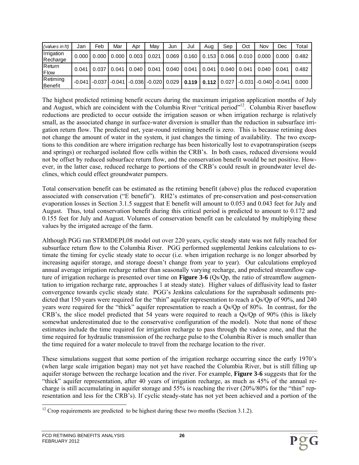| (values in ft)         | Jan      | Feb      | Mar      | Apr   | Mav                     | Jun   | Jul   | Aua | Sep               | Oct   | Nov                        | Dec   | Total |
|------------------------|----------|----------|----------|-------|-------------------------|-------|-------|-----|-------------------|-------|----------------------------|-------|-------|
| Irrigation<br>Recharge | 0.000    | 0.000    | 0.000    | 0.003 | 0.021                   | 0.069 | 0.160 |     | $0.153$ $0.066$   | 0.010 | 0.000                      | 0.000 | 0.482 |
| Return<br>Flow         | 0.041    | 0.037    | 0.041    | 0.040 | 0.041                   | 0.040 | 0.041 |     | $0.041$   $0.040$ | 0.041 | 0.040                      | 0.041 | 0.482 |
| Retiming<br>Benefit    | $-0.041$ | $-0.037$ | $-0.041$ |       | $-0.036$ $-0.020$ 0.029 |       | 0.119 |     | $0.112$ 0.027     |       | $-0.031$ $-0.040$ $-0.041$ |       | 0.000 |

The highest predicted retiming benefit occurs during the maximum irrigation application months of July and August, which are coincident with the Columbia River "critical period"<sup>12</sup>. Columbia River baseflow reductions are predicted to occur outside the irrigation season or when irrigation recharge is relatively small, as the associated change in surface-water diversion is smaller than the reduction in subsurface irrigation return flow. The predicted net, year-round retiming benefit is zero. This is because retiming does not change the amount of water in the system, it just changes the timing of availability. The two exceptions to this condition are where irrigation recharge has been historically lost to evapotranspiration (seeps and springs) or recharged isolated flow cells within the CRB's. In both cases, reduced diversions would not be offset by reduced subsurface return flow, and the conservation benefit would be net positive. However, in the latter case, reduced recharge to portions of the CRB's could result in groundwater level declines, which could effect groundwater pumpers.

Total conservation benefit can be estimated as the retiming benefit (above) plus the reduced evaporation associated with conservation ("E benefit"). RH2's estimates of pre-conservation and post-conservation evaporation losses in Section 3.1.5 suggest that E benefit will amount to 0.053 and 0.043 feet for July and August. Thus, total conservation benefit during this critical period is predicted to amount to 0.172 and 0.155 feet for July and August. Volumes of conservation benefit can be calculated by multiplying these values by the irrigated acreage of the farm.

Although PGG ran STRMDEPL08 model out over 220 years, cyclic steady state was not fully reached for subsurface return flow to the Columbia River. PGG performed supplemental Jenkins calculations to estimate the timing for cyclic steady state to occur (i.e. when irrigation recharge is no longer absorbed by increasing aquifer storage, and storage doesn't change from year to year). Our calculations employed annual average irrigation recharge rather than seasonally varying recharge, and predicted streamflow capture of irrigation recharge is presented over time on **Figure 3-6** (Qs/Qp, the ratio of streamflow augmentation to irrigation recharge rate, approaches 1 at steady state). Higher values of diffusivity lead to faster convergence towards cyclic steady state. PGG's Jenkins calculations for the suprabasalt sediments predicted that 150 years were required for the "thin" aquifer representation to reach a Qs/Qp of 90%, and 240 years were required for the "thick" aquifer representation to reach a Qs/Qp of 80%. In contrast, for the CRB's, the slice model predicted that 54 years were required to reach a Qs/Qp of 90% (this is likely somewhat underestimated due to the conservative configuration of the model). Note that none of these estimates include the time required for irrigation recharge to pass through the vadose zone, and that the time required for hydraulic transmission of the recharge pulse to the Columbia River is much smaller than the time required for a water molecule to travel from the recharge location to the river.

These simulations suggest that some portion of the irrigation recharge occurring since the early 1970's (when large scale irrigation began) may not yet have reached the Columbia River, but is still filling up aquifer storage between the recharge location and the river. For example, **Figure 3-6** suggests that for the "thick" aquifer representation, after 40 years of irrigation recharge, as much as 45% of the annual recharge is still accumulating in aquifer storage and 55% is reaching the river (20%/80% for the "thin" representation and less for the CRB's). If cyclic steady-state has not yet been achieved and a portion of the

 $\overline{a}$ 

 $12$  Crop requirements are predicted to be highest during these two months (Section 3.1.2).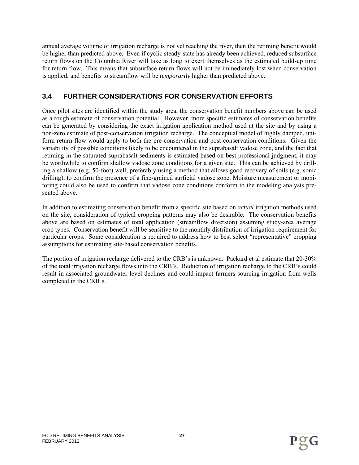annual average volume of irrigation recharge is not yet reaching the river, then the retiming benefit would be higher than predicted above. Even if cyclic steady-state has already been achieved, reduced subsurface return flows on the Columbia River will take as long to exert themselves as the estimated build-up time for return flow. This means that subsurface return flows will not be immediately lost when conservation is applied, and benefits to streamflow will be *temporarily* higher than predicted above.

# **3.4 FURTHER CONSIDERATIONS FOR CONSERVATION EFFORTS**

Once pilot sites are identified within the study area, the conservation benefit numbers above can be used as a rough estimate of conservation potential. However, more specific estimates of conservation benefits can be generated by considering the exact irrigation application method used at the site and by using a non-zero estimate of post-conservation irrigation recharge. The conceptual model of highly damped, uniform return flow would apply to both the pre-conservation and post-conservation conditions. Given the variability of possible conditions likely to be encountered in the suprabasalt vadose zone, and the fact that retiming in the saturated suprabasalt sediments is estimated based on best professional judgment, it may be worthwhile to confirm shallow vadose zone conditions for a given site. This can be achieved by drilling a shallow (e.g. 50-foot) well, preferably using a method that allows good recovery of soils (e.g. sonic drilling), to confirm the presence of a fine-grained surficial vadose zone. Moisture measurement or monitoring could also be used to confirm that vadose zone conditions conform to the modeling analysis presented above.

In addition to estimating conservation benefit from a specific site based on *actual* irrigation methods used on the site, consideration of typical cropping patterns may also be desirable. The conservation benefits above are based on estimates of total application (streamflow diversion) assuming study-area average crop types. Conservation benefit will be sensitive to the monthly distribution of irrigation requirement for particular crops. Some consideration is required to address how to best select "representative" cropping assumptions for estimating site-based conservation benefits.

The portion of irrigation recharge delivered to the CRB's is unknown. Packard et al estimate that 20-30% of the total irrigation recharge flows into the CRB's. Reduction of irrigation recharge to the CRB's could result in associated groundwater level declines and could impact farmers sourcing irrigation from wells completed in the CRB's.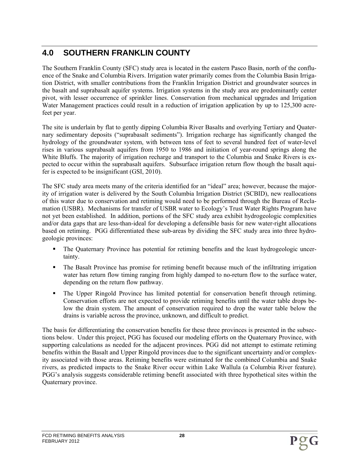# **4.0 SOUTHERN FRANKLIN COUNTY**

The Southern Franklin County (SFC) study area is located in the eastern Pasco Basin, north of the confluence of the Snake and Columbia Rivers. Irrigation water primarily comes from the Columbia Basin Irrigation District, with smaller contributions from the Franklin Irrigation District and groundwater sources in the basalt and suprabasalt aquifer systems. Irrigation systems in the study area are predominantly center pivot, with lesser occurrence of sprinkler lines. Conservation from mechanical upgrades and Irrigation Water Management practices could result in a reduction of irrigation application by up to 125,300 acrefeet per year.

The site is underlain by flat to gently dipping Columbia River Basalts and overlying Tertiary and Quaternary sedimentary deposits ("suprabasalt sediments"). Irrigation recharge has significantly changed the hydrology of the groundwater system, with between tens of feet to several hundred feet of water-level rises in various suprabasalt aquifers from 1950 to 1986 and initiation of year-round springs along the White Bluffs. The majority of irrigation recharge and transport to the Columbia and Snake Rivers is expected to occur within the suprabasalt aquifers. Subsurface irrigation return flow though the basalt aquifer is expected to be insignificant (GSI, 2010).

The SFC study area meets many of the criteria identified for an "ideal" area; however, because the majority of irrigation water is delivered by the South Columbia Irrigation District (SCBID), new reallocations of this water due to conservation and retiming would need to be performed through the Bureau of Reclamation (USBR). Mechanisms for transfer of USBR water to Ecology's Trust Water Rights Program have not yet been established. In addition, portions of the SFC study area exhibit hydrogeologic complexities and/or data gaps that are less-than-ideal for developing a defensible basis for new water-right allocations based on retiming. PGG differentiated these sub-areas by dividing the SFC study area into three hydrogeologic provinces:

- The Quaternary Province has potential for retiming benefits and the least hydrogeologic uncertainty.
- The Basalt Province has promise for retiming benefit because much of the infiltrating irrigation water has return flow timing ranging from highly damped to no-return flow to the surface water, depending on the return flow pathway.
- The Upper Ringold Province has limited potential for conservation benefit through retiming. Conservation efforts are not expected to provide retiming benefits until the water table drops below the drain system. The amount of conservation required to drop the water table below the drains is variable across the province, unknown, and difficult to predict.

The basis for differentiating the conservation benefits for these three provinces is presented in the subsections below. Under this project, PGG has focused our modeling efforts on the Quaternary Province, with supporting calculations as needed for the adjacent provinces. PGG did not attempt to estimate retiming benefits within the Basalt and Upper Ringold provinces due to the significant uncertainty and/or complexity associated with those areas. Retiming benefits were estimated for the combined Columbia and Snake rivers, as predicted impacts to the Snake River occur within Lake Wallula (a Columbia River feature). PGG's analysis suggests considerable retiming benefit associated with three hypothetical sites within the Quaternary province.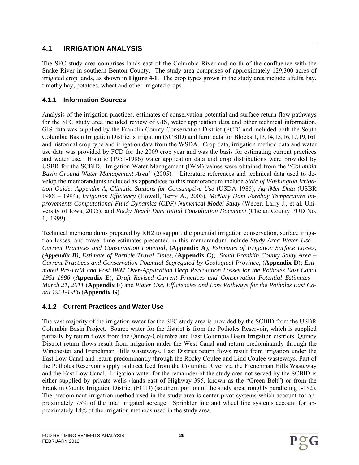# **4.1 IRRIGATION ANALYSIS**

The SFC study area comprises lands east of the Columbia River and north of the confluence with the Snake River in southern Benton County. The study area comprises of approximately 129,300 acres of irrigated crop lands, as shown in **Figure 4-1**. The crop types grown in the study area include alfalfa hay, timothy hay, potatoes, wheat and other irrigated crops.

## **4.1.1 Information Sources**

Analysis of the irrigation practices, estimates of conservation potential and surface return flow pathways for the SFC study area included review of GIS, water application data and other technical information. GIS data was supplied by the Franklin County Conservation District (FCD) and included both the South Columbia Basin Irrigation District's irrigation (SCBID) and farm data for Blocks 1,13,14,15,16,17,19,161 and historical crop type and irrigation data from the WSDA. Crop data, irrigation method data and water use data was provided by FCD for the 2009 crop year and was the basis for estimating current practices and water use. Historic (1951-1986) water application data and crop distributions were provided by USBR for the SCBID. Irrigation Water Management (IWM) values were obtained from the "*Columbia Basin Ground Water Management Area"* (2005). Literature references and technical data used to develop the memorandums included as appendices to this memorandum include *State of Washington Irrigation Guide: Appendix A, Climatic Stations for Consumptive Use* (USDA 1985); *AgriMet Data* (USBR 1988 – 1994); *Irrigation Efficiency* (Howell, Terry A., 2003), *McNary Dam Forebay Temperature Improvements Computational Fluid Dynamics (CDF) Numerical Model Study* (Weber, Larry J., et al. University of Iowa, 2005); and *Rocky Reach Dam Initial Consultation Document* (Chelan County PUD No. 1, 1999).

Technical memorandums prepared by RH2 to support the potential irrigation conservation, surface irrigation losses, and travel time estimates presented in this memorandum include *Study Area Water Use – Current Practices and Conservation Potential*, (**Appendix A**), *Estimates of Irrigation Surface Losses, (Appendix B), Estimate of Particle Travel Times*, (**Appendix C**); *South Franklin County Study Area – Current Practices and Conservation Potential Segregated by Geological Province*, (**Appendix D**); *Estimated Pre-IWM and Post IWM Over-Application Deep Percolation Losses for the Potholes East Canal 1951-1986* (**Appendix E**); *Draft Revised Current Practices and Conservation Potential Estimates* – *March 21, 2011* (**Appendix F**) and *Water Use, Efficiencies and Loss Pathways for the Potholes East Canal 1951-1986* (**Appendix G**).

# **4.1.2 Current Practices and Water Use**

The vast majority of the irrigation water for the SFC study area is provided by the SCBID from the USBR Columbia Basin Project. Source water for the district is from the Potholes Reservoir, which is supplied partially by return flows from the Quincy-Columbia and East Columbia Basin Irrigation districts. Quincy District return flows result from irrigation under the West Canal and return predominantly through the Winchester and Frenchman Hills wasteways. East District return flows result from irrigation under the East Low Canal and return predominantly through the Rocky Coulee and Lind Coulee wasteways. Part of the Potholes Reservoir supply is direct feed from the Columbia River via the Frenchman Hills Wasteway and the East Low Canal. Irrigation water for the remainder of the study area not served by the SCBID is either supplied by private wells (lands east of Highway 395, known as the "Green Belt") or from the Franklin County Irrigation District (FCID) (southern portion of the study area, roughly paralleling I-182). The predominant irrigation method used in the study area is center pivot systems which account for approximately 75% of the total irrigated acreage. Sprinkler line and wheel line systems account for approximately 18% of the irrigation methods used in the study area.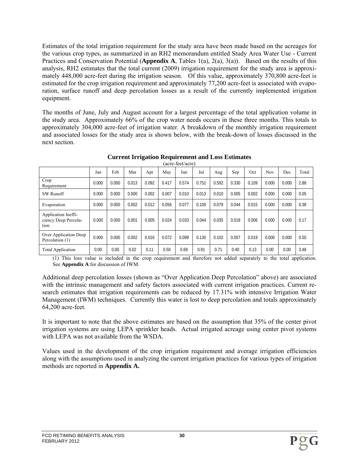Estimates of the total irrigation requirement for the study area have been made based on the acreages for the various crop types, as summarized in an RH2 memorandum entitled Study Area Water Use - Current Practices and Conservation Potential (**Appendix A**, Tables 1(a), 2(a), 3(a)). Based on the results of this analysis, RH2 estimates that the total current (2009) irrigation requirement for the study area is approximately 448,000 acre-feet during the irrigation season. Of this value, approximately 370,800 acre-feet is estimated for the crop irrigation requirement and approximately 77,200 acre-feet is associated with evaporation, surface runoff and deep percolation losses as a result of the currently implemented irrigation equipment.

The months of June, July and August account for a largest percentage of the total application volume in the study area. Approximately 66% of the crop water needs occurs in these three months. This totals to approximately 304,000 acre-feet of irrigation water. A breakdown of the monthly irrigation requirement and associated losses for the study area is shown below, with the break-down of losses discussed in the next section.

|                                                     | Jan   | Feb   | Mar   | Apr   | May   | Jun   | Jul   | Aug   | Sep   | Oct   | Nov   | Dec   | Total |
|-----------------------------------------------------|-------|-------|-------|-------|-------|-------|-------|-------|-------|-------|-------|-------|-------|
| Crop<br>Requirement                                 | 0.000 | 0.000 | 0.013 | 0.092 | 0.417 | 0.574 | 0.751 | 0.592 | 0.330 | 0.109 | 0.000 | 0.000 | 2.88  |
| <b>SW Runoff</b>                                    | 0.000 | 0.000 | 0.000 | 0.002 | 0.007 | 0.010 | 0.013 | 0.010 | 0.005 | 0.002 | 0.000 | 0.000 | 0.05  |
| Evaporation                                         | 0.000 | 0.000 | 0.002 | 0.012 | 0.056 | 0.077 | 0.100 | 0.079 | 0.044 | 0.015 | 0.000 | 0.000 | 0.38  |
| Application Ineffi-<br>ciency Deep Percola-<br>tion | 0.000 | 0.000 | 0.001 | 0.005 | 0.024 | 0.033 | 0.044 | 0.035 | 0.019 | 0.006 | 0.000 | 0.000 | 0.17  |
| Over Application Deep<br>Percolation (1)            | 0.000 | 0.000 | 0.002 | 0.016 | 0.072 | 0.099 | 0.130 | 0.102 | 0.057 | 0.019 | 0.000 | 0.000 | 0.50  |
| <b>Total Application</b>                            | 0.00  | 0.00  | 0.02  | 0.11  | 0.50  | 0.69  | 0.91  | 0.71  | 0.40  | 0.13  | 0.00  | 0.00  | 3.48  |

**Current Irrigation Requirement and Loss Estimates**  (acre-feet/acre)

(1) This loss value is included in the crop requirement and therefore not added separately to the total application. See **Appendix A** for discussion of IWM.

Additional deep percolation losses (shown as "Over Application Deep Percolation" above) are associated with the intrinsic management and safety factors associated with current irrigation practices. Current research estimates that irrigation requirements can be reduced by 17.31% with intensive Irrigation Water Management (IWM) techniques. Currently this water is lost to deep percolation and totals approximately 64,200 acre-feet.

It is important to note that the above estimates are based on the assumption that 35% of the center pivot irrigation systems are using LEPA sprinkler heads. Actual irrigated acreage using center pivot systems with LEPA was not available from the WSDA.

Values used in the development of the crop irrigation requirement and average irrigation efficiencies along with the assumptions used in analyzing the current irrigation practices for various types of irrigation methods are reported in **Appendix A.**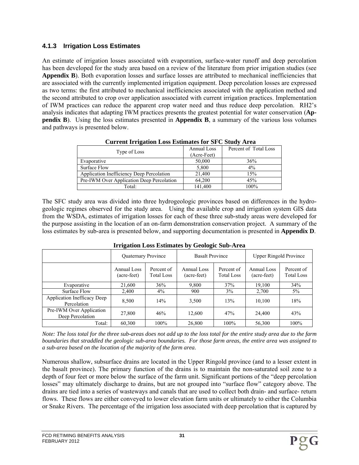#### **4.1.3 Irrigation Loss Estimates**

An estimate of irrigation losses associated with evaporation, surface-water runoff and deep percolation has been developed for the study area based on a review of the literature from prior irrigation studies (see **Appendix B**). Both evaporation losses and surface losses are attributed to mechanical inefficiencies that are associated with the currently implemented irrigation equipment. Deep percolation losses are expressed as two terms: the first attributed to mechanical inefficiencies associated with the application method and the second attributed to crop over application associated with current irrigation practices. Implementation of IWM practices can reduce the apparent crop water need and thus reduce deep percolation. RH2's analysis indicates that adapting IWM practices presents the greatest potential for water conservation (**Appendix B**). Using the loss estimates presented in **Appendix B**, a summary of the various loss volumes and pathways is presented below.

| Type of Loss                              | Annual Loss | Percent of Total Loss |
|-------------------------------------------|-------------|-----------------------|
|                                           | (Acre-Feet) |                       |
| Evaporative                               | 50,000      | 36%                   |
| Surface Flow                              | 5,800       | $4\%$                 |
| Application Inefficiency Deep Percolation | 21,400      | 15%                   |
| Pre-IWM Over Application Deep Percolation | 64.200      | 45%                   |
| Total:                                    | 141.400     | 100%                  |

 **Current Irrigation Loss Estimates for SFC Study Area**

The SFC study area was divided into three hydrogeologic provinces based on differences in the hydrogeologic regimes observed for the study area. Using the available crop and irrigation system GIS data from the WSDA, estimates of irrigation losses for each of these three sub-study areas were developed for the purpose assisting in the location of an on-farm demonstration conservation project. A summary of the loss estimates by sub-area is presented below, and supporting documentation is presented in **Appendix D**.

|                                              | Quaternary Province        |                                 | <b>Basalt Province</b>     |                                 | <b>Upper Ringold Province</b> |                                 |  |
|----------------------------------------------|----------------------------|---------------------------------|----------------------------|---------------------------------|-------------------------------|---------------------------------|--|
|                                              | Annual Loss<br>(acre-feet) | Percent of<br><b>Total Loss</b> | Annual Loss<br>(acre-feet) | Percent of<br><b>Total Loss</b> | Annual Loss<br>(acre-feet)    | Percent of<br><b>Total Loss</b> |  |
| Evaporative                                  | 21,600                     | 36%                             | 9.800                      | 37%                             | 19,100                        | 34%                             |  |
| Surface Flow                                 | 2,400                      | $4\%$                           | 900                        | 3%                              | 2,700                         | $5\%$                           |  |
| Application Inefficacy Deep<br>Percolation   | 8,500                      | 14%                             | 3,500                      | 13%                             | 10,100                        | 18%                             |  |
| Pre-IWM Over Application<br>Deep Percolation | 27,800                     | 46%                             | 12,600                     | 47%                             | 24,400                        | 43%                             |  |
| Total:                                       | 60,300                     | $100\%$                         | 26,800                     | 100%                            | 56,300                        | 100%                            |  |

**Irrigation Loss Estimates by Geologic Sub-Area** 

*Note: The loss total for the three sub-areas does not add up to the loss total for the entire study area due to the farm boundaries that straddled the geologic sub-area boundaries. For those farm areas, the entire area was assigned to a sub-area based on the location of the majority of the farm area.* 

Numerous shallow, subsurface drains are located in the Upper Ringold province (and to a lesser extent in the basalt province). The primary function of the drains is to maintain the non-saturated soil zone to a depth of four feet or more below the surface of the farm unit. Significant portions of the "deep percolation losses" may ultimately discharge to drains, but are not grouped into "surface flow" category above. The drains are tied into a series of wasteways and canals that are used to collect both drain- and surface- return flows. These flows are either conveyed to lower elevation farm units or ultimately to either the Columbia or Snake Rivers. The percentage of the irrigation loss associated with deep percolation that is captured by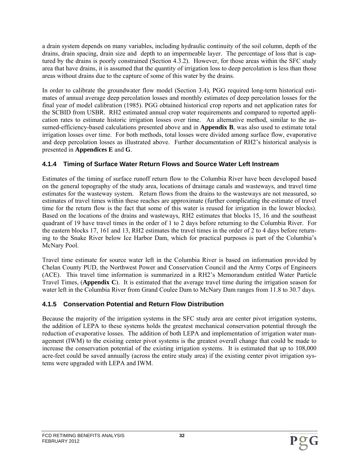a drain system depends on many variables, including hydraulic continuity of the soil column, depth of the drains, drain spacing, drain size and depth to an impermeable layer. The percentage of loss that is captured by the drains is poorly constrained (Section 4.3.2). However, for those areas within the SFC study area that have drains, it is assumed that the quantity of irrigation loss to deep percolation is less than those areas without drains due to the capture of some of this water by the drains.

In order to calibrate the groundwater flow model (Section 3.4), PGG required long-term historical estimates of annual average deep percolation losses and monthly estimates of deep percolation losses for the final year of model calibration (1985). PGG obtained historical crop reports and net application rates for the SCBID from USBR. RH2 estimated annual crop water requirements and compared to reported application rates to estimate historic irrigation losses over time. An alternative method, similar to the assumed-efficiency-based calculations presented above and in **Appendix B**, was also used to estimate total irrigation losses over time. For both methods, total losses were divided among surface flow, evaporative and deep percolation losses as illustrated above. Further documentation of RH2's historical analysis is presented in **Appendices E** and **G**.

## **4.1.4 Timing of Surface Water Return Flows and Source Water Left Instream**

Estimates of the timing of surface runoff return flow to the Columbia River have been developed based on the general topography of the study area, locations of drainage canals and wasteways, and travel time estimates for the wasteway system. Return flows from the drains to the wasteways are not measured, so estimates of travel times within these reaches are approximate (further complicating the estimate of travel time for the return flow is the fact that some of this water is reused for irrigation in the lower blocks). Based on the locations of the drains and wasteways, RH2 estimates that blocks 15, 16 and the southeast quadrant of 19 have travel times in the order of 1 to 2 days before returning to the Columbia River. For the eastern blocks 17, 161 and 13, RH2 estimates the travel times in the order of 2 to 4 days before returning to the Snake River below Ice Harbor Dam, which for practical purposes is part of the Columbia's McNary Pool.

Travel time estimate for source water left in the Columbia River is based on information provided by Chelan County PUD, the Northwest Power and Conservation Council and the Army Corps of Engineers (ACE). This travel time information is summarized in a RH2's Memorandum entitled Water Particle Travel Times, (**Appendix C**). It is estimated that the average travel time during the irrigation season for water left in the Columbia River from Grand Coulee Dam to McNary Dam ranges from 11.8 to 30.7 days.

## **4.1.5 Conservation Potential and Return Flow Distribution**

Because the majority of the irrigation systems in the SFC study area are center pivot irrigation systems, the addition of LEPA to these systems holds the greatest mechanical conservation potential through the reduction of evaporative losses. The addition of both LEPA and implementation of irrigation water management (IWM) to the existing center pivot systems is the greatest overall change that could be made to increase the conservation potential of the existing irrigation systems. It is estimated that up to 108,000 acre-feet could be saved annually (across the entire study area) if the existing center pivot irrigation systems were upgraded with LEPA and IWM.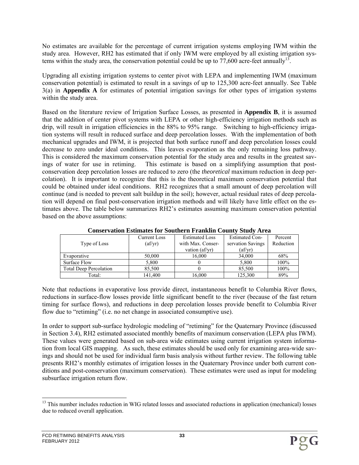No estimates are available for the percentage of current irrigation systems employing IWM within the study area. However, RH2 has estimated that if only IWM were employed by all existing irrigation systems within the study area, the conservation potential could be up to 77,600 acre-feet annually<sup>13</sup>.

Upgrading all existing irrigation systems to center pivot with LEPA and implementing IWM (maximum conservation potential) is estimated to result in a savings of up to 125,300 acre-feet annually. See Table 3(a) in **Appendix A** for estimates of potential irrigation savings for other types of irrigation systems within the study area.

Based on the literature review of Irrigation Surface Losses, as presented in **Appendix B**, it is assumed that the addition of center pivot systems with LEPA or other high-efficiency irrigation methods such as drip, will result in irrigation efficiencies in the 88% to 95% range. Switching to high-efficiency irrigation systems will result in reduced surface and deep percolation losses. With the implementation of both mechanical upgrades and IWM, it is projected that both surface runoff and deep percolation losses could decrease to zero under ideal conditions. This leaves evaporation as the only remaining loss pathway. This is considered the maximum conservation potential for the study area and results in the greatest savings of water for use in retiming. This estimate is based on a simplifying assumption that postconservation deep percolation losses are reduced to zero (the *theoretical* maximum reduction in deep percolation). It is important to recognize that this is the theoretical maximum conservation potential that could be obtained under ideal conditions. RH2 recognizes that a small amount of deep percolation will continue (and is needed to prevent salt buildup in the soil); however, actual residual rates of deep percolation will depend on final post-conservation irrigation methods and will likely have little effect on the estimates above. The table below summarizes RH2's estimates assuming maximum conservation potential based on the above assumptions:

|                               | Current Loss        | <b>Estimated Loss</b> | <b>Estimated Con-</b> | Percent   |
|-------------------------------|---------------------|-----------------------|-----------------------|-----------|
| Type of Loss                  | $\alpha f/\gamma r$ | with Max. Conser-     | servation Savings     | Reduction |
|                               |                     | vation $\text{af/yr}$ | $\text{(af/yr)}$      |           |
| Evaporative                   | 50,000              | 16,000                | 34,000                | 68%       |
| Surface Flow                  | 5,800               |                       | 5,800                 | 100%      |
| <b>Total Deep Percolation</b> | 85.500              |                       | 85.500                | 100%      |
| Total:                        | 141.400             | 16,000                | 125,300               | 89%       |

#### **Conservation Estimates for Southern Franklin County Study Area**

Note that reductions in evaporative loss provide direct, instantaneous benefit to Columbia River flows, reductions in surface-flow losses provide little significant benefit to the river (because of the fast return timing for surface flows), and reductions in deep percolation losses provide benefit to Columbia River flow due to "retiming" (i.e. no net change in associated consumptive use).

In order to support sub-surface hydrologic modeling of "retiming" for the Quaternary Province (discussed in Section 3.4), RH2 estimated associated monthly benefits of maximum conservation (LEPA plus IWM). These values were generated based on sub-area wide estimates using current irrigation system information from local GIS mapping. As such, these estimates should be used only for examining area-wide savings and should not be used for individual farm basis analysis without further review. The following table presents RH2's monthly estimates of irrigation losses in the Quaternary Province under both current conditions and post-conservation (maximum conservation). These estimates were used as input for modeling subsurface irrigation return flow.

l <sup>13</sup> This number includes reduction in WIG related losses and associated reductions in application (mechanical) losses due to reduced overall application.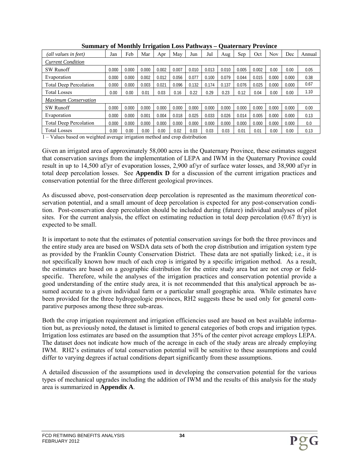| (all values in feet)          | Jan   | Feb   | Mar   | Apr   | May   | Jun   | Jul   | Aug   | Sep   | Oct   | <b>Nov</b> | Dec   | Annual |
|-------------------------------|-------|-------|-------|-------|-------|-------|-------|-------|-------|-------|------------|-------|--------|
| <b>Current Condition</b>      |       |       |       |       |       |       |       |       |       |       |            |       |        |
| <b>SW Runoff</b>              | 0.000 | 0.000 | 0.000 | 0.002 | 0.007 | 0.010 | 0.013 | 0.010 | 0.005 | 0.002 | 0.00       | 0.00  | 0.05   |
| Evaporation                   | 0.000 | 0.000 | 0.002 | 0.012 | 0.056 | 0.077 | 0.100 | 0.079 | 0.044 | 0.015 | 0.000      | 0.000 | 0.38   |
| <b>Total Deep Percolation</b> | 0.000 | 0.000 | 0.003 | 0.021 | 0.096 | 0.132 | 0.174 | 0.137 | 0.076 | 0.025 | 0.000      | 0.000 | 0.67   |
| <b>Total Losses</b>           | 0.00  | 0.00  | 0.01  | 0.03  | 0.16  | 0.22  | 0.29  | 0.23  | 0.12  | 0.04  | 0.00       | 0.00  | 1.10   |
| <b>Maximum Conservation</b>   |       |       |       |       |       |       |       |       |       |       |            |       |        |
| <b>SW Runoff</b>              | 0.000 | 0.000 | 0.000 | 0.000 | 0.000 | 0.000 | 0.000 | 0.000 | 0.000 | 0.000 | 0.000      | 0.000 | 0.00   |
| Evaporation                   | 0.000 | 0.000 | 0.001 | 0.004 | 0.018 | 0.025 | 0.033 | 0.026 | 0.014 | 0.005 | 0.000      | 0.000 | 0.13   |
| <b>Total Deep Percolation</b> | 0.000 | 0.000 | 0.000 | 0.000 | 0.000 | 0.000 | 0.000 | 0.000 | 0.000 | 0.000 | 0.000      | 0.000 | 0.0    |
| <b>Total Losses</b>           | 0.00  | 0.00  | 0.00  | 0.00  | 0.02  | 0.03  | 0.03  | 0.03  | 0.01  | 0.01  | 0.00       | 0.00  | 0.13   |

**Summary of Monthly Irrigation Loss Pathways – Quaternary Province** 

1 – Values based on weighted average irrigation method and crop distribution

Given an irrigated area of approximately 58,000 acres in the Quaternary Province, these estimates suggest that conservation savings from the implementation of LEPA and IWM in the Quaternary Province could result in up to 14,500 af/yr of evaporation losses, 2,900 af/yr of surface water losses, and 38,900 af/yr in total deep percolation losses. See **Appendix D** for a discussion of the current irrigation practices and conservation potential for the three different geological provinces.

As discussed above, post-conservation deep percolation is represented as the maximum *theoretical* conservation potential, and a small amount of deep percolation is expected for any post-conservation condition. Post-conservation deep percolation should be included during (future) individual analyses of pilot sites. For the current analysis, the effect on estimating reduction in total deep percolation  $(0.67 \text{ ft/yr})$  is expected to be small.

It is important to note that the estimates of potential conservation savings for both the three provinces and the entire study area are based on WSDA data sets of both the crop distribution and irrigation system type as provided by the Franklin County Conservation District. These data are not spatially linked; i.e., it is not specifically known how much of each crop is irrigated by a specific irrigation method. As a result, the estimates are based on a geographic distribution for the entire study area but are not crop or fieldspecific. Therefore, while the analyses of the irrigation practices and conservation potential provide a good understanding of the entire study area, it is not recommended that this analytical approach be assumed accurate to a given individual farm or a particular small geographic area. While estimates have been provided for the three hydrogeologic provinces, RH2 suggests these be used only for general comparative purposes among these three sub-areas.

Both the crop irrigation requirement and irrigation efficiencies used are based on best available information but, as previously noted, the dataset is limited to general categories of both crops and irrigation types. Irrigation loss estimates are based on the assumption that 35% of the center pivot acreage employs LEPA. The dataset does not indicate how much of the acreage in each of the study areas are already employing IWM. RH2's estimates of total conservation potential will be sensitive to these assumptions and could differ to varying degrees if actual conditions depart significantly from these assumptions.

A detailed discussion of the assumptions used in developing the conservation potential for the various types of mechanical upgrades including the addition of IWM and the results of this analysis for the study area is summarized in **Appendix A**.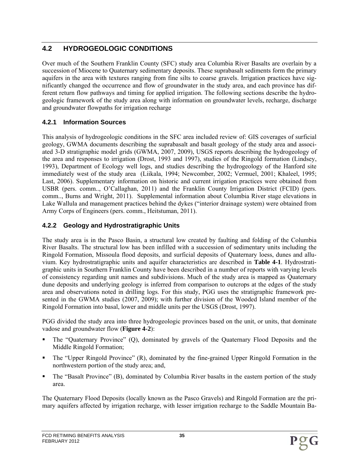# **4.2 HYDROGEOLOGIC CONDITIONS**

Over much of the Southern Franklin County (SFC) study area Columbia River Basalts are overlain by a succession of Miocene to Quaternary sedimentary deposits. These suprabasalt sediments form the primary aquifers in the area with textures ranging from fine silts to coarse gravels. Irrigation practices have significantly changed the occurrence and flow of groundwater in the study area, and each province has different return flow pathways and timing for applied irrigation. The following sections describe the hydrogeologic framework of the study area along with information on groundwater levels, recharge, discharge and groundwater flowpaths for irrigation recharge

## **4.2.1 Information Sources**

This analysis of hydrogeologic conditions in the SFC area included review of: GIS coverages of surficial geology, GWMA documents describing the suprabasalt and basalt geology of the study area and associated 3-D stratigraphic model grids (GWMA, 2007, 2009), USGS reports describing the hydrogeology of the area and responses to irrigation (Drost, 1993 and 1997), studies of the Ringold formation (Lindsey, 1993), Department of Ecology well logs, and studies describing the hydrogeology of the Hanford site immediately west of the study area (Liikala, 1994; Newcomber, 2002; Vermuel, 2001; Khaleel, 1995; Last, 2006). Supplementary information on historic and current irrigation practices were obtained from USBR (pers. comm.., O'Callaghan, 2011) and the Franklin County Irrigation District (FCID) (pers. comm.., Burns and Wright, 2011). Supplemental information about Columbia River stage elevations in Lake Wallula and management practices behind the dykes ("interior drainage system) were obtained from Army Corps of Engineers (pers. comm., Heitstuman, 2011).

## **4.2.2 Geology and Hydrostratigraphic Units**

The study area is in the Pasco Basin, a structural low created by faulting and folding of the Columbia River Basalts. The structural low has been infilled with a succession of sedimentary units including the Ringold Formation, Missoula flood deposits, and surficial deposits of Quaternary loess, dunes and alluvium. Key hydrostratigraphic units and aquifer characteristics are described in **Table 4-1**. Hydrostratigraphic units in Southern Franklin County have been described in a number of reports with varying levels of consistency regarding unit names and subdivisions. Much of the study area is mapped as Quaternary dune deposits and underlying geology is inferred from comparison to outcrops at the edges of the study area and observations noted in drilling logs. For this study, PGG uses the stratigraphic framework presented in the GWMA studies (2007, 2009); with further division of the Wooded Island member of the Ringold Formation into basal, lower and middle units per the USGS (Drost, 1997).

PGG divided the study area into three hydrogeologic provinces based on the unit, or units, that dominate vadose and groundwater flow (**Figure 4-2**):

- The "Quaternary Province" (Q), dominated by gravels of the Quaternary Flood Deposits and the Middle Ringold Formation;
- The "Upper Ringold Province" (R), dominated by the fine-grained Upper Ringold Formation in the northwestern portion of the study area; and,
- The "Basalt Province" (B), dominated by Columbia River basalts in the eastern portion of the study area.

The Quaternary Flood Deposits (locally known as the Pasco Gravels) and Ringold Formation are the primary aquifers affected by irrigation recharge, with lesser irrigation recharge to the Saddle Mountain Ba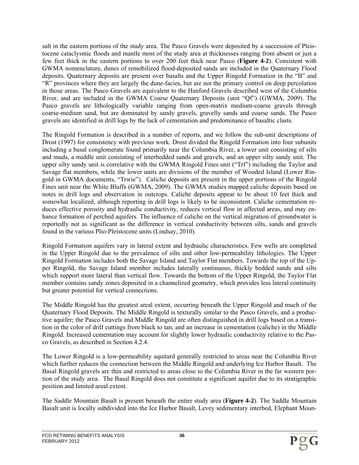salt in the eastern portions of the study area. The Pasco Gravels were deposited by a succession of Pleistocene cataclysmic floods and mantle most of the study area at thicknesses ranging from absent or just a few feet thick in the eastern portions to over 200 feet thick near Pasco (**Figure 4-2**). Consistent with GWMA nomenclature, dunes of remobilized flood-deposited sands are included in the Quaternary Flood deposits. Quaternary deposits are present over basalts and the Upper Ringold Formation in the "B" and "R" provinces where they are largely the dune-facies, but are not the primary control on deep percolation in those areas. The Pasco Gravels are equivalent to the Hanford Gravels described west of the Columbia River, and are included in the GWMA Coarse Quaternary Deposits (unit "Qf") (GWMA, 2009). The Pasco gravels are lithologically variable ranging from open-matrix medium-coarse gravels through coarse-medium sand, but are dominated by sandy gravels, gravelly sands and coarse sands. The Pasco gravels are identified in drill logs by the lack of cementation and predominance of basaltic clasts.

The Ringold Formation is described in a number of reports, and we follow the sub-unit descriptions of Drost (1997) for consistency with previous work. Drost divided the Ringold Formation into four subunits including a basal conglomerate found primarily near the Columbia River, a lower unit consisting of silts and muds, a middle unit consisting of interbedded sands and gravels, and an upper silty sandy unit. The upper silty sandy unit is correlative with the GWMA Ringold Fines unit ("Trf") including the Taylor and Savage flat members, while the lower units are divisions of the member of Wooded Island (Lower Ringold in GWMA documents, "Trwie"). Caliche deposits are present in the upper portions of the Ringold Fines unit near the White Bluffs (GWMA, 2009). The GWMA studies mapped caliche deposits based on notes in drill logs and observation in outcrops. Caliche deposits appear to be about 10 feet thick and somewhat localized, although reporting in drill logs is likely to be inconsistent. Caliche cementation reduces effective porosity and hydraulic conductivity, reduces vertical flow in affected areas, and may enhance formation of perched aquifers. The influence of caliche on the vertical migration of groundwater is reportedly not as significant as the difference in vertical conductivity between silts, sands and gravels found in the various Plio-Pleistocene units (Lindsay, 2010).

Ringold Formation aquifers vary in lateral extent and hydraulic characteristics. Few wells are completed in the Upper Ringold due to the prevalence of silts and other low-permeability lithologies. The Upper Ringold Formation includes both the Savage Island and Taylor Flat members. Towards the top of the Upper Ringold, the Savage Island member includes laterally continuous, thickly bedded sands and silts which support more lateral than vertical flow. Towards the bottom of the Upper Ringold, the Taylor Flat member contains sandy zones deposited in a channelized geometry, which provides less lateral continuity but greater potential for vertical connections.

The Middle Ringold has the greatest areal extent, occurring beneath the Upper Ringold and much of the Quaternary Flood Deposits. The Middle Ringold is texturally similar to the Pasco Gravels, and a productive aquifer; the Pasco Gravels and Middle Ringold are often distinguished in drill logs based on a transition in the color of drill cuttings from black to tan, and an increase in cementation (caliche) in the Middle Ringold. Increased cementation may account for slightly lower hydraulic conductivity relative to the Pasco Gravels, as described in Section 4.2.4.

The Lower Ringold is a low-permeability aquitard generally restricted to areas near the Columbia River which further reduces the connection between the Middle Ringold and underlying Ice Harbor Basalt. The Basal Ringold gravels are thin and restricted to areas close to the Columbia River in the far western portion of the study area. The Basal Ringold does not constitute a significant aquifer due to its stratigraphic position and limited areal extent.

The Saddle Mountain Basalt is present beneath the entire study area (**Figure 4-2**). The Saddle Mountain Basalt unit is locally subdivided into the Ice Harbor Basalt, Levey sedimentary interbed, Elephant Moun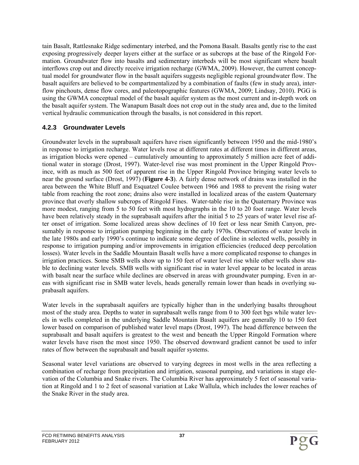tain Basalt, Rattlesnake Ridge sedimentary interbed, and the Pomona Basalt. Basalts gently rise to the east exposing progressively deeper layers either at the surface or as subcrops at the base of the Ringold Formation. Groundwater flow into basalts and sedimentary interbeds will be most significant where basalt interflows crop out and directly receive irrigation recharge (GWMA, 2009). However, the current conceptual model for groundwater flow in the basalt aquifers suggests negligible regional groundwater flow. The basalt aquifers are believed to be compartmentalized by a combination of faults (few in study area), interflow pinchouts, dense flow cores, and paleotopographic features (GWMA, 2009; Lindsay, 2010). PGG is using the GWMA conceptual model of the basalt aquifer system as the most current and in-depth work on the basalt aquifer system. The Wanapum Basalt does not crop out in the study area and, due to the limited vertical hydraulic communication through the basalts, is not considered in this report.

## **4.2.3 Groundwater Levels**

Groundwater levels in the suprabasalt aquifers have risen significantly between 1950 and the mid-1980's in response to irrigation recharge. Water levels rose at different rates at different times in different areas, as irrigation blocks were opened – cumulatively amounting to approximately 5 million acre feet of additional water in storage (Drost, 1997). Water-level rise was most prominent in the Upper Ringold Province, with as much as 500 feet of apparent rise in the Upper Ringold Province bringing water levels to near the ground surface (Drost, 1997) (**Figure 4-3**). A fairly dense network of drains was installed in the area between the White Bluff and Esquatzel Coulee between 1966 and 1988 to prevent the rising water table from reaching the root zone; drains also were installed in localized areas of the eastern Quaternary province that overly shallow subcrops of Ringold Fines. Water-table rise in the Quaternary Province was more modest, ranging from 5 to 50 feet with most hydrographs in the 10 to 20 foot range. Water levels have been relatively steady in the suprabasalt aquifers after the initial 5 to 25 years of water level rise after onset of irrigation. Some localized areas show declines of 10 feet or less near Smith Canyon, presumably in response to irrigation pumping beginning in the early 1970s. Observations of water levels in the late 1980s and early 1990's continue to indicate some degree of decline in selected wells, possibly in response to irrigation pumping and/or improvements in irrigation efficiencies (reduced deep percolation losses). Water levels in the Saddle Mountain Basalt wells have a more complicated response to changes in irrigation practices. Some SMB wells show up to 150 feet of water level rise while other wells show stable to declining water levels. SMB wells with significant rise in water level appear to be located in areas with basalt near the surface while declines are observed in areas with groundwater pumping. Even in areas with significant rise in SMB water levels, heads generally remain lower than heads in overlying suprabasalt aquifers.

Water levels in the suprabasalt aquifers are typically higher than in the underlying basalts throughout most of the study area. Depths to water in suprabasalt wells range from 0 to 300 feet bgs while water levels in wells completed in the underlying Saddle Mountain Basalt aquifers are generally 10 to 150 feet lower based on comparison of published water level maps (Drost, 1997). The head difference between the suprabasalt and basalt aquifers is greatest to the west and beneath the Upper Ringold Formation where water levels have risen the most since 1950. The observed downward gradient cannot be used to infer rates of flow between the suprabasalt and basalt aquifer systems.

Seasonal water level variations are observed to varying degrees in most wells in the area reflecting a combination of recharge from precipitation and irrigation, seasonal pumping, and variations in stage elevation of the Columbia and Snake rivers. The Columbia River has approximately 5 feet of seasonal variation at Ringold and 1 to 2 feet of seasonal variation at Lake Wallula, which includes the lower reaches of the Snake River in the study area.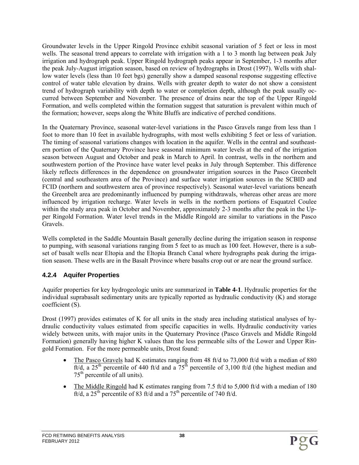Groundwater levels in the Upper Ringold Province exhibit seasonal variation of 5 feet or less in most wells. The seasonal trend appears to correlate with irrigation with a 1 to 3 month lag between peak July irrigation and hydrograph peak. Upper Ringold hydrograph peaks appear in September, 1-3 months after the peak July-August irrigation season, based on review of hydrographs in Drost (1997). Wells with shallow water levels (less than 10 feet bgs) generally show a damped seasonal response suggesting effective control of water table elevation by drains. Wells with greater depth to water do not show a consistent trend of hydrograph variability with depth to water or completion depth, although the peak usually occurred between September and November. The presence of drains near the top of the Upper Ringold Formation, and wells completed within the formation suggest that saturation is prevalent within much of the formation; however, seeps along the White Bluffs are indicative of perched conditions.

In the Quaternary Province, seasonal water-level variations in the Pasco Gravels range from less than 1 foot to more than 10 feet in available hydrographs, with most wells exhibiting 5 feet or less of variation. The timing of seasonal variations changes with location in the aquifer. Wells in the central and southeastern portion of the Quaternary Province have seasonal minimum water levels at the end of the irrigation season between August and October and peak in March to April. In contrast, wells in the northern and southwestern portion of the Province have water level peaks in July through September. This difference likely reflects differences in the dependence on groundwater irrigation sources in the Pasco Greenbelt (central and southeastern area of the Province) and surface water irrigation sources in the SCBID and FCID (northern and southwestern area of province respectively). Seasonal water-level variations beneath the Greenbelt area are predominantly influenced by pumping withdrawals, whereas other areas are more influenced by irrigation recharge. Water levels in wells in the northern portions of Esquatzel Coulee within the study area peak in October and November, approximately 2-3 months after the peak in the Upper Ringold Formation. Water level trends in the Middle Ringold are similar to variations in the Pasco Gravels.

Wells completed in the Saddle Mountain Basalt generally decline during the irrigation season in response to pumping, with seasonal variations ranging from 5 feet to as much as 100 feet. However, there is a subset of basalt wells near Eltopia and the Eltopia Branch Canal where hydrographs peak during the irrigation season. These wells are in the Basalt Province where basalts crop out or are near the ground surface.

### **4.2.4 Aquifer Properties**

Aquifer properties for key hydrogeologic units are summarized in **Table 4-1**. Hydraulic properties for the individual suprabasalt sedimentary units are typically reported as hydraulic conductivity (K) and storage coefficient (S).

Drost (1997) provides estimates of K for all units in the study area including statistical analyses of hydraulic conductivity values estimated from specific capacities in wells. Hydraulic conductivity varies widely between units, with major units in the Quaternary Province (Pasco Gravels and Middle Ringold Formation) generally having higher K values than the less permeable silts of the Lower and Upper Ringold Formation. For the more permeable units, Drost found:

- The Pasco Gravels had K estimates ranging from 48 ft/d to 73,000 ft/d with a median of 880 ft/d, a 25<sup>th</sup> percentile of 440 ft/d and a  $75^{\text{th}}$  percentile of 3,100 ft/d (the highest median and  $75<sup>th</sup>$  percentile of all units).
- The Middle Ringold had K estimates ranging from 7.5 ft/d to 5,000 ft/d with a median of 180  $\frac{f(t)}{dt}$ , a 25<sup>th</sup> percentile of 83 ft/d and a 75<sup>th</sup> percentile of 740 ft/d.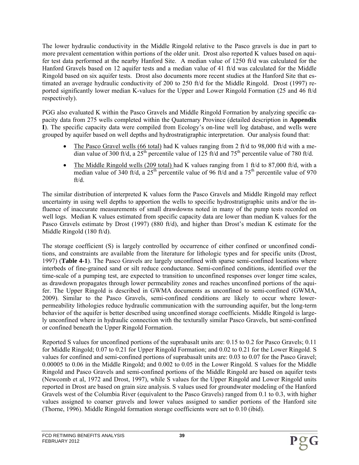The lower hydraulic conductivity in the Middle Ringold relative to the Pasco gravels is due in part to more prevalent cementation within portions of the older unit. Drost also reported K values based on aquifer test data performed at the nearby Hanford Site. A median value of 1250 ft/d was calculated for the Hanford Gravels based on 12 aquifer tests and a median value of 41 ft/d was calculated for the Middle Ringold based on six aquifer tests. Drost also documents more recent studies at the Hanford Site that estimated an average hydraulic conductivity of 200 to 250 ft/d for the Middle Ringold. Drost (1997) reported significantly lower median K-values for the Upper and Lower Ringold Formation (25 and 46 ft/d respectively).

PGG also evaluated K within the Pasco Gravels and Middle Ringold Formation by analyzing specific capacity data from 275 wells completed within the Quaternary Province (detailed description in **Appendix I**). The specific capacity data were compiled from Ecology's on-line well log database, and wells were grouped by aquifer based on well depths and hydrostratigraphic interpretation. Our analysis found that:

- The Pasco Gravel wells (66 total) had K values ranging from 2 ft/d to 98,000 ft/d with a median value of 300 ft/d, a  $25<sup>th</sup>$  percentile value of 125 ft/d and 75<sup>th</sup> percentile value of 780 ft/d.
- The Middle Ringold wells (209 total) had K values ranging from 1 ft/d to 87,000 ft/d, with a median value of 340 ft/d, a  $25<sup>th</sup>$  percentile value of 96 ft/d and a 75<sup>th</sup> percentile value of 970 ft/d.

The similar distribution of interpreted K values form the Pasco Gravels and Middle Ringold may reflect uncertainty in using well depths to apportion the wells to specific hydrostratigraphic units and/or the influence of inaccurate measurements of small drawdowns noted in many of the pump tests recorded on well logs. Median K values estimated from specific capacity data are lower than median K values for the Pasco Gravels estimate by Drost (1997) (880 ft/d), and higher than Drost's median K estimate for the Middle Ringold (180 ft/d).

The storage coefficient (S) is largely controlled by occurrence of either confined or unconfined conditions, and constraints are available from the literature for lithologic types and for specific units (Drost, 1997) (**Table 4-1**). The Pasco Gravels are largely unconfined with sparse semi-confined locations where interbeds of fine-grained sand or silt reduce conductance. Semi-confined conditions, identified over the time-scale of a pumping test, are expected to transition to unconfined responses over longer time scales, as drawdown propagates through lower permeability zones and reaches unconfined portions of the aquifer. The Upper Ringold is described in GWMA documents as unconfined to semi-confined (GWMA, 2009). Similar to the Pasco Gravels, semi-confined conditions are likely to occur where lowerpermeability lithologies reduce hydraulic communication with the surrounding aquifer, but the long-term behavior of the aquifer is better described using unconfined storage coefficients. Middle Ringold is largely unconfined where in hydraulic connection with the texturally similar Pasco Gravels, but semi-confined or confined beneath the Upper Ringold Formation.

Reported S values for unconfined portions of the suprabasalt units are: 0.15 to 0.2 for Pasco Gravels; 0.11 for Middle Ringold; 0.07 to 0.21 for Upper Ringold Formation; and 0.02 to 0.21 for the Lower Ringold. S values for confined and semi-confined portions of suprabasalt units are: 0.03 to 0.07 for the Pasco Gravel; 0.00005 to 0.06 in the Middle Ringold; and 0.002 to 0.05 in the Lower Ringold. S values for the Middle Ringold and Pasco Gravels and semi-confined portions of the Middle Ringold are based on aquifer tests (Newcomb et al, 1972 and Drost, 1997), while S values for the Upper Ringold and Lower Ringold units reported in Drost are based on grain size analysis. S values used for groundwater modeling of the Hanford Gravels west of the Columbia River (equivalent to the Pasco Gravels) ranged from 0.1 to 0.3, with higher values assigned to coarser gravels and lower values assigned to sandier portions of the Hanford site (Thorne, 1996). Middle Ringold formation storage coefficients were set to 0.10 (ibid).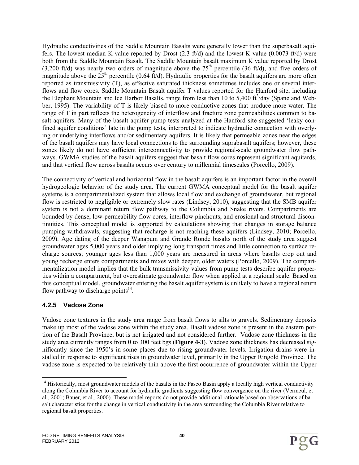Hydraulic conductivities of the Saddle Mountain Basalts were generally lower than the superbasalt aquifers. The lowest median K value reported by Drost (2.3 ft/d) and the lowest K value (0.0073 ft/d) were both from the Saddle Mountain Basalt. The Saddle Mountain basalt maximum K value reported by Drost (3,200 ft/d) was nearly two orders of magnitude above the  $75<sup>th</sup>$  percentile (36 ft/d), and five orders of magnitude above the  $25<sup>th</sup>$  percentile (0.64 ft/d). Hydraulic properties for the basalt aquifers are more often reported as transmissivity (T), as effective saturated thickness sometimes includes one or several interflows and flow cores. Saddle Mountain Basalt aquifer T values reported for the Hanford site, including the Elephant Mountain and Ice Harbor Basalts, range from less than 10 to 5,400  $\mathrm{ft}^2/\mathrm{day}$  (Spane and Webber, 1995). The variability of T is likely biased to more conductive zones that produce more water. The range of T in part reflects the heterogeneity of interflow and fracture zone permeabilities common to basalt aquifers. Many of the basalt aquifer pump tests analyzed at the Hanford site suggested 'leaky confined aquifer conditions' late in the pump tests, interpreted to indicate hydraulic connection with overlying or underlying interflows and/or sedimentary aquifers. It is likely that permeable zones near the edges of the basalt aquifers may have local connections to the surrounding suprabasalt aquifers; however, these zones likely do not have sufficient interconnectivity to provide regional-scale groundwater flow pathways. GWMA studies of the basalt aquifers suggest that basalt flow cores represent significant aquitards, and that vertical flow across basalts occurs over century to millennial timescales (Porcello, 2009).

The connectivity of vertical and horizontal flow in the basalt aquifers is an important factor in the overall hydrogeologic behavior of the study area. The current GWMA conceptual model for the basalt aquifer systems is a compartmentalized system that allows local flow and exchange of groundwater, but regional flow is restricted to negligible or extremely slow rates (Lindsey, 2010), suggesting that the SMB aquifer system is not a dominant return flow pathway to the Columbia and Snake rivers. Compartments are bounded by dense, low-permeability flow cores, interflow pinchouts, and erosional and structural discontinuities. This conceptual model is supported by calculations showing that changes in storage balance pumping withdrawals, suggesting that recharge is not reaching these aquifers (Lindsey, 2010; Porcello, 2009). Age dating of the deeper Wanapum and Grande Ronde basalts north of the study area suggest groundwater ages 5,000 years and older implying long transport times and little connection to surface recharge sources; younger ages less than 1,000 years are measured in areas where basalts crop out and young recharge enters compartments and mixes with deeper, older waters (Porcello, 2009). The compartmentalization model implies that the bulk transmissivity values from pump tests describe aquifer properties within a compartment, but overestimate groundwater flow when applied at a regional scale. Based on this conceptual model, groundwater entering the basalt aquifer system is unlikely to have a regional return flow pathway to discharge points $14$ .

## **4.2.5 Vadose Zone**

Vadose zone textures in the study area range from basalt flows to silts to gravels. Sedimentary deposits make up most of the vadose zone within the study area. Basalt vadose zone is present in the eastern portion of the Basalt Province, but is not irrigated and not considered further. Vadose zone thickness in the study area currently ranges from 0 to 300 feet bgs (**Figure 4-3**). Vadose zone thickness has decreased significantly since the 1950's in some places due to rising groundwater levels. Irrigation drains were installed in response to significant rises in groundwater level, primarily in the Upper Ringold Province. The vadose zone is expected to be relatively thin above the first occurrence of groundwater within the Upper

<sup>1</sup>  $14$  Historically, most groundwater models of the basalts in the Pasco Basin apply a locally high vertical conductivity along the Columbia River to account for hydraulic gradients suggesting flow convergence on the river (Vermeul, et al., 2001; Bauer, et al., 2000). These model reports do not provide additional rationale based on observations of basalt characteristics for the change in vertical conductivity in the area surrounding the Columbia River relative to regional basalt properties.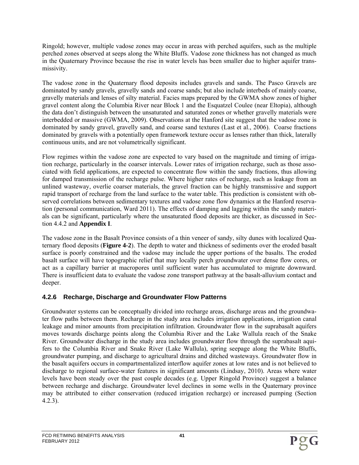Ringold; however, multiple vadose zones may occur in areas with perched aquifers, such as the multiple perched zones observed at seeps along the White Bluffs. Vadose zone thickness has not changed as much in the Quaternary Province because the rise in water levels has been smaller due to higher aquifer transmissivity.

The vadose zone in the Quaternary flood deposits includes gravels and sands. The Pasco Gravels are dominated by sandy gravels, gravelly sands and coarse sands; but also include interbeds of mainly coarse, gravelly materials and lenses of silty material. Facies maps prepared by the GWMA show zones of higher gravel content along the Columbia River near Block 1 and the Esquatzel Coulee (near Eltopia), although the data don't distinguish between the unsaturated and saturated zones or whether gravelly materials were interbedded or massive (GWMA, 2009). Observations at the Hanford site suggest that the vadose zone is dominated by sandy gravel, gravelly sand, and coarse sand textures (Last et al., 2006). Coarse fractions dominated by gravels with a potentially open framework texture occur as lenses rather than thick, laterally continuous units, and are not volumetrically significant.

Flow regimes within the vadose zone are expected to vary based on the magnitude and timing of irrigation recharge, particularly in the coarser intervals. Lower rates of irrigation recharge, such as those associated with field applications, are expected to concentrate flow within the sandy fractions, thus allowing for damped transmission of the recharge pulse. Where higher rates of recharge, such as leakage from an unlined wasteway, overlie coarser materials, the gravel fraction can be highly transmissive and support rapid transport of recharge from the land surface to the water table. This prediction is consistent with observed correlations between sedimentary textures and vadose zone flow dynamics at the Hanford reservation (personal communication, Ward 2011). The effects of damping and lagging within the sandy materials can be significant, particularly where the unsaturated flood deposits are thicker, as discussed in Section 4.4.2 and **Appendix I**.

The vadose zone in the Basalt Province consists of a thin veneer of sandy, silty dunes with localized Quaternary flood deposits (**Figure 4-2**). The depth to water and thickness of sediments over the eroded basalt surface is poorly constrained and the vadose may include the upper portions of the basalts. The eroded basalt surface will have topographic relief that may locally perch groundwater over dense flow cores, or act as a capillary barrier at macropores until sufficient water has accumulated to migrate downward. There is insufficient data to evaluate the vadose zone transport pathway at the basalt-alluvium contact and deeper.

## **4.2.6 Recharge, Discharge and Groundwater Flow Patterns**

Groundwater systems can be conceptually divided into recharge areas, discharge areas and the groundwater flow paths between them. Recharge in the study area includes irrigation applications, irrigation canal leakage and minor amounts from precipitation infiltration. Groundwater flow in the suprabasalt aquifers moves towards discharge points along the Columbia River and the Lake Wallula reach of the Snake River. Groundwater discharge in the study area includes groundwater flow through the suprabasalt aquifers to the Columbia River and Snake River (Lake Wallula), spring seepage along the White Bluffs, groundwater pumping, and discharge to agricultural drains and ditched wasteways. Groundwater flow in the basalt aquifers occurs in compartmentalized interflow aquifer zones at low rates and is not believed to discharge to regional surface-water features in significant amounts (Lindsay, 2010). Areas where water levels have been steady over the past couple decades (e.g. Upper Ringold Province) suggest a balance between recharge and discharge. Groundwater level declines in some wells in the Quaternary province may be attributed to either conservation (reduced irrigation recharge) or increased pumping (Section 4.2.3).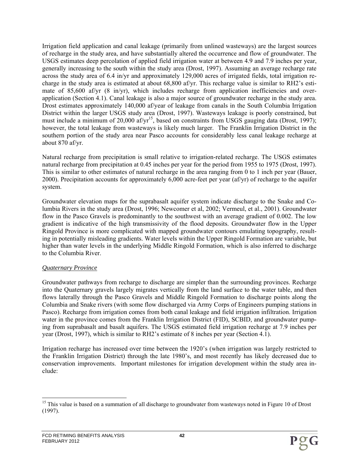Irrigation field application and canal leakage (primarily from unlined wasteways) are the largest sources of recharge in the study area, and have substantially altered the occurrence and flow of groundwater. The USGS estimates deep percolation of applied field irrigation water at between 4.9 and 7.9 inches per year, generally increasing to the south within the study area (Drost, 1997). Assuming an average recharge rate across the study area of 6.4 in/yr and approximately 129,000 acres of irrigated fields, total irrigation recharge in the study area is estimated at about 68,800 af/yr. This recharge value is similar to RH2's estimate of 85,600 af/yr (8 in/yr), which includes recharge from application inefficiencies and overapplication (Section 4.1). Canal leakage is also a major source of groundwater recharge in the study area. Drost estimates approximately 140,000 af/year of leakage from canals in the South Columbia Irrigation District within the larger USGS study area (Drost, 1997). Wasteways leakage is poorly constrained, but must include a minimum of 20,000 af/yr<sup>15</sup>, based on constraints from USGS gauging data (Drost, 1997); however, the total leakage from wasteways is likely much larger. The Franklin Irrigation District in the southern portion of the study area near Pasco accounts for considerably less canal leakage recharge at about 870 af/yr.

Natural recharge from precipitation is small relative to irrigation-related recharge. The USGS estimates natural recharge from precipitation at 0.45 inches per year for the period from 1955 to 1975 (Drost, 1997). This is similar to other estimates of natural recharge in the area ranging from 0 to 1 inch per year (Bauer, 2000). Precipitation accounts for approximately 6,000 acre-feet per year (af/yr) of recharge to the aquifer system.

Groundwater elevation maps for the suprabasalt aquifer system indicate discharge to the Snake and Columbia Rivers in the study area (Drost, 1996; Newcomer et al, 2002; Vermeul, et al., 2001). Groundwater flow in the Pasco Gravels is predominantly to the southwest with an average gradient of 0.002. The low gradient is indicative of the high transmissivity of the flood deposits. Groundwater flow in the Upper Ringold Province is more complicated with mapped groundwater contours emulating topography, resulting in potentially misleading gradients. Water levels within the Upper Ringold Formation are variable, but higher than water levels in the underlying Middle Ringold Formation, which is also inferred to discharge to the Columbia River.

#### *Quaternary Province*

Groundwater pathways from recharge to discharge are simpler than the surrounding provinces. Recharge into the Quaternary gravels largely migrates vertically from the land surface to the water table, and then flows laterally through the Pasco Gravels and Middle Ringold Formation to discharge points along the Columbia and Snake rivers (with some flow discharged via Army Corps of Engineers pumping stations in Pasco). Recharge from irrigation comes from both canal leakage and field irrigation infiltration. Irrigation water in the province comes from the Franklin Irrigation District (FID), SCBID, and groundwater pumping from suprabasalt and basalt aquifers. The USGS estimated field irrigation recharge at 7.9 inches per year (Drost, 1997), which is similar to RH2's estimate of 8 inches per year (Section 4.1).

Irrigation recharge has increased over time between the 1920's (when irrigation was largely restricted to the Franklin Irrigation District) through the late 1980's, and most recently has likely decreased due to conservation improvements. Important milestones for irrigation development within the study area include:

<sup>1</sup> <sup>15</sup> This value is based on a summation of all discharge to groundwater from wasteways noted in Figure 10 of Drost (1997).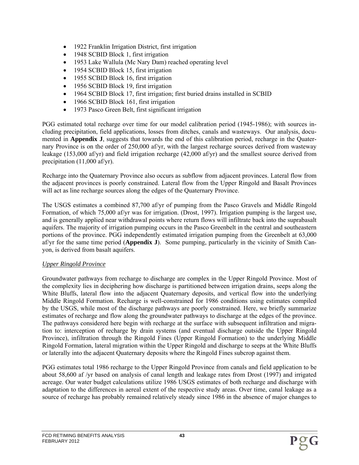- 1922 Franklin Irrigation District, first irrigation
- 1948 SCBID Block 1, first irrigation
- 1953 Lake Wallula (Mc Nary Dam) reached operating level
- 1954 SCBID Block 15, first irrigation
- 1955 SCBID Block 16, first irrigation
- 1956 SCBID Block 19, first irrigation
- 1964 SCBID Block 17, first irrigation; first buried drains installed in SCBID
- 1966 SCBID Block 161, first irrigation
- 1973 Pasco Green Belt, first significant irrigation

PGG estimated total recharge over time for our model calibration period (1945-1986); with sources including precipitation, field applications, losses from ditches, canals and wasteways. Our analysis, documented in **Appendix J**, suggests that towards the end of this calibration period, recharge in the Quaternary Province is on the order of 250,000 af/yr, with the largest recharge sources derived from wasteway leakage (153,000 af/yr) and field irrigation recharge (42,000 af/yr) and the smallest source derived from precipitation (11,000 af/yr).

Recharge into the Quaternary Province also occurs as subflow from adjacent provinces. Lateral flow from the adjacent provinces is poorly constrained. Lateral flow from the Upper Ringold and Basalt Provinces will act as line recharge sources along the edges of the Quaternary Province.

The USGS estimates a combined 87,700 af/yr of pumping from the Pasco Gravels and Middle Ringold Formation, of which 75,000 af/yr was for irrigation. (Drost, 1997). Irrigation pumping is the largest use, and is generally applied near withdrawal points where return flows will infiltrate back into the suprabasalt aquifers. The majority of irrigation pumping occurs in the Pasco Greenbelt in the central and southeastern portions of the province. PGG independently estimated irrigation pumping from the Greenbelt at 63,000 af/yr for the same time period (**Appendix J**). Some pumping, particularly in the vicinity of Smith Canyon, is derived from basalt aquifers.

#### *Upper Ringold Province*

Groundwater pathways from recharge to discharge are complex in the Upper Ringold Province. Most of the complexity lies in deciphering how discharge is partitioned between irrigation drains, seeps along the White Bluffs, lateral flow into the adjacent Quaternary deposits, and vertical flow into the underlying Middle Ringold Formation. Recharge is well-constrained for 1986 conditions using estimates compiled by the USGS, while most of the discharge pathways are poorly constrained. Here, we briefly summarize estimates of recharge and flow along the groundwater pathways to discharge at the edges of the province. The pathways considered here begin with recharge at the surface with subsequent infiltration and migration to: interception of recharge by drain systems (and eventual discharge outside the Upper Ringold Province), infiltration through the Ringold Fines (Upper Ringold Formation) to the underlying Middle Ringold Formation, lateral migration within the Upper Ringold and discharge to seeps at the White Bluffs or laterally into the adjacent Quaternary deposits where the Ringold Fines subcrop against them.

PGG estimates total 1986 recharge to the Upper Ringold Province from canals and field application to be about 58,600 af /yr based on analysis of canal length and leakage rates from Drost (1997) and irrigated acreage. Our water budget calculations utilize 1986 USGS estimates of both recharge and discharge with adaptation to the differences in aereal extent of the respective study areas. Over time, canal leakage as a source of recharge has probably remained relatively steady since 1986 in the absence of major changes to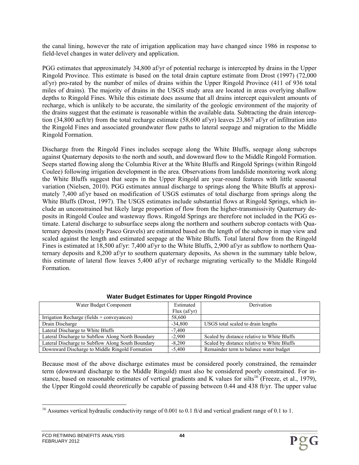the canal lining, however the rate of irrigation application may have changed since 1986 in response to field-level changes in water delivery and application.

PGG estimates that approximately 34,800 af/yr of potential recharge is intercepted by drains in the Upper Ringold Province. This estimate is based on the total drain capture estimate from Drost (1997) (72,000 af/yr) pro-rated by the number of miles of drains within the Upper Ringold Province (411 of 936 total miles of drains). The majority of drains in the USGS study area are located in areas overlying shallow depths to Ringold Fines. While this estimate does assume that all drains intercept equivalent amounts of recharge, which is unlikely to be accurate, the similarity of the geologic environment of the majority of the drains suggest that the estimate is reasonable within the available data. Subtracting the drain interception (34,800 acft/tr) from the total recharge estimate (58,600 af/yr) leaves 23,867 af/yr of infiltration into the Ringold Fines and associated groundwater flow paths to lateral seepage and migration to the Middle Ringold Formation.

Discharge from the Ringold Fines includes seepage along the White Bluffs, seepage along subcrops against Quaternary deposits to the north and south, and downward flow to the Middle Ringold Formation. Seeps started flowing along the Columbia River at the White Bluffs and Ringold Springs (within Ringold Coulee) following irrigation development in the area. Observations from landslide monitoring work along the White Bluffs suggest that seeps in the Upper Ringold are year-round features with little seasonal variation (Nielsen, 2010). PGG estimates annual discharge to springs along the White Bluffs at approximately 7,400 af/yr based on modification of USGS estimates of total discharge from springs along the White Bluffs (Drost, 1997). The USGS estimates include substantial flows at Ringold Springs, which include an unconstrained but likely large proportion of flow from the higher-transmissivity Quaternary deposits in Ringold Coulee and wasteway flows. Ringold Springs are therefore not included in the PGG estimate. Lateral discharge to subsurface seeps along the northern and southern subcrop contacts with Quaternary deposits (mostly Pasco Gravels) are estimated based on the length of the subcrop in map view and scaled against the length and estimated seepage at the White Bluffs. Total lateral flow from the Ringold Fines is estimated at 18,500 af/yr: 7,400 af/yr to the White Bluffs, 2,900 af/yr as subflow to northern Quaternary deposits and 8,200 af/yr to southern quaternary deposits, As shown in the summary table below, this estimate of lateral flow leaves 5,400 af/yr of recharge migrating vertically to the Middle Ringold Formation.

| Water Budget Component                            | Estimated    | Derivation                                  |
|---------------------------------------------------|--------------|---------------------------------------------|
|                                                   | Flux (af/vr) |                                             |
| Irrigation Recharge (fields + conveyances)        | 58.600       |                                             |
| Drain Discharge                                   | $-34.800$    | USGS total scaled to drain lengths          |
| Lateral Discharge to White Bluffs                 | $-7.400$     |                                             |
| Lateral Discharge to Subflow Along North Boundary | $-2.900$     | Scaled by distance relative to White Bluffs |
| Lateral Discharge to Subflow Along South Boundary | $-8.200$     | Scaled by distance relative to White Bluffs |
| Downward Discharge to Middle Ringold Formation    | $-5.400$     | Remainder term to balance water budget      |

#### **Water Budget Estimates for Upper Ringold Province**

Because most of the above discharge estimates must be considered poorly constrained, the remainder term (downward discharge to the Middle Ringold) must also be considered poorly constrained. For instance, based on reasonable estimates of vertical gradients and K values for silts<sup>16</sup> (Freeze, et al., 1979), the Upper Ringold could *theoretically* be capable of passing between 0.44 and 438 ft/yr. The upper value

 $\overline{\phantom{a}}$ <sup>16</sup> Assumes vertical hydraulic conductivity range of 0.001 to 0.1 ft/d and vertical gradient range of 0.1 to 1.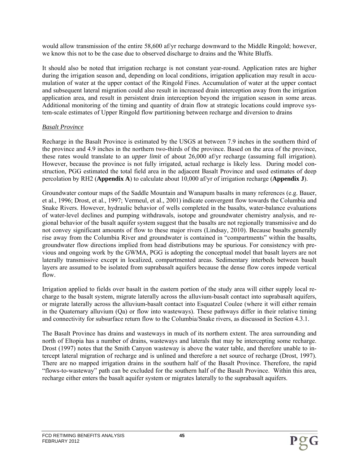would allow transmission of the entire 58,600 af/yr recharge downward to the Middle Ringold; however, we know this not to be the case due to observed discharge to drains and the White Bluffs.

It should also be noted that irrigation recharge is not constant year-round. Application rates are higher during the irrigation season and, depending on local conditions, irrigation application may result in accumulation of water at the upper contact of the Ringold Fines. Accumulation of water at the upper contact and subsequent lateral migration could also result in increased drain interception away from the irrigation application area, and result in persistent drain interception beyond the irrigation season in some areas. Additional monitoring of the timing and quantity of drain flow at strategic locations could improve system-scale estimates of Upper Ringold flow partitioning between recharge and diversion to drains

#### *Basalt Province*

Recharge in the Basalt Province is estimated by the USGS at between 7.9 inches in the southern third of the province and 4.9 inches in the northern two-thirds of the province. Based on the area of the province, these rates would translate to an *upper limit* of about 26,000 af/yr recharge (assuming full irrigation). However, because the province is not fully irrigated, actual recharge is likely less. During model construction, PGG estimated the total field area in the adjacent Basalt Province and used estimates of deep percolation by RH2 (**Appendix A**) to calculate about 10,000 af/yr of irrigation recharge (**Appendix J**).

Groundwater contour maps of the Saddle Mountain and Wanapum basalts in many references (e.g. Bauer, et al., 1996; Drost, et al., 1997; Vermeul, et al., 2001) indicate convergent flow towards the Columbia and Snake Rivers. However, hydraulic behavior of wells completed in the basalts, water-balance evaluations of water-level declines and pumping withdrawals, isotope and groundwater chemistry analysis, and regional behavior of the basalt aquifer system suggest that the basalts are not regionally transmissive and do not convey significant amounts of flow to these major rivers (Lindsay, 2010). Because basalts generally rise away from the Columbia River and groundwater is contained in "compartments" within the basalts, groundwater flow directions implied from head distributions may be spurious. For consistency with previous and ongoing work by the GWMA, PGG is adopting the conceptual model that basalt layers are not laterally transmissive except in localized, compartmented areas. Sedimentary interbeds between basalt layers are assumed to be isolated from suprabasalt aquifers because the dense flow cores impede vertical flow.

Irrigation applied to fields over basalt in the eastern portion of the study area will either supply local recharge to the basalt system, migrate laterally across the alluvium-basalt contact into suprabasalt aquifers, or migrate laterally across the alluvium-basalt contact into Esquatzel Coulee (where it will either remain in the Quaternary alluvium (Qa) or flow into wasteways). These pathways differ in their relative timing and connectivity for subsurface return flow to the Columbia/Snake rivers, as discussed in Section 4.3.1.

The Basalt Province has drains and wasteways in much of its northern extent. The area surrounding and north of Eltopia has a number of drains, wasteways and laterals that may be intercepting some recharge. Drost (1997) notes that the Smith Canyon wasteway is above the water table, and therefore unable to intercept lateral migration of recharge and is unlined and therefore a net source of recharge (Drost, 1997). There are no mapped irrigation drains in the southern half of the Basalt Province. Therefore, the rapid "flows-to-wasteway" path can be excluded for the southern half of the Basalt Province. Within this area, recharge either enters the basalt aquifer system or migrates laterally to the suprabasalt aquifers.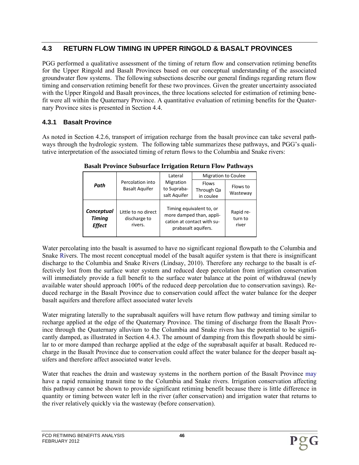# **4.3 RETURN FLOW TIMING IN UPPER RINGOLD & BASALT PROVINCES**

PGG performed a qualitative assessment of the timing of return flow and conservation retiming benefits for the Upper Ringold and Basalt Provinces based on our conceptual understanding of the associated groundwater flow systems. The following subsections describe our general findings regarding return flow timing and conservation retiming benefit for these two provinces. Given the greater uncertainty associated with the Upper Ringold and Basalt provinces, the three locations selected for estimation of retiming benefit were all within the Quaternary Province. A quantitative evaluation of retiming benefits for the Quaternary Province sites is presented in Section 4.4.

### **4.3.1 Basalt Province**

As noted in Section 4.2.6, transport of irrigation recharge from the basalt province can take several pathways through the hydrologic system. The following table summarizes these pathways, and PGG's qualitative interpretation of the associated timing of return flows to the Columbia and Snake rivers:

|                                              |                                                | Lateral                                  | <b>Migration to Coulee</b>                                                                                |                               |
|----------------------------------------------|------------------------------------------------|------------------------------------------|-----------------------------------------------------------------------------------------------------------|-------------------------------|
| Path                                         | Percolation into<br><b>Basalt Aquifer</b>      | Migration<br>to Supraba-<br>salt Aquifer | <b>Flows</b><br>Through Qa<br>in coulee                                                                   | Flows to<br>Wasteway          |
| Conceptual<br><b>Timing</b><br><b>Effect</b> | Little to no direct<br>discharge to<br>rivers. |                                          | Timing equivalent to, or<br>more damped than, appli-<br>cation at contact with su-<br>prabasalt aquifers. | Rapid re-<br>turn to<br>river |

**Basalt Province Subsurface Irrigation Return Flow Pathways** 

Water percolating into the basalt is assumed to have no significant regional flowpath to the Columbia and Snake Rivers. The most recent conceptual model of the basalt aquifer system is that there is insignificant discharge to the Columbia and Snake Rivers (Lindsay, 2010). Therefore any recharge to the basalt is effectively lost from the surface water system and reduced deep percolation from irrigation conservation will immediately provide a full benefit to the surface water balance at the point of withdrawal (newly available water should approach 100% of the reduced deep percolation due to conservation savings). Reduced recharge in the Basalt Province due to conservation could affect the water balance for the deeper basalt aquifers and therefore affect associated water levels

Water migrating laterally to the suprabasalt aquifers will have return flow pathway and timing similar to recharge applied at the edge of the Quaternary Province. The timing of discharge from the Basalt Province through the Quaternary alluvium to the Columbia and Snake rivers has the potential to be significantly damped, as illustrated in Section 4.4.3. The amount of damping from this flowpath should be similar to or more damped than recharge applied at the edge of the suprabasalt aquifer at basalt. Reduced recharge in the Basalt Province due to conservation could affect the water balance for the deeper basalt aquifers and therefore affect associated water levels.

Water that reaches the drain and wasteway systems in the northern portion of the Basalt Province may have a rapid remaining transit time to the Columbia and Snake rivers. Irrigation conservation affecting this pathway cannot be shown to provide significant retiming benefit because there is little difference in quantity or timing between water left in the river (after conservation) and irrigation water that returns to the river relatively quickly via the wasteway (before conservation).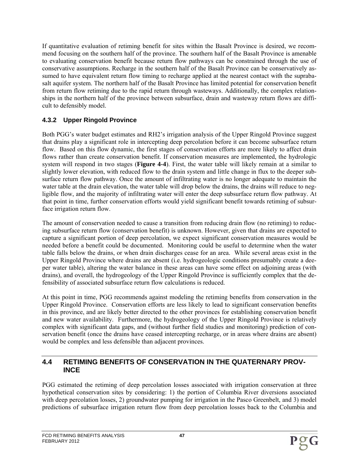If quantitative evaluation of retiming benefit for sites within the Basalt Province is desired, we recommend focusing on the southern half of the province. The southern half of the Basalt Province is amenable to evaluating conservation benefit because return flow pathways can be constrained through the use of conservative assumptions. Recharge in the southern half of the Basalt Province can be conservatively assumed to have equivalent return flow timing to recharge applied at the nearest contact with the suprabasalt aquifer system. The northern half of the Basalt Province has limited potential for conservation benefit from return flow retiming due to the rapid return through wasteways. Additionally, the complex relationships in the northern half of the province between subsurface, drain and wasteway return flows are difficult to defensibly model.

## **4.3.2 Upper Ringold Province**

Both PGG's water budget estimates and RH2's irrigation analysis of the Upper Ringold Province suggest that drains play a significant role in intercepting deep percolation before it can become subsurface return flow. Based on this flow dynamic, the first stages of conservation efforts are more likely to affect drain flows rather than create conservation benefit. If conservation measures are implemented, the hydrologic system will respond in two stages (**Figure 4-4**). First, the water table will likely remain at a similar to slightly lower elevation, with reduced flow to the drain system and little change in flux to the deeper subsurface return flow pathway. Once the amount of infiltrating water is no longer adequate to maintain the water table at the drain elevation, the water table will drop below the drains, the drains will reduce to negligible flow, and the majority of infiltrating water will enter the deep subsurface return flow pathway. At that point in time, further conservation efforts would yield significant benefit towards retiming of subsurface irrigation return flow.

The amount of conservation needed to cause a transition from reducing drain flow (no retiming) to reducing subsurface return flow (conservation benefit) is unknown. However, given that drains are expected to capture a significant portion of deep percolation, we expect significant conservation measures would be needed before a benefit could be documented. Monitoring could be useful to determine when the water table falls below the drains, or when drain discharges cease for an area. While several areas exist in the Upper Ringold Province where drains are absent (i.e. hydrogeologic conditions presumably create a deeper water table), altering the water balance in these areas can have some effect on adjoining areas (with drains), and overall, the hydrogeology of the Upper Ringold Province is sufficiently complex that the defensibility of associated subsurface return flow calculations is reduced.

At this point in time, PGG recommends against modeling the retiming benefits from conservation in the Upper Ringold Province. Conservation efforts are less likely to lead to significant conservation benefits in this province, and are likely better directed to the other provinces for establishing conservation benefit and new water availability. Furthermore, the hydrogeology of the Upper Ringold Province is relatively complex with significant data gaps, and (without further field studies and monitoring) prediction of conservation benefit (once the drains have ceased intercepting recharge, or in areas where drains are absent) would be complex and less defensible than adjacent provinces.

### **4.4 RETIMING BENEFITS OF CONSERVATION IN THE QUATERNARY PROV-INCE**

PGG estimated the retiming of deep percolation losses associated with irrigation conservation at three hypothetical conservation sites by considering: 1) the portion of Columbia River diversions associated with deep percolation losses, 2) groundwater pumping for irrigation in the Pasco Greenbelt, and 3) model predictions of subsurface irrigation return flow from deep percolation losses back to the Columbia and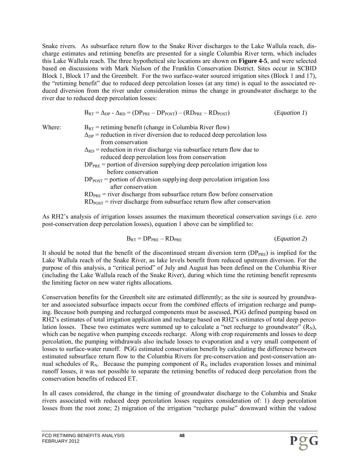Snake rivers. As subsurface return flow to the Snake River discharges to the Lake Wallula reach, discharge estimates and retiming benefits are presented for a single Columbia River term, which includes this Lake Wallula reach. The three hypothetical site locations are shown on **Figure 4-5**, and were selected based on discussions with Mark Nielson of the Franklin Conservation District. Sites occur in SCBID Block 1, Block 17 and the Greenbelt. For the two surface-water sourced irrigation sites (Block 1 and 17), the "retiming benefit" due to reduced deep percolation losses (at any time) is equal to the associated reduced diversion from the river under consideration minus the change in groundwater discharge to the river due to reduced deep percolation losses:

$$
B_{RT} = \Delta_{DP} - \Delta_{RD} = (DP_{PRE} - DP_{POST}) - (RD_{PRE} - RD_{POST})
$$
 (*Equation 1*)

- Where:  $B_{RT}$  = retiming benefit (change in Columbia River flow)
	- $\Delta_{DP}$  = reduction in river diversion due to reduced deep percolation loss from conservation
	- $\Delta_{RD}$  = reduction in river discharge via subsurface return flow due to reduced deep percolation loss from conservation
	- $DP<sub>PRE</sub>$  = portion of diversion supplying deep percolation irrigation loss before conservation
	- $DP<sub>POST</sub>$  = portion of diversion supplying deep percolation irrigation loss after conservation

 $RD<sub>POST</sub>$  = river discharge from subsurface return flow after conservation

As RH2's analysis of irrigation losses assumes the maximum theoretical conservation savings (i.e. zero post-conservation deep percolation losses), equation 1 above can be simplified to:

$$
B_{RT} = DP_{PRE} - RD_{PRE}
$$
 (Equation 2)

It should be noted that the benefit of the discontinued stream diversion term  $(DP_{PRE})$  is implied for the Lake Wallula reach of the Snake River, as lake levels benefit from reduced upstream diversion. For the purpose of this analysis, a "critical period" of July and August has been defined on the Columbia River (including the Lake Wallula reach of the Snake River), during which time the retiming benefit represents the limiting factor on new water rights allocations.

Conservation benefits for the Greenbelt site are estimated differently; as the site is sourced by groundwater and associated subsurface impacts occur from the *combined* effects of irrigation recharge and pumping. Because both pumping and recharged components must be assessed, PGG defined pumping based on RH2's estimates of total irrigation application and recharge based on RH2's estimates of total deep percolation losses. These two estimates were summed up to calculate a "net recharge to groundwater"  $(R_N)$ , which can be negative when pumping exceeds recharge. Along with crop requirements and losses to deep percolation, the pumping withdrawals also include losses to evaporation and a very small component of losses to surface-water runoff. PGG estimated conservation benefit by calculating the difference between estimated subsurface return flow to the Columbia Rivers for pre-conservation and post-conservation annual schedules of  $R_N$ . Because the pumping component of  $R_N$  includes evaporation losses and minimal runoff losses, it was not possible to separate the retiming benefits of reduced deep percolation from the conservation benefits of reduced ET.

In all cases considered, the change in the timing of groundwater discharge to the Columbia and Snake rivers associated with reduced deep percolation losses requires consideration of: 1) deep percolation losses from the root zone; 2) migration of the irrigation "recharge pulse" downward within the vadose

 $RD<sub>PRE</sub>$  = river discharge from subsurface return flow before conservation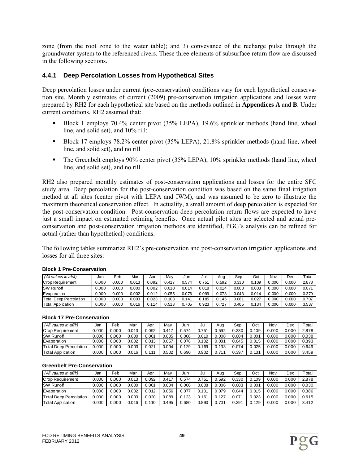zone (from the root zone to the water table); and 3) conveyance of the recharge pulse through the groundwater system to the referenced rivers. These three elements of subsurface return flow are discussed in the following sections.

#### **4.4.1 Deep Percolation Losses from Hypothetical Sites**

Deep percolation losses under current (pre-conservation) conditions vary for each hypothetical conservation site. Monthly estimates of current (2009) pre-conservation irrigation applications and losses were prepared by RH2 for each hypothetical site based on the methods outlined in **Appendices A** and **B**. Under current conditions, RH2 assumed that:

- Block 1 employs 70.4% center pivot (35% LEPA), 19.6% sprinkler methods (hand line, wheel line, and solid set), and 10% rill:
- Block 17 employs 78.2% center pivot (35% LEPA), 21.8% sprinkler methods (hand line, wheel line, and solid set), and no rill
- The Greenbelt employs 90% center pivot (35% LEPA), 10% sprinkler methods (hand line, wheel line, and solid set), and no rill.

RH2 also prepared monthly estimates of post-conservation applications and losses for the entire SFC study area. Deep percolation for the post-conservation condition was based on the same final irrigation method at all sites (center pivot with LEPA and IWM), and was assumed to be zero to illustrate the maximum theoretical conservation effect. In actuality, a small amount of deep percolation is expected for the post-conservation condition. Post-conservation deep percolation return flows are expected to have just a small impact on estimated retiming benefits. Once actual pilot sites are selected and actual preconservation and post-conservation irrigation methods are identified, PGG's analysis can be refined for actual (rather than hypothetical) conditions.

The following tables summarize RH2's pre-conservation and post-conservation irrigation applications and losses for all three sites:

| $(AII$ values in af/ft)       | Jan   | Feb    | Mar   | Apı   | Mav   | Jur   | Jul   | Aua   | Sep   | Oct   | Nov   | Dec   | Total |
|-------------------------------|-------|--------|-------|-------|-------|-------|-------|-------|-------|-------|-------|-------|-------|
| Crop Requirement              | 0.000 | 0.000  | 0.013 | 0.092 | 0.417 | J.574 | 0.751 | 0.592 | 0.330 | 0.109 | 0.000 | 0.000 | 2.878 |
| <b>SW Runoff</b>              | 0.000 | 0.000  | 0.000 | 0.002 | 0.010 | 0.014 | 0.018 | 0.014 | 0.008 | 0.003 | 0.000 | 0.000 | 0.071 |
| Evaporation                   | 0.000 | 0.000  | 0.002 | 0.012 | 0.055 | 0.076 | 0.099 | 0.078 | 0.043 | 0.014 | 0.000 | 0.000 | 0.379 |
| <b>Total Deep Percolation</b> | 0.000 | 000. ( | 0.003 | 0.023 | 0.103 | 0.141 | 0.185 | 0.145 | 0.081 | 0.027 | 0.000 | 0.000 | 0.707 |
| <b>Total Application</b>      | 0.000 | 000.   | 0.016 | 0.114 | 0.513 | 0.705 | 0.923 | 0.727 | 0.405 | 0.134 | 0.000 | 0.000 | 3.537 |

#### **Block 1 Pre-Conservation**

#### **Block 17 Pre-Conservation**

| $(AII$ values in af/ft)  | Jan   | Feb   | Mar   | Apr   | Mav   | Jun   | Jul   | Aug   | Sep   | Oct   | Nov    | Dec   | ™otai |
|--------------------------|-------|-------|-------|-------|-------|-------|-------|-------|-------|-------|--------|-------|-------|
| Crop Requirement         | 0.000 | 0.000 | 0.013 | 0.092 | 0.417 | 0.574 | 0.751 | , 592 | 0.330 | ე.109 | 0.00C  | 0.000 | 2.878 |
| <b>SW Runoff</b>         | 0.000 | 0.000 | 0.00C | 0.001 | 0.005 | 0.008 | 0.010 | 0.008 | 0.004 | 0.001 | 000. ر | 0.000 | 0.038 |
| Evaporation              | 0.000 | 0.000 | 0.002 | 0.013 | 0.057 | 0.078 | 0.102 | 0.081 | 0.045 | 0.015 | 0.000  | 0.000 | 0.393 |
| Total Deep Percolation   | 0.000 | 0.000 | 0.003 | 0.021 | 0.094 | 0.129 | 0.169 | 0.133 | 0.074 | 0.025 | 0.00C  | 0.000 | 0.649 |
| <b>Total Application</b> | 0.000 | 0.000 | 0.016 | 444   | ).502 | 0.690 | 0.902 | .71   | .397  | J.131 | 000. / | 0.000 | 3.459 |

#### **Greenbelt Pre-Conservation**

| $(AII$ values in af/ft)       | Jar   | Feb   | Mar   | Apr   | Mav   | Jun   | Jul   | Aua   | Sep               | Oct   | Nov   | Dec   | $\tau$ otal |
|-------------------------------|-------|-------|-------|-------|-------|-------|-------|-------|-------------------|-------|-------|-------|-------------|
| Crop Requirement              | 0.000 | 0.000 | 0.013 | 0.092 | 0.417 | 0.574 | 0.751 | 0.592 | 0.330             | 0.109 | .000  | 0.000 | 2.878       |
| <b>SW Runoff</b>              | 0.000 | 0.000 | 0.00C | 0.001 | 0.004 | 0.006 | 0.008 | 0.006 | 0.003             | 0.001 | .000  | 0.000 | 0.030       |
| Evaporation                   | 0.000 | 0.000 | 0.002 | 0.012 | 0.056 | 0.077 | 0.101 | 0.079 | 0.044 ل           | 0.015 | 0.000 | 0.000 | 0.386       |
| <b>Total Deep Percolation</b> | 0.000 | 0.000 | 0.003 | 0.020 | 0.089 | 0.123 | 0.161 | 0.127 | 0.071             | 0.023 | 0.000 | 0.000 | 0.615       |
| <b>Total Application</b>      | 0.000 | 0.000 | 0.016 | 0.110 | 0.495 | 0.680 | 0.890 | 0.701 | 0.39 <sup>4</sup> | 0.129 | .00C  | 0.000 | 3.412       |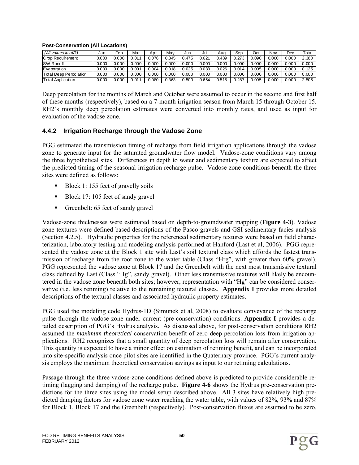| $(AII$ values in af/ft)       | Jan   | Feb   | Mar   | Apr   | Mav   | Jun   | Jul   | Aua   | Sep   | Oct   | Nov   | Dec   | $\tau$ otai |
|-------------------------------|-------|-------|-------|-------|-------|-------|-------|-------|-------|-------|-------|-------|-------------|
| Crop Requirement              | 0.000 | 0.000 | 0.011 | 0.076 | 0.345 | 3.475 | 0.621 | 0.489 | 0.273 | 0.090 | 0.000 | 0.000 | 2.380       |
| <b>SW Runoff</b>              | 0.000 | 0.000 | 0.000 | 0.000 | 0.000 | .000  | 0.000 | 0.000 | 0.000 | 0.000 | 0.000 | 0.000 | 0.000       |
| Evaporation                   | 0.000 | 0.000 | 0.001 | 0.004 | 0.018 | .025  | 0.033 | 0.026 | 0.014 | 0.005 | 0.000 | 0.000 | 0.125       |
| <b>Total Deep Percolation</b> | 0.000 | 0.000 | 0.000 | 0.000 | 0.000 | 0.000 | 0.000 | 0.000 | 0.000 | 0.000 | 0.000 | 0.000 | 0.000       |
| <b>Total Application</b>      | 0.000 | 0.000 | 0.014 | 0.080 | 0.363 | 0.500 | 0.654 | 0.515 | .287  | 0.095 | 0.000 | 0.000 | 2.505       |

#### **Post-Conservation (All Locations)**

Deep percolation for the months of March and October were assumed to occur in the second and first half of these months (respectively), based on a 7-month irrigation season from March 15 through October 15. RH2's monthly deep percolation estimates were converted into monthly rates, and used as input for evaluation of the vadose zone.

#### **4.4.2 Irrigation Recharge through the Vadose Zone**

PGG estimated the transmission timing of recharge from field irrigation applications through the vadose zone to generate input for the saturated groundwater flow model. Vadose-zone conditions vary among the three hypothetical sites. Differences in depth to water and sedimentary texture are expected to affect the predicted timing of the seasonal irrigation recharge pulse. Vadose zone conditions beneath the three sites were defined as follows:

- Block 1: 155 feet of gravelly soils
- Block 17: 105 feet of sandy gravel
- Greenbelt: 65 feet of sandy gravel

Vadose-zone thicknesses were estimated based on depth-to-groundwater mapping (**Figure 4-3**). Vadose zone textures were defined based descriptions of the Pasco gravels and GSI sedimentary facies analysis (Section 4.2.5). Hydraulic properties for the referenced sedimentary textures were based on field characterization, laboratory testing and modeling analysis performed at Hanford (Last et al, 2006). PGG represented the vadose zone at the Block 1 site with Last's soil textural class which affords the fastest transmission of recharge from the root zone to the water table (Class "Hrg", with greater than 60% gravel). PGG represented the vadose zone at Block 17 and the Greenbelt with the next most transmissive textural class defined by Last (Class "Hg", sandy gravel). Other less transmissive textures will likely be encountered in the vadose zone beneath both sites; however, representation with "Hg" can be considered conservative (i.e. less retiming) relative to the remaining textural classes. **Appendix I** provides more detailed descriptions of the textural classes and associated hydraulic property estimates.

PGG used the modeling code Hydrus-1D (Simunek et al, 2008) to evaluate conveyance of the recharge pulse through the vadose zone under current (pre-conservation) conditions. **Appendix I** provides a detailed description of PGG's Hydrus analysis. As discussed above, for post-conservation conditions RH2 assumed the *maximum theoretical* conservation benefit of zero deep percolation loss from irrigation applications. RH2 recognizes that a small quantity of deep percolation loss will remain after conservation. This quantity is expected to have a minor effect on estimation of retiming benefit, and can be incorporated into site-specific analysis once pilot sites are identified in the Quaternary province. PGG's current analysis employs the maximum theoretical conservation savings as input to our retiming calculations.

Passage through the three vadose-zone conditions defined above is predicted to provide considerable retiming (lagging and damping) of the recharge pulse. **Figure 4-6** shows the Hydrus pre-conservation predictions for the three sites using the model setup described above. All 3 sites have relatively high predicted damping factors for vadose zone water reaching the water table, with values of 82%, 93% and 87% for Block 1, Block 17 and the Greenbelt (respectively). Post-conservation fluxes are assumed to be zero.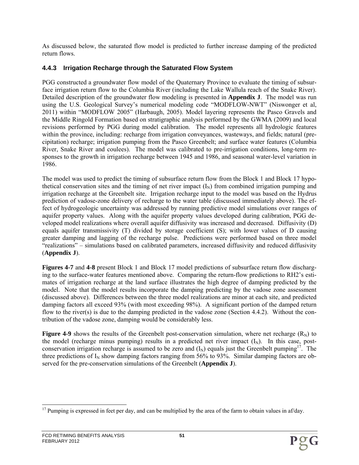As discussed below, the saturated flow model is predicted to further increase damping of the predicted return flows.

## **4.4.3 Irrigation Recharge through the Saturated Flow System**

PGG constructed a groundwater flow model of the Quaternary Province to evaluate the timing of subsurface irrigation return flow to the Columbia River (including the Lake Wallula reach of the Snake River). Detailed description of the groundwater flow modeling is presented in **Appendix J**. The model was run using the U.S. Geological Survey's numerical modeling code "MODFLOW-NWT" (Niswonger et al, 2011) within "MODFLOW 2005" (Harbaugh, 2005). Model layering represents the Pasco Gravels and the Middle Ringold Formation based on stratigraphic analysis performed by the GWMA (2009) and local revisions performed by PGG during model calibration. The model represents all hydrologic features within the province, including: recharge from irrigation conveyances, wasteways, and fields; natural (precipitation) recharge; irrigation pumping from the Pasco Greenbelt; and surface water features (Columbia River, Snake River and coulees). The model was calibrated to pre-irrigation conditions, long-term responses to the growth in irrigation recharge between 1945 and 1986, and seasonal water-level variation in 1986.

The model was used to predict the timing of subsurface return flow from the Block 1 and Block 17 hypothetical conservation sites and the timing of net river impact  $(I<sub>N</sub>)$  from combined irrigation pumping and irrigation recharge at the Greenbelt site. Irrigation recharge input to the model was based on the Hydrus prediction of vadose-zone delivery of recharge to the water table (discussed immediately above). The effect of hydrogeologic uncertainty was addressed by running predictive model simulations over ranges of aquifer property values. Along with the aquifer property values developed during calibration, PGG developed model realizations where overall aquifer diffusivity was increased and decreased. Diffusivity (D) equals aquifer transmissivity (T) divided by storage coefficient (S); with lower values of D causing greater damping and lagging of the recharge pulse. Predictions were performed based on three model "realizations" – simulations based on calibrated parameters, increased diffusivity and reduced diffusivity (**Appendix J**).

**Figures 4-7** and **4-8** present Block 1 and Block 17 model predictions of subsurface return flow discharging to the surface-water features mentioned above. Comparing the return-flow predictions to RH2's estimates of irrigation recharge at the land surface illustrates the high degree of damping predicted by the model. Note that the model results incorporate the damping predicting by the vadose zone assessment (discussed above). Differences between the three model realizations are minor at each site, and predicted damping factors all exceed 93% (with most exceeding 98%). A significant portion of the damped return flow to the river(s) is due to the damping predicted in the vadose zone (Section 4.4.2). Without the contribution of the vadose zone, damping would be considerably less.

**Figure 4-9** shows the results of the Greenbelt post-conservation simulation, where net recharge  $(R_N)$  to the model (recharge minus pumping) results in a predicted net river impact  $(I_N)$ . In this case, postconservation irrigation recharge is assumed to be zero and  $(I_N)$  equals just the Greenbelt pumping<sup>17</sup>. The three predictions of  $I_N$  show damping factors ranging from 56% to 93%. Similar damping factors are observed for the pre-conservation simulations of the Greenbelt (**Appendix J**).

 $\overline{\phantom{a}}$  $17$  Pumping is expressed in feet per day, and can be multiplied by the area of the farm to obtain values in af/day.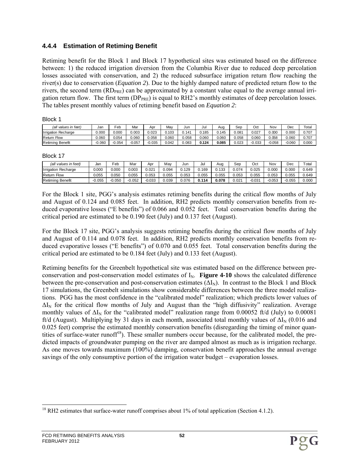#### **4.4.4 Estimation of Retiming Benefit**

Retiming benefit for the Block 1 and Block 17 hypothetical sites was estimated based on the difference between: 1) the reduced irrigation diversion from the Columbia River due to reduced deep percolation losses associated with conservation, and 2) the reduced subsurface irrigation return flow reaching the river(s) due to conservation (*Equation 2*). Due to the highly damped nature of predicted return flow to the rivers, the second term  $(RD_{PRE})$  can be approximated by a constant value equal to the average annual irrigation return flow. The first term  $(DP_{PRE})$  is equal to RH2's monthly estimates of deep percolation losses. The tables present monthly values of retiming benefit based on *Equation 2*:

Block 1

| (all values in feet)           | Jan      | $\overline{e}$ eb | Mar   | Apr      | May   | Jun   | Jul   | Auc   | Sec   | Oct      | Νον      | Dec      | Total |
|--------------------------------|----------|-------------------|-------|----------|-------|-------|-------|-------|-------|----------|----------|----------|-------|
| Recharge<br><b>Ilrrigation</b> | 0.000    | 0.000             | 0.003 | 0.023    | 0.103 | 141.  | 0.185 | 0.145 | 0.081 | 0.027    | 0.000    | 0.000    | 0.707 |
| <b>Return Flow</b>             | J.060    | 0.054             | 0.060 | 0.058    | 0.060 | 0.058 | 0.060 | 0.060 | 0.058 | 0.060    | ა. 058   | 060.0    | 0.707 |
| Retimina<br>Benefit            | $-0.060$ | 0.054             | 0.057 | $-0.035$ | 0.042 | 0.083 | 0.124 | 0.085 | 0.023 | $-0.033$ | $-0.058$ | $-0.060$ | 0.000 |

Block 17

| (all values in feet)       | Jan      | ≂eb      | Mar   | Apr      | Mav   | Jur   | Jul   | Aug   | Ser    | Oct      | Nov      | Dec      | $\tau$ <sub>otal</sub> |
|----------------------------|----------|----------|-------|----------|-------|-------|-------|-------|--------|----------|----------|----------|------------------------|
| <b>Irrigation Recharge</b> | 0.000    | 0.000    | 0.003 | 0.021    | 0.094 | 0.129 | 169   | 0.133 | 074. ل | 0.025    | 0.000    | 0.000    | 0.649                  |
| <b>Return Flow</b>         | ง.055    | 0.050    | 0.055 | 0.053    | 0.055 | 0.053 | 0.055 | 0.055 | 0.053  | 0.055    | 0.053    | 0.055    | 0.649                  |
| <b>Retiming Benefit</b>    | $-0.055$ | $-0.050$ | 0.052 | $-0.033$ | 0.039 | 0.076 | 0.114 | 0.078 | 0.021  | $-0.034$ | $-0.053$ | $-0.055$ | 0.000                  |

For the Block 1 site, PGG's analysis estimates retiming benefits during the critical flow months of July and August of 0.124 and 0.085 feet. In addition, RH2 predicts monthly conservation benefits from reduced evaporative losses ("E benefits") of 0.066 and 0.052 feet. Total conservation benefits during the critical period are estimated to be 0.190 feet (July) and 0.137 feet (August).

For the Block 17 site, PGG's analysis suggests retiming benefits during the critical flow months of July and August of 0.114 and 0.078 feet. In addition, RH2 predicts monthly conservation benefits from reduced evaporative losses ("E benefits") of 0.070 and 0.055 feet. Total conservation benefits during the critical period are estimated to be 0.184 feet (July) and 0.133 feet (August).

Retiming benefits for the Greenbelt hypothetical site was estimated based on the difference between preconservation and post-conservation model estimates of  $I_N$ . **Figure 4-10** shows the calculated difference between the pre-conservation and post-conservation estimates  $(\Delta I_N)$ . In contrast to the Block 1 and Block 17 simulations, the Greenbelt simulations show considerable differences between the three model realizations. PGG has the most confidence in the "calibrated model" realization; which predicts lower values of  $\Delta I_N$  for the critical flow months of July and August than the "high diffusivity" realization. Average monthly values of  $\Delta I_N$  for the "calibrated model" realization range from 0.00052 ft/d (July) to 0.00081 ft/d (August). Multiplying by 31 days in each month, associated total monthly values of  $\Delta I_N$  (0.016 and 0.025 feet) comprise the estimated monthly conservation benefits (disregarding the timing of minor quantities of surface-water runoff<sup>18</sup>). These smaller numbers occur because, for the calibrated model, the predicted impacts of groundwater pumping on the river are damped almost as much as is irrigation recharge. As one moves towards maximum (100%) damping, conservation benefit approaches the annual average savings of the only consumptive portion of the irrigation water budget – evaporation losses.

 $\overline{\phantom{a}}$ 

 $18$  RH2 estimates that surface-water runoff comprises about 1% of total application (Section 4.1.2).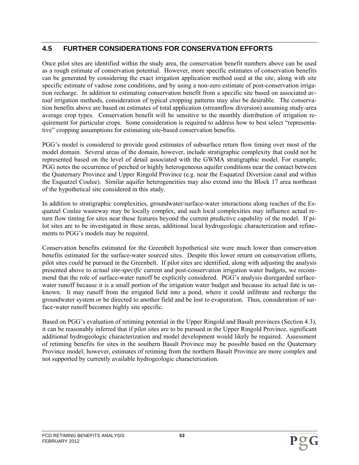# **4.5 FURTHER CONSIDERATIONS FOR CONSERVATION EFFORTS**

Once pilot sites are identified within the study area, the conservation benefit numbers above can be used as a rough estimate of conservation potential. However, more specific estimates of conservation benefits can be generated by considering the exact irrigation application method used at the site, along with site specific estimate of vadose zone conditions, and by using a non-zero estimate of post-conservation irrigation recharge. In addition to estimating conservation benefit from a specific site based on associated *actual* irrigation methods, consideration of typical cropping patterns may also be desirable. The conservation benefits above are based on estimates of total application (streamflow diversion) assuming study-area average crop types. Conservation benefit will be sensitive to the monthly distribution of irrigation requirement for particular crops. Some consideration is required to address how to best select "representative" cropping assumptions for estimating site-based conservation benefits.

PGG's model is considered to provide good estimates of subsurface return flow timing over most of the model domain. Several areas of the domain, however, include stratigraphic complexity that could not be represented based on the level of detail associated with the GWMA stratigraphic model. For example, PGG notes the occurrence of perched or highly heterogeneous aquifer conditions near the contact between the Quaternary Province and Upper Ringold Province (e.g. near the Esquatzel Diversion canal and within the Esquatzel Coulee). Similar aquifer heterogeneities may also extend into the Block 17 area northeast of the hypothetical site considered in this study.

In addition to stratigraphic complexities, groundwater/surface-water interactions along reaches of the Esquatzel Coulee wasteway may be locally complex, and such local complexities may influence actual return flow timing for sites near these features beyond the current predictive capability of the model. If pilot sites are to be investigated in these areas, additional local hydrogeologic characterization and refinements to PGG's models may be required.

Conservation benefits estimated for the Greenbelt hypothetical site were much lower than conservation benefits estimated for the surface-water sourced sites. Despite this lower return on conservation efforts, pilot sites *could* be pursued in the Greenbelt. If pilot sites are identified, along with adjusting the analysis presented above to *actual site-specific* current and post-conservation irrigation water budgets, we recommend that the role of surface-water runoff be explicitly considered. PGG's analysis disregarded surfacewater runoff because it is a small portion of the irrigation water budget and because its actual fate is unknown. It may runoff from the irrigated field into a pond, where it could infiltrate and recharge the groundwater system or be directed to another field and be lost to evaporation. Thus, consideration of surface-water runoff becomes highly site specific.

Based on PGG's evaluation of retiming potential in the Upper Ringold and Basalt provinces (Section 4.3), it can be reasonably inferred that if pilot sites are to be pursued in the Upper Ringold Province, significant additional hydrogeologic characterization and model development would likely be required. Assessment of retiming benefits for sites in the southern Basalt Province may be possible based on the Quaternary Province model; however, estimates of retiming from the northern Basalt Province are more complex and not supported by currently available hydrogeologic characterization.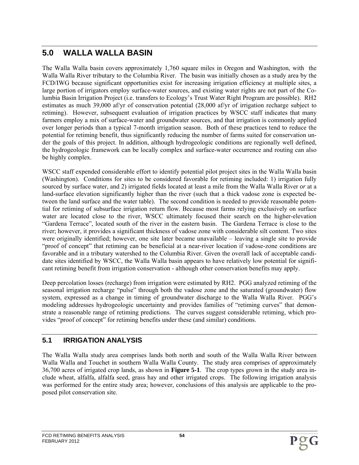# **5.0 WALLA WALLA BASIN**

The Walla Walla basin covers approximately 1,760 square miles in Oregon and Washington, with the Walla Walla River tributary to the Columbia River. The basin was initially chosen as a study area by the FCD/IWG because significant opportunities exist for increasing irrigation efficiency at multiple sites, a large portion of irrigators employ surface-water sources, and existing water rights are not part of the Columbia Basin Irrigation Project (i.e. transfers to Ecology's Trust Water Right Program are possible). RH2 estimates as much 39,000 af/yr of conservation potential (28,000 af/yr of irrigation recharge subject to retiming). However, subsequent evaluation of irrigation practices by WSCC staff indicates that many farmers employ a mix of surface-water and groundwater sources, and that irrigation is commonly applied over longer periods than a typical 7-month irrigation season. Both of these practices tend to reduce the potential for retiming benefit, thus significantly reducing the number of farms suited for conservation under the goals of this project. In addition, although hydrogeologic conditions are regionally well defined, the hydrogeologic framework can be locally complex and surface-water occurrence and routing can also be highly complex.

WSCC staff expended considerable effort to identify potential pilot project sites in the Walla Walla basin (Washington). Conditions for sites to be considered favorable for retiming included: 1) irrigation fully sourced by surface water, and 2) irrigated fields located at least a mile from the Walla Walla River *or* at a land-surface elevation significantly higher than the river (such that a thick vadose zone is expected between the land surface and the water table). The second condition is needed to provide reasonable potential for retiming of subsurface irrigation return flow. Because most farms relying exclusively on surface water are located close to the river, WSCC ultimately focused their search on the higher-elevation "Gardena Terrace", located south of the river in the eastern basin. The Gardena Terrace is close to the river; however, it provides a significant thickness of vadose zone with considerable silt content. Two sites were originally identified; however, one site later became unavailable – leaving a single site to provide "proof of concept" that retiming can be beneficial at a near-river location if vadose-zone conditions are favorable and in a tributary watershed to the Columbia River. Given the overall lack of acceptable candidate sites identified by WSCC, the Walla Walla basin appears to have relatively low potential for significant retiming benefit from irrigation conservation - although other conservation benefits may apply.

Deep percolation losses (recharge) from irrigation were estimated by RH2. PGG analyzed retiming of the seasonal irrigation recharge "pulse" through both the vadose zone and the saturated (groundwater) flow system, expressed as a change in timing of groundwater discharge to the Walla Walla River. PGG's modeling addresses hydrogeologic uncertainty and provides families of "retiming curves" that demonstrate a reasonable range of retiming predictions. The curves suggest considerable retiming, which provides "proof of concept" for retiming benefits under these (and similar) conditions.

## **5.1 IRRIGATION ANALYSIS**

The Walla Walla study area comprises lands both north and south of the Walla Walla River between Walla Walla and Touchet in southern Walla Walla County. The study area comprises of approximately 36,700 acres of irrigated crop lands, as shown in **Figure 5-1**. The crop types grown in the study area include wheat, alfalfa, alfalfa seed, grass hay and other irrigated crops. The following irrigation analysis was performed for the entire study area; however, conclusions of this analysis are applicable to the proposed pilot conservation site.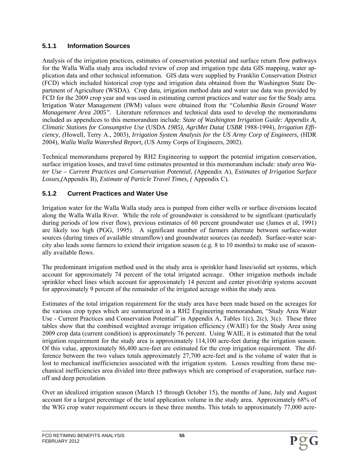### **5.1.1 Information Sources**

Analysis of the irrigation practices, estimates of conservation potential and surface return flow pathways for the Walla Walla study area included review of crop and irrigation type data GIS mapping, water application data and other technical information. GIS data were supplied by Franklin Conservation District (FCD) which included historical crop type and irrigation data obtained from the Washington State Department of Agriculture (WSDA)*.* Crop data, irrigation method data and water use data was provided by FCD for the 2009 crop year and was used in estimating current practices and water use for the Study area. Irrigation Water Management (IWM) values were obtained from the *"Columbia Basin Ground Water Management Area 2005".* Literature references and technical data used to develop the memorandums included as appendices to this memorandum include: *State of Washington Irrigation Guide: Appendix A, Climatic Stations for Consumptive Use* (USDA *1985), AgriMet Data( USBR* 1988-1994), *Irrigation Efficiency, (*Howell, Terry A., 2003), *Irrigation System Analysis for the US Army Corp of Engineers,* (HDR 2004), *Walla Walla Watershed Report,* (US Army Corps of Engineers, 2002).

Technical memorandums prepared by RH2 Engineering to support the potential irrigation conservation, surface irrigation losses, and travel time estimates presented in this memorandum include: *study area Water Use – Current Practices and Conservation Potential, (*Appendix A), *Estimates of Irrigation Surface Losses,(*Appendix B)*, Estimate of Particle Travel Times, (* Appendix C)*.* 

# **5.1.2 Current Practices and Water Use**

Irrigation water for the Walla Walla study area is pumped from either wells or surface diversions located along the Walla Walla River. While the role of groundwater is considered to be significant (particularly during periods of low river flow), previous estimates of 60 percent groundwater use (James et al, 1991) are likely too high (PGG, 1995). A significant number of farmers alternate between surface-water sources (during times of available streamflow) and groundwater sources (as needed). Surface-water scarcity also leads some farmers to extend their irrigation season (e.g. 8 to 10 months) to make use of seasonally available flows.

The predominant irrigation method used in the study area is sprinkler hand lines/solid set systems, which account for approximately 74 percent of the total irrigated acreage. Other irrigation methods include sprinkler wheel lines which account for approximately 14 percent and center pivot/drip systems account for approximately 9 percent of the remainder of the irrigated acreage within the study area.

Estimates of the total irrigation requirement for the study area have been made based on the acreages for the various crop types which are summarized in a RH2 Engineering memorandum, "Study Area Water Use - Current Practices and Conservation Potential" in Appendix A, Tables 1(c), 2(c), 3(c). These three tables show that the combined weighted average irrigation efficiency (WAIE) for the Study Area using 2009 crop data (current condition) is approximately 76 percent. Using WAIE, it is estimated that the total irrigation requirement for the study area is approximately 114,100 acre-feet during the irrigation season. Of this value, approximately 86,400 acre-feet are estimated for the crop irrigation requirement. The difference between the two values totals approximately 27,700 acre-feet and is the volume of water that is lost to mechanical inefficiencies associated with the irrigation system. Losses resulting from these mechanical inefficiencies area divided into three pathways which are comprised of evaporation, surface runoff and deep percolation.

Over an idealized irrigation season (March 15 through October 15), the months of June, July and August account for a largest percentage of the total application volume in the study area. Approximately 68% of the WIG crop water requirement occurs in these three months. This totals to approximately 77,000 acre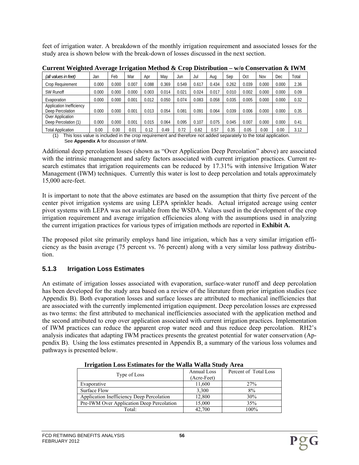feet of irrigation water. A breakdown of the monthly irrigation requirement and associated losses for the study area is shown below with the break-down of losses discussed in the next section.

| (all values in feet)                                | Jan   | Feb   | Mar   | Apr   | Mav   | Jun   | Jul   | Aua   | Sep   | Oct   | Nov   | Dec   | Total |
|-----------------------------------------------------|-------|-------|-------|-------|-------|-------|-------|-------|-------|-------|-------|-------|-------|
| Crop Requirement                                    | 0.000 | 0.000 | 0.007 | 0.088 | 0.369 | 0.549 | 0.617 | 0.434 | 0.262 | 0.039 | 0.000 | 0.000 | 2.36  |
| <b>SW Runoff</b>                                    | 0.000 | 0.000 | 0.000 | 0.003 | 0.014 | 0.021 | 0.024 | 0.017 | 0.010 | 0.002 | 0.000 | 0.000 | 0.09  |
| Evaporation                                         | 0.000 | 0.000 | 0.001 | 0.012 | 0.050 | 0.074 | 0.083 | 0.058 | 0.035 | 0.005 | 0.000 | 0.000 | 0.32  |
| <b>Application Inefficiency</b><br>Deep Percolation | 0.000 | 0.000 | 0.001 | 0.013 | 0.054 | 0.081 | 0.091 | 0.064 | 0.039 | 0.006 | 0.000 | 0.000 | 0.35  |
| Over Application<br>Deep Percolation (1)            | 0.000 | 0.000 | 0.001 | 0.015 | 0.064 | 0.095 | 0.107 | 0.075 | 0.045 | 0.007 | 0.000 | 0.000 | 0.41  |
| <b>Total Application</b>                            | 0.00  | 0.00  | 0.01  | 0.12  | 0.49  | 0.72  | 0.82  | 0.57  | 0.35  | 0.05  | 0.00  | 0.00  | 3.12  |

**Current Weighted Average Irrigation Method & Crop Distribution – w/o Conservation & IWM** 

(1) This loss value is included in the crop requirement and therefore not added separately to the total application. See **Appendix A** for discussion of IWM.

Additional deep percolation losses (shown as "Over Application Deep Percolation" above) are associated with the intrinsic management and safety factors associated with current irrigation practices. Current research estimates that irrigation requirements can be reduced by 17.31% with intensive Irrigation Water Management (IWM) techniques. Currently this water is lost to deep percolation and totals approximately 15,000 acre-feet.

It is important to note that the above estimates are based on the assumption that thirty five percent of the center pivot irrigation systems are using LEPA sprinkler heads. Actual irrigated acreage using center pivot systems with LEPA was not available from the WSDA. Values used in the development of the crop irrigation requirement and average irrigation efficiencies along with the assumptions used in analyzing the current irrigation practices for various types of irrigation methods are reported in **Exhibit A.**

The proposed pilot site primarily employs hand line irrigation, which has a very similar irrigation efficiency as the basin average (75 percent vs. 76 percent) along with a very similar loss pathway distribution.

#### **5.1.3 Irrigation Loss Estimates**

An estimate of irrigation losses associated with evaporation, surface-water runoff and deep percolation has been developed for the study area based on a review of the literature from prior irrigation studies (see Appendix B). Both evaporation losses and surface losses are attributed to mechanical inefficiencies that are associated with the currently implemented irrigation equipment. Deep percolation losses are expressed as two terms: the first attributed to mechanical inefficiencies associated with the application method and the second attributed to crop over application associated with current irrigation practices. Implementation of IWM practices can reduce the apparent crop water need and thus reduce deep percolation. RH2's analysis indicates that adapting IWM practices presents the greatest potential for water conservation (Appendix B). Using the loss estimates presented in Appendix B, a summary of the various loss volumes and pathways is presented below.

|                                           | Annual Loss | Percent of Total Loss |
|-------------------------------------------|-------------|-----------------------|
| Type of Loss                              | (Acre-Feet) |                       |
| Evaporative                               | 11,600      | 27%                   |
| Surface Flow                              | 3,300       | 8%                    |
| Application Inefficiency Deep Percolation | 12,800      | 30%                   |
| Pre-IWM Over Application Deep Percolation | 15,000      | 35%                   |
| Total:                                    | 42,700      | 100%                  |

#### **Irrigation Loss Estimates for the Walla Walla Study Area**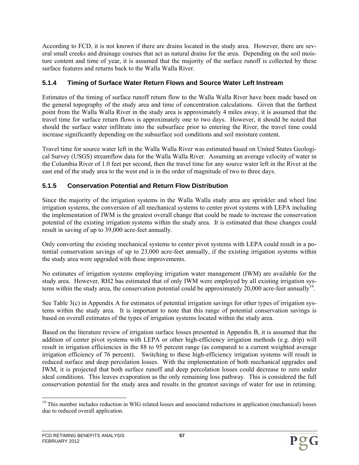According to FCD, it is not known if there are drains located in the study area. However, there are several small creeks and drainage courses that act as natural drains for the area. Depending on the soil moisture content and time of year, it is assumed that the majority of the surface runoff is collected by these surface features and returns back to the Walla Walla River.

## **5.1.4 Timing of Surface Water Return Flows and Source Water Left Instream**

Estimates of the timing of surface runoff return flow to the Walla Walla River have been made based on the general topography of the study area and time of concentration calculations. Given that the farthest point from the Walla Walla River in the study area is approximately 4 miles away, it is assumed that the travel time for surface return flows is approximately one to two days. However, it should be noted that should the surface water infiltrate into the subsurface prior to entering the River, the travel time could increase significantly depending on the subsurface soil conditions and soil moisture content.

Travel time for source water left in the Walla Walla River was estimated based on United States Geological Survey (USGS) streamflow data for the Walla Walla River. Assuming an average velocity of water in the Columbia River of 1.0 feet per second, then the travel time for any source water left in the River at the east end of the study area to the west end is in the order of magnitude of two to three days.

## **5.1.5 Conservation Potential and Return Flow Distribution**

Since the majority of the irrigation systems in the Walla Walla study area are sprinkler and wheel line irrigation systems, the conversion of all mechanical systems to center pivot systems with LEPA including the implementation of IWM is the greatest overall change that could be made to increase the conservation potential of the existing irrigation systems within the study area. It is estimated that these changes could result in saving of up to 39,000 acre-feet annually.

Only converting the existing mechanical systems to center pivot systems with LEPA could result in a potential conservation savings of up to 23,000 acre-feet annually, if the existing irrigation systems within the study area were upgraded with these improvements.

No estimates of irrigation systems employing irrigation water management (IWM) are available for the study area. However, RH2 has estimated that of only IWM were employed by all existing irrigation systems within the study area, the conservation potential could be approximately  $20,000$  acre-feet annually<sup>19</sup>.

See Table 3(c) in Appendix A for estimates of potential irrigation savings for other types of irrigation systems within the study area. It is important to note that this range of potential conservation savings is based on overall estimates of the types of irrigation systems located within the study area.

Based on the literature review of irrigation surface losses presented in Appendix B, it is assumed that the addition of center pivot systems with LEPA or other high-efficiency irrigation methods (e.g. drip) will result in irrigation efficiencies in the 88 to 95 percent range (as compared to a current weighted average irrigation efficiency of 76 percent). Switching to these high-efficiency irrigation systems will result in reduced surface and deep percolation losses. With the implementation of both mechanical upgrades and IWM, it is projected that both surface runoff and deep percolation losses could decrease to zero under ideal conditions. This leaves evaporation as the only remaining loss pathway. This is considered the full conservation potential for the study area and results in the greatest savings of water for use in retiming.

<sup>1</sup> <sup>19</sup> This number includes reduction in WIG related losses and associated reductions in application (mechanical) losses due to reduced overall application.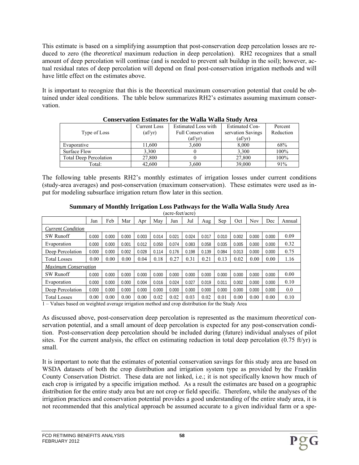This estimate is based on a simplifying assumption that post-conservation deep percolation losses are reduced to zero (the *theoretical* maximum reduction in deep percolation). RH2 recognizes that a small amount of deep percolation will continue (and is needed to prevent salt buildup in the soil); however, actual residual rates of deep percolation will depend on final post-conservation irrigation methods and will have little effect on the estimates above.

It is important to recognize that this is the theoretical maximum conservation potential that could be obtained under ideal conditions. The table below summarizes RH2's estimates assuming maximum conservation.

|                               | Current Loss     | Estimated Loss with      | <b>Estimated Con-</b> | Percent   |
|-------------------------------|------------------|--------------------------|-----------------------|-----------|
|                               |                  |                          |                       |           |
| Type of Loss                  | $\text{(af/vr)}$ | <b>Full Conservation</b> | servation Savings     | Reduction |
|                               |                  | (af/yr)                  | $\text{ (af/yr)}$     |           |
| Evaporative                   | 11,600           | 3,600                    | 8,000                 | 68%       |
| Surface Flow                  | 3.300            |                          | 3.300                 | 100%      |
| <b>Total Deep Percolation</b> | 27,800           |                          | 27,800                | 100%      |
| Total:                        | 42.600           | 3.600                    | 39.000                | 91%       |

#### **Conservation Estimates for the Walla Walla Study Area**

The following table presents RH2's monthly estimates of irrigation losses under current conditions (study-area averages) and post-conservation (maximum conservation). These estimates were used as input for modeling subsurface irrigation return flow later in this section.

|                          | (acre-feet/acre)            |       |       |       |       |       |       |       |       |       |            |       |        |
|--------------------------|-----------------------------|-------|-------|-------|-------|-------|-------|-------|-------|-------|------------|-------|--------|
|                          | Jan                         | Feb   | Mar   | Apr   | May   | Jun   | Jul   | Aug   | Sep   | Oct   | <b>Nov</b> | Dec   | Annual |
| <b>Current Condition</b> |                             |       |       |       |       |       |       |       |       |       |            |       |        |
| <b>SW Runoff</b>         | 0.000                       | 0.000 | 0.000 | 0.003 | 0.014 | 0.021 | 0.024 | 0.017 | 0.010 | 0.002 | 0.000      | 0.000 | 0.09   |
| Evaporation              | 0.000                       | 0.000 | 0.001 | 0.012 | 0.050 | 0.074 | 0.083 | 0.058 | 0.035 | 0.005 | 0.000      | 0.000 | 0.32   |
| Deep Percolation         | 0.000                       | 0.000 | 0.002 | 0.028 | 0.114 | 0.176 | 0.198 | 0.139 | 0.084 | 0.013 | 0.000      | 0.000 | 0.75   |
| <b>Total Losses</b>      | 0.00                        | 0.00  | 0.00  | 0.04  | 0.18  | 0.27  | 0.31  | 0.21  | 0.13  | 0.02  | 0.00       | 0.00  | 1.16   |
|                          | <b>Maximum Conservation</b> |       |       |       |       |       |       |       |       |       |            |       |        |
| <b>SW Runoff</b>         | 0.000                       | 0.000 | 0.000 | 0.000 | 0.000 | 0.000 | 0.000 | 0.000 | 0.000 | 0.000 | 0.000      | 0.000 | 0.00   |
| Evaporation              | 0.000                       | 0.000 | 0.000 | 0.004 | 0.016 | 0.024 | 0.027 | 0.019 | 0.011 | 0.002 | 0.000      | 0.000 | 0.10   |
| Deep Percolation         | 0.000                       | 0.000 | 0.000 | 0.000 | 0.000 | 0.000 | 0.000 | 0.000 | 0.000 | 0.000 | 0.000      | 0.000 | 0.0    |
| <b>Total Losses</b>      | 0.00                        | 0.00  | 0.00  | 0.00  | 0.02  | 0.02  | 0.03  | 0.02  | 0.01  | 0.00  | 0.00       | 0.00  | 0.10   |

## **Summary of Monthly Irrigation Loss Pathways for the Walla Walla Study Area**

1 – Values based on weighted average irrigation method and crop distribution for the Study Area

As discussed above, post-conservation deep percolation is represented as the maximum *theoretical* conservation potential, and a small amount of deep percolation is expected for any post-conservation condition. Post-conservation deep percolation should be included during (future) individual analyses of pilot sites. For the current analysis, the effect on estimating reduction in total deep percolation (0.75 ft/yr) is small.

It is important to note that the estimates of potential conservation savings for this study area are based on WSDA datasets of both the crop distribution and irrigation system type as provided by the Franklin County Conservation District. These data are not linked, i.e.; it is not specifically known how much of each crop is irrigated by a specific irrigation method. As a result the estimates are based on a geographic distribution for the entire study area but are not crop or field specific. Therefore, while the analyses of the irrigation practices and conservation potential provides a good understanding of the entire study area, it is not recommended that this analytical approach be assumed accurate to a given individual farm or a spe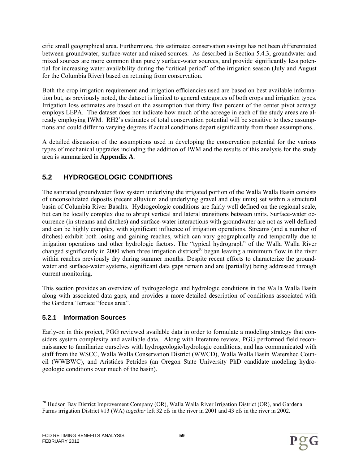cific small geographical area. Furthermore, this estimated conservation savings has not been differentiated between groundwater, surface-water and mixed sources. As described in Section 5.4.3, groundwater and mixed sources are more common than purely surface-water sources, and provide significantly less potential for increasing water availability during the "critical period" of the irrigation season (July and August for the Columbia River) based on retiming from conservation.

Both the crop irrigation requirement and irrigation efficiencies used are based on best available information but, as previously noted, the dataset is limited to general categories of both crops and irrigation types. Irrigation loss estimates are based on the assumption that thirty five percent of the center pivot acreage employs LEPA. The dataset does not indicate how much of the acreage in each of the study areas are already employing IWM. RH2's estimates of total conservation potential will be sensitive to these assumptions and could differ to varying degrees if actual conditions depart significantly from these assumptions..

A detailed discussion of the assumptions used in developing the conservation potential for the various types of mechanical upgrades including the addition of IWM and the results of this analysis for the study area is summarized in **Appendix A**.

# **5.2 HYDROGEOLOGIC CONDITIONS**

The saturated groundwater flow system underlying the irrigated portion of the Walla Walla Basin consists of unconsolidated deposits (recent alluvium and underlying gravel and clay units) set within a structural basin of Columbia River Basalts. Hydrogeologic conditions are fairly well defined on the regional scale, but can be locally complex due to abrupt vertical and lateral transitions between units. Surface-water occurrence (in streams and ditches) and surface-water interactions with groundwater are not as well defined and can be highly complex, with significant influence of irrigation operations. Streams (and a number of ditches) exhibit both losing and gaining reaches, which can vary geographically and temporally due to irrigation operations and other hydrologic factors. The "typical hydrograph" of the Walla Walla River changed significantly in 2000 when three irrigation districts<sup>20</sup> began leaving a minimum flow in the river within reaches previously dry during summer months. Despite recent efforts to characterize the groundwater and surface-water systems, significant data gaps remain and are (partially) being addressed through current monitoring.

This section provides an overview of hydrogeologic and hydrologic conditions in the Walla Walla Basin along with associated data gaps, and provides a more detailed description of conditions associated with the Gardena Terrace "focus area".

## **5.2.1 Information Sources**

Early-on in this project, PGG reviewed available data in order to formulate a modeling strategy that considers system complexity and available data. Along with literature review, PGG performed field reconnaissance to familiarize ourselves with hydrogeologic/hydrologic conditions, and has communicated with staff from the WSCC, Walla Walla Conservation District (WWCD), Walla Walla Basin Watershed Council (WWBWC), and Aristides Petrides (an Oregon State University PhD candidate modeling hydrogeologic conditions over much of the basin).

l <sup>20</sup> Hudson Bay District Improvement Company (OR), Walla Walla River Irrigation District (OR), and Gardena Farms irrigation District #13 (WA) *together* left 32 cfs in the river in 2001 and 43 cfs in the river in 2002.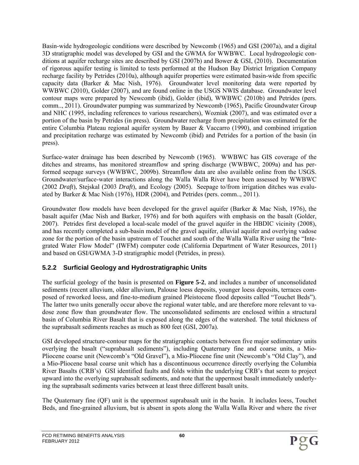Basin-wide hydrogeologic conditions were described by Newcomb (1965) and GSI (2007a), and a digital 3D stratigraphic model was developed by GSI and the GWMA for WWBWC. Local hydrogeologic conditions at aquifer recharge sites are described by GSI (2007b) and Bower & GSI, (2010). Documentation of rigorous aquifer testing is limited to tests performed at the Hudson Bay District Irrigation Company recharge facility by Petrides (2010a), although aquifer properties were estimated basin-wide from specific capacity data (Barker & Mac Nish, 1976). Groundwater level monitoring data were reported by WWBWC (2010), Golder (2007), and are found online in the USGS NWIS database. Groundwater level contour maps were prepared by Newcomb (ibid), Golder (ibid), WWBWC (2010b) and Petrides (pers. comm.., 2011). Groundwater pumping was summarized by Newcomb (1965), Pacific Groundwater Group and NHC (1995, including references to various researchers), Wozniak (2007), and was estimated over a portion of the basin by Petrides (in press). Groundwater recharge from precipitation was estimated for the entire Columbia Plateau regional aquifer system by Bauer & Vaccarro (1990), and combined irrigation and precipitation recharge was estimated by Newcomb (ibid) and Petrides for a portion of the basin (in press).

Surface-water drainage has been described by Newcomb (1965). WWBWC has GIS coverage of the ditches and streams, has monitored streamflow and spring discharge (WWBWC, 2009a) and has performed seepage surveys (WWBWC, 2009b). Streamflow data are also available online from the USGS. Groundwater/surface-water interactions along the Walla Walla River have been assessed by WWBWC (2002 *Draft*), Stejskal (2003 *Draft*), and Ecology (2005). Seepage to/from irrigation ditches was evaluated by Barker & Mac Nish (1976), HDR (2004), and Petrides (pers. comm.., 2011).

Groundwater flow models have been developed for the gravel aquifer (Barker & Mac Nish, 1976), the basalt aquifer (Mac Nish and Barker, 1976) and for both aquifers with emphasis on the basalt (Golder, 2007). Petrides first developed a local-scale model of the gravel aquifer in the HBDIC vicinity (2008), and has recently completed a sub-basin model of the gravel aquifer, alluvial aquifer and overlying vadose zone for the portion of the basin upstream of Touchet and south of the Walla Walla River using the "Integrated Water Flow Model" (IWFM) computer code (California Department of Water Resources, 2011) and based on GSI/GWMA 3-D stratigraphic model (Petrides, in press).

## **5.2.2 Surficial Geology and Hydrostratigraphic Units**

The surficial geology of the basin is presented on **Figure 5-2**, and includes a number of unconsolidated sediments (recent alluvium, older alluvium, Palouse loess deposits, younger loess deposits, terraces composed of reworked loess, and fine-to-medium grained Pleistocene flood deposits called "Touchet Beds"). The latter two units generally occur above the regional water table, and are therefore more relevant to vadose zone flow than groundwater flow. The unconsolidated sediments are enclosed within a structural basin of Columbia River Basalt that is exposed along the edges of the watershed. The total thickness of the suprabasalt sediments reaches as much as 800 feet (GSI, 2007a).

GSI developed structure-contour maps for the stratigraphic contacts between five major sedimentary units overlying the basalt ("suprabasalt sediments"), including Quaternary fine and coarse units, a Mio-Pliocene coarse unit (Newcomb's "Old Gravel"), a Mio-Pliocene fine unit (Newcomb's "Old Clay"), and a Mio-Pliocene basal coarse unit which has a discontinuous occurrence directly overlying the Columbia River Basalts (CRB's) GSI identified faults and folds within the underlying CRB's that seem to project upward into the overlying suprabasalt sediments, and note that the uppermost basalt immediately underlying the suprabasalt sediments varies between at least three different basalt units.

The Quaternary fine (QF) unit is the uppermost suprabasalt unit in the basin. It includes loess, Touchet Beds, and fine-grained alluvium, but is absent in spots along the Walla Walla River and where the river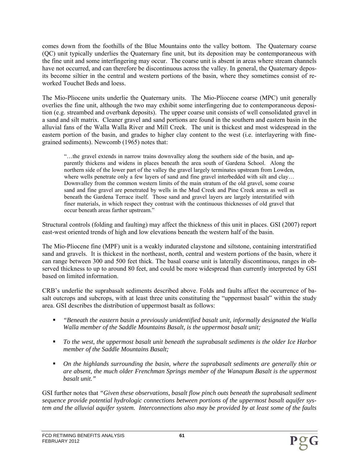comes down from the foothills of the Blue Mountains onto the valley bottom. The Quaternary coarse (QC) unit typically underlies the Quaternary fine unit, but its deposition may be contemporaneous with the fine unit and some interfingering may occur. The coarse unit is absent in areas where stream channels have not occurred, and can therefore be discontinuous across the valley. In general, the Quaternary deposits become siltier in the central and western portions of the basin, where they sometimes consist of reworked Touchet Beds and loess.

The Mio-Pliocene units underlie the Quaternary units. The Mio-Pliocene coarse (MPC) unit generally overlies the fine unit, although the two may exhibit some interfingering due to contemporaneous deposition (e.g. streambed and overbank deposits). The upper coarse unit consists of well consolidated gravel in a sand and silt matrix. Cleaner gravel and sand portions are found in the southern and eastern basin in the alluvial fans of the Walla Walla River and Mill Creek. The unit is thickest and most widespread in the eastern portion of the basin, and grades to higher clay content to the west (i.e. interlayering with finegrained sediments). Newcomb (1965) notes that:

"…the gravel extends in narrow trains downvalley along the southern side of the basin, and apparently thickens and widens in places beneath the area south of Gardena School. Along the northern side of the lower part of the valley the gravel largely terminates upstream from Lowden, where wells penetrate only a few layers of sand and fine gravel interbedded with silt and clay... Downvalley from the common western limits of the main stratum of the old gravel, some coarse sand and fine gravel are penetrated by wells in the Mud Creek and Pine Creek areas as well as beneath the Gardena Terrace itself. Those sand and gravel layers are largely interstatified with finer materials, in which respect they contrast with the continuous thicknesses of old gravel that occur beneath areas farther upstream."

Structural controls (folding and faulting) may affect the thickness of this unit in places. GSI (2007) report east-west oriented trends of high and low elevations beneath the western half of the basin.

The Mio-Pliocene fine (MPF) unit is a weakly indurated claystone and siltstone, containing interstratified sand and gravels. It is thickest in the northeast, north, central and western portions of the basin, where it can range between 300 and 500 feet thick. The basal coarse unit is laterally discontinuous, ranges in observed thickness to up to around 80 feet, and could be more widespread than currently interpreted by GSI based on limited information.

CRB's underlie the suprabasalt sediments described above. Folds and faults affect the occurrence of basalt outcrops and subcrops, with at least three units constituting the "uppermost basalt" within the study area. GSI describes the distribution of uppermost basalt as follows:

- *"Beneath the eastern basin a previously unidentified basalt unit, informally designated the Walla Walla member of the Saddle Mountains Basalt, is the uppermost basalt unit;*
- To the west, the uppermost basalt unit beneath the suprabasalt sediments is the older Ice Harbor *member of the Saddle Mountains Basalt;*
- *On the highlands surrounding the basin, where the suprabasalt sediments are generally thin or are absent, the much older Frenchman Springs member of the Wanapum Basalt is the uppermost basalt unit."*

GSI further notes that *"Given these observations, basalt flow pinch outs beneath the suprabasalt sediment sequence provide potential hydrologic connections between portions of the uppermost basalt aquifer system and the alluvial aquifer system. Interconnections also may be provided by at least some of the faults*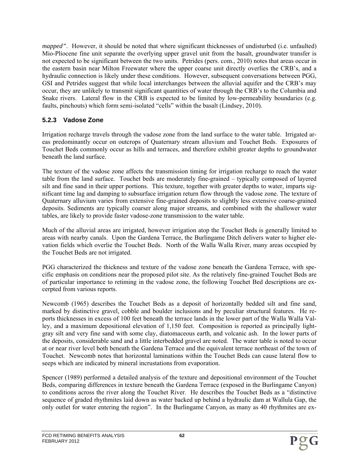*mapped"*. However, it should be noted that where significant thicknesses of undisturbed (i.e. unfaulted) Mio-Pliocene fine unit separate the overlying upper gravel unit from the basalt, groundwater transfer is not expected to be significant between the two units. Petrides (pers. com., 2010) notes that areas occur in the eastern basin near Milton Freewater where the upper coarse unit directly overlies the CRB's, and a hydraulic connection is likely under these conditions. However, subsequent conversations between PGG, GSI and Petrides suggest that while local interchanges between the alluvial aquifer and the CRB's may occur, they are unlikely to transmit significant quantities of water through the CRB's to the Columbia and Snake rivers. Lateral flow in the CRB is expected to be limited by low-permeability boundaries (e.g. faults, pinchouts) which form semi-isolated "cells" within the basalt (Lindsey, 2010).

### **5.2.3 Vadose Zone**

Irrigation recharge travels through the vadose zone from the land surface to the water table. Irrigated areas predominantly occur on outcrops of Quaternary stream alluvium and Touchet Beds. Exposures of Touchet Beds commonly occur as hills and terraces, and therefore exhibit greater depths to groundwater beneath the land surface.

The texture of the vadose zone affects the transmission timing for irrigation recharge to reach the water table from the land surface. Touchet beds are moderately fine-grained – typically composed of layered silt and fine sand in their upper portions. This texture, together with greater depths to water, imparts significant time lag and damping to subsurface irrigation return flow through the vadose zone. The texture of Quaternary alluvium varies from extensive fine-grained deposits to slightly less extensive coarse-grained deposits. Sediments are typically coarser along major streams, and combined with the shallower water tables, are likely to provide faster vadose-zone transmission to the water table.

Much of the alluvial areas are irrigated, however irrigation atop the Touchet Beds is generally limited to areas with nearby canals. Upon the Gardena Terrace, the Burlingame Ditch delivers water to higher elevation fields which overlie the Touchet Beds. North of the Walla Walla River, many areas occupied by the Touchet Beds are not irrigated.

PGG characterized the thickness and texture of the vadose zone beneath the Gardena Terrace, with specific emphasis on conditions near the proposed pilot site. As the relatively fine-grained Touchet Beds are of particular importance to retiming in the vadose zone, the following Touchet Bed descriptions are excerpted from various reports.

Newcomb (1965) describes the Touchet Beds as a deposit of horizontally bedded silt and fine sand, marked by distinctive gravel, cobble and boulder inclusions and by peculiar structural features. He reports thicknesses in excess of 100 feet beneath the terrace lands in the lower part of the Walla Walla Valley, and a maximum depositional elevation of 1,150 feet. Composition is reported as principally lightgray silt and very fine sand with some clay, diatomaceous earth, and volcanic ash. In the lower parts of the deposits, considerable sand and a little interbedded gravel are noted. The water table is noted to occur at or near river level both beneath the Gardena Terrace and the equivalent terrace northeast of the town of Touchet. Newcomb notes that horizontal laminations within the Touchet Beds can cause lateral flow to seeps which are indicated by mineral incrustations from evaporation.

Spencer (1989) performed a detailed analysis of the texture and depositional environment of the Touchet Beds, comparing differences in texture beneath the Gardena Terrace (exposed in the Burlingame Canyon) to conditions across the river along the Touchet River. He describes the Touchet Beds as a "distinctive sequence of graded rhythmites laid down as water backed up behind a hydraulic dam at Wallula Gap, the only outlet for water entering the region". In the Burlingame Canyon, as many as 40 rhythmites are ex-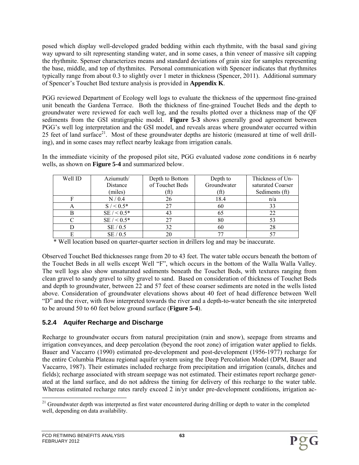posed which display well-developed graded bedding within each rhythmite, with the basal sand giving way upward to silt representing standing water, and in some cases, a thin veneer of massive silt capping the rhythmite. Spenser characterizes means and standard deviations of grain size for samples representing the base, middle, and top of rhythmites. Personal communication with Spencer indicates that rhythmites typically range from about 0.3 to slightly over 1 meter in thickness (Spencer, 2011). Additional summary of Spencer's Touchet Bed texture analysis is provided in **Appendix K**.

PGG reviewed Department of Ecology well logs to evaluate the thickness of the uppermost fine-grained unit beneath the Gardena Terrace. Both the thickness of fine-grained Touchet Beds and the depth to groundwater were reviewed for each well log, and the results plotted over a thickness map of the QF sediments from the GSI stratigraphic model. **Figure 5-3** shows generally good agreement between PGG's well log interpretation and the GSI model, and reveals areas where groundwater occurred within 25 feet of land surface<sup>21</sup>. Most of these groundwater depths are historic (measured at time of well drilling), and in some cases may reflect nearby leakage from irrigation canals.

In the immediate vicinity of the proposed pilot site, PGG evaluated vadose zone conditions in 6 nearby wells, as shown on **Figure 5-4** and summarized below.

| Well ID | Aziumuth/     | Depth to Bottom | Depth to    | Thickness of Un-  |
|---------|---------------|-----------------|-------------|-------------------|
|         | Distance      | of Touchet Beds | Groundwater | saturated Coarser |
|         | (miles)       | [ft]            | (ft)        | Sediments (ft)    |
|         | N/0.4         | 26              | 18.4        | n/a               |
|         | $S / < 0.5*$  |                 | 60          | 33                |
|         | $SE / < 0.5*$ | 43              | 65          | 22                |
|         | $SE / < 0.5*$ |                 | 80          |                   |
|         | SE/0.5        | 32              | 60          | 28                |
|         | SE/0.5        |                 |             |                   |

\* Well location based on quarter-quarter section in drillers log and may be inaccurate.

Observed Touchet Bed thicknesses range from 20 to 43 feet. The water table occurs beneath the bottom of the Touchet Beds in all wells except Well "F", which occurs in the bottom of the Walla Walla Valley. The well logs also show unsaturated sediments beneath the Touchet Beds, with textures ranging from clean gravel to sandy gravel to silty gravel to sand. Based on consideration of thickness of Touchet Beds and depth to groundwater, between 22 and 57 feet of these coarser sediments are noted in the wells listed above. Consideration of groundwater elevations shows about 40 feet of head difference between Well "D" and the river, with flow interpreted towards the river and a depth-to-water beneath the site interpreted to be around 50 to 60 feet below ground surface (**Figure 5-4**).

## **5.2.4 Aquifer Recharge and Discharge**

Recharge to groundwater occurs from natural precipitation (rain and snow), seepage from streams and irrigation conveyances, and deep percolation (beyond the root zone) of irrigation water applied to fields. Bauer and Vaccarro (1990) estimated pre-development and post-development (1956-1977) recharge for the entire Columbia Plateau regional aquifer system using the Deep Percolation Model (DPM, Bauer and Vaccarro, 1987). Their estimates included recharge from precipitation and irrigation (canals, ditches and fields); recharge associated with stream seepage was not estimated. Their estimates report recharge generated at the land surface, and do not address the timing for delivery of this recharge to the water table. Whereas estimated recharge rates rarely exceed 2 in/yr under pre-development conditions, irrigation ac-

<sup>1</sup> <sup>21</sup> Groundwater depth was interpreted as first water encountered during drilling or depth to water in the completed well, depending on data availability.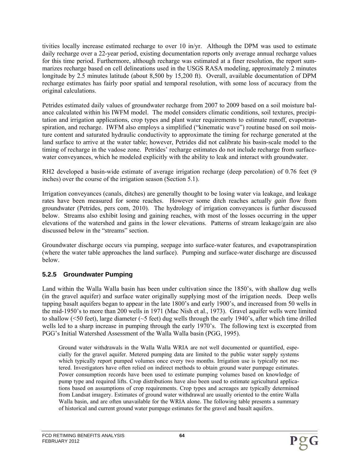tivities locally increase estimated recharge to over 10 in/yr. Although the DPM was used to estimate daily recharge over a 22-year period, existing documentation reports only average annual recharge values for this time period. Furthermore, although recharge was estimated at a finer resolution, the report summarizes recharge based on cell delineations used in the USGS RASA modeling, approximately 2 minutes longitude by 2.5 minutes latitude (about 8,500 by 15,200 ft). Overall, available documentation of DPM recharge estimates has fairly poor spatial and temporal resolution, with some loss of accuracy from the original calculations.

Petrides estimated daily values of groundwater recharge from 2007 to 2009 based on a soil moisture balance calculated within his IWFM model. The model considers climatic conditions, soil textures, precipitation and irrigation applications, crop types and plant water requirements to estimate runoff, evapotranspiration, and recharge. IWFM also employs a simplified ("kinematic wave") routine based on soil moisture content and saturated hydraulic conductivity to approximate the timing for recharge generated at the land surface to arrive at the water table; however, Petrides did not calibrate his basin-scale model to the timing of recharge in the vadose zone. Petrides' recharge estimates do not include recharge from surfacewater conveyances, which he modeled explicitly with the ability to leak and interact with groundwater.

RH2 developed a basin-wide estimate of average irrigation recharge (deep percolation) of 0.76 feet (9 inches) over the course of the irrigation season (Section 5.1).

Irrigation conveyances (canals, ditches) are generally thought to be losing water via leakage, and leakage rates have been measured for some reaches. However some ditch reaches actually *gain* flow from groundwater (Petrides, pers com, 2010). The hydrology of irrigation conveyances is further discussed below. Streams also exhibit losing and gaining reaches, with most of the losses occurring in the upper elevations of the watershed and gains in the lower elevations. Patterns of stream leakage/gain are also discussed below in the "streams" section.

Groundwater discharge occurs via pumping, seepage into surface-water features, and evapotranspiration (where the water table approaches the land surface). Pumping and surface-water discharge are discussed below.

### **5.2.5 Groundwater Pumping**

Land within the Walla Walla basin has been under cultivation since the 1850's, with shallow dug wells (in the gravel aquifer) and surface water originally supplying most of the irrigation needs. Deep wells tapping basalt aquifers began to appear in the late 1800's and early 1900's, and increased from 50 wells in the mid-1950's to more than 200 wells in 1971 (Mac Nish et al., 1973). Gravel aquifer wells were limited to shallow ( $\leq$ 50 feet), large diameter ( $\leq$ 5 feet) dug wells through the early 1940's, after which time drilled wells led to a sharp increase in pumping through the early 1970's. The following text is excerpted from PGG's Initial Watershed Assessment of the Walla Walla basin (PGG, 1995).

Ground water withdrawals in the Walla Walla WRIA are not well documented or quantified, especially for the gravel aquifer. Metered pumping data are limited to the public water supply systems which typically report pumped volumes once every two months. Irrigation use is typically not metered. Investigators have often relied on indirect methods to obtain ground water pumpage estimates. Power consumption records have been used to estimate pumping volumes based on knowledge of pump type and required lifts. Crop distributions have also been used to estimate agricultural applications based on assumptions of crop requirements. Crop types and acreages are typically determined from Landsat imagery. Estimates of ground water withdrawal are usually oriented to the entire Walla Walla basin, and are often unavailable for the WRIA alone. The following table presents a summary of historical and current ground water pumpage estimates for the gravel and basalt aquifers.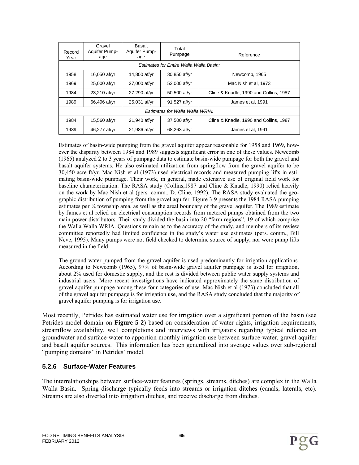| Record<br>Year                          | Gravel<br>Aquifer Pump-<br>age  | Basalt<br>Aquifer Pump-<br>age | Total<br>Pumpage | Reference                              |  |  |  |  |  |
|-----------------------------------------|---------------------------------|--------------------------------|------------------|----------------------------------------|--|--|--|--|--|
| Estimates for Entire Walla Walla Basin: |                                 |                                |                  |                                        |  |  |  |  |  |
| 1958                                    | 16,050 af/yr                    | 14,800 af/yr                   | 30,850 af/yr     | Newcomb, 1965                          |  |  |  |  |  |
| 1969                                    | 25,000 af/yr                    | 27,000 af/yr                   | 52,000 af/yr     | Mac Nish et al, 1973                   |  |  |  |  |  |
| 1984                                    | 23,210 af/yr                    | 27.290 af/yr                   | 50,500 af/yr     | Cline & Knadle, 1990 and Collins, 1987 |  |  |  |  |  |
| 1989                                    | 66,496 af/yr                    | 25,031 af/yr                   | 91,527 af/yr     | James et al, 1991                      |  |  |  |  |  |
|                                         | Estimates for Walla Walla WRIA: |                                |                  |                                        |  |  |  |  |  |
| 1984                                    | 15,560 af/yr                    | 21,940 af/yr                   | 37,500 af/yr     | Cline & Knadle, 1990 and Collins, 1987 |  |  |  |  |  |
| 1989                                    | 46,277 af/yr                    | 21,986 af/yr                   | 68,263 af/yr     | James et al. 1991                      |  |  |  |  |  |

Estimates of basin-wide pumping from the gravel aquifer appear reasonable for 1958 and 1969, however the disparity between 1984 and 1989 suggests significant error in one of these values. Newcomb (1965) analyzed 2 to 3 years of pumpage data to estimate basin-wide pumpage for both the gravel and basalt aquifer systems. He also estimated utilization from springflow from the gravel aquifer to be 30,450 acre-ft/yr. Mac Nish et al (1973) used electrical records and measured pumping lifts in estimating basin-wide pumpage. Their work, in general, made extensive use of original field work for baseline characterization. The RASA study (Collins,1987 and Cline & Knadle, 1990) relied heavily on the work by Mac Nish et al (pers. comm., D. Cline, 1992). The RASA study evaluated the geographic distribution of pumping from the gravel aquifer. Figure 3-9 presents the 1984 RASA pumping estimates per  $\frac{1}{4}$  township area, as well as the areal boundary of the gravel aquifer. The 1989 estimate by James et al relied on electrical consumption records from metered pumps obtained from the two main power distributors. Their study divided the basin into 20 "farm regions", 19 of which comprise the Walla Walla WRIA. Questions remain as to the accuracy of the study, and members of its review committee reportedly had limited confidence in the study's water use estimates (pers. comm., Bill Neve, 1995). Many pumps were not field checked to determine source of supply, nor were pump lifts measured in the field.

The ground water pumped from the gravel aquifer is used predominantly for irrigation applications. According to Newcomb (1965), 97% of basin-wide gravel aquifer pumpage is used for irrigation, about 2% used for domestic supply, and the rest is divided between public water supply systems and industrial users. More recent investigations have indicated approximately the same distribution of gravel aquifer pumpage among these four categories of use. Mac Nish et al (1973) concluded that all of the gravel aquifer pumpage is for irrigation use, and the RASA study concluded that the majority of gravel aquifer pumping is for irrigation use.

Most recently, Petrides has estimated water use for irrigation over a significant portion of the basin (see Petrides model domain on **Figure 5-2**) based on consideration of water rights, irrigation requirements, streamflow availability, well completions and interviews with irrigators regarding typical reliance on groundwater and surface-water to apportion monthly irrigation use between surface-water, gravel aquifer and basalt aquifer sources. This information has been generalized into average values over sub-regional "pumping domains" in Petrides' model.

#### **5.2.6 Surface-Water Features**

The interrelationships between surface-water features (springs, streams, ditches) are complex in the Walla Walla Basin. Spring discharge typically feeds into streams or irrigation ditches (canals, laterals, etc). Streams are also diverted into irrigation ditches, and receive discharge from ditches.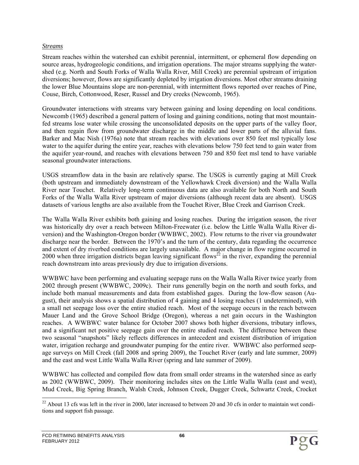#### *Streams*

Stream reaches within the watershed can exhibit perennial, intermittent, or ephemeral flow depending on source areas, hydrogeologic conditions, and irrigation operations. The major streams supplying the watershed (e.g. North and South Forks of Walla Walla River, Mill Creek) are perennial upstream of irrigation diversions; however, flows are significantly depleted by irrigation diversions. Most other streams draining the lower Blue Mountains slope are non-perennial, with intermittent flows reported over reaches of Pine, Couse, Birch, Cottonwood, Reser, Russel and Dry creeks (Newcomb, 1965).

Groundwater interactions with streams vary between gaining and losing depending on local conditions. Newcomb (1965) described a general pattern of losing and gaining conditions, noting that most mountainfed streams lose water while crossing the unconsolidated deposits on the upper parts of the valley floor, and then regain flow from groundwater discharge in the middle and lower parts of the alluvial fans. Barker and Mac Nish (1976a) note that stream reaches with elevations over 850 feet msl typically lose water to the aquifer during the entire year, reaches with elevations below 750 feet tend to gain water from the aquifer year-round, and reaches with elevations between 750 and 850 feet msl tend to have variable seasonal groundwater interactions.

USGS streamflow data in the basin are relatively sparse. The USGS is currently gaging at Mill Creek (both upstream and immediately downstream of the Yellowhawk Creek diversion) and the Walla Walla River near Touchet. Relatively long-term continuous data are also available for both North and South Forks of the Walla Walla River upstream of major diversions (although recent data are absent). USGS datasets of various lengths are also available from the Touchet River, Blue Creek and Garrison Creek.

The Walla Walla River exhibits both gaining and losing reaches. During the irrigation season, the river was historically dry over a reach between Milton-Freewater (i.e. below the Little Walla Walla River diversion) and the Washington-Oregon border (WWBWC, 2002). Flow returns to the river via groundwater discharge near the border. Between the 1970's and the turn of the century, data regarding the occurrence and extent of dry riverbed conditions are largely unavailable. A major change in flow regime occurred in 2000 when three irrigation districts began leaving significant flows<sup>22</sup> in the river, expanding the perennial reach downstream into areas previously dry due to irrigation diversions.

WWBWC have been performing and evaluating seepage runs on the Walla Walla River twice yearly from 2002 through present (WWBWC, 2009c). Their runs generally begin on the north and south forks, and include both manual measurements and data from established gages. During the low-flow season (August), their analysis shows a spatial distribution of 4 gaining and 4 losing reaches (1 undetermined), with a small net seepage loss over the entire studied reach. Most of the seepage occurs in the reach between Mauer Land and the Grove School Bridge (Oregon), whereas a net gain occurs in the Washington reaches. A WWBWC water balance for October 2007 shows both higher diversions, tributary inflows, and a significant net positive seepage gain over the entire studied reach. The difference between these two seasonal "snapshots" likely reflects differences in antecedent and existent distribution of irrigation water, irrigation recharge and groundwater pumping for the entire river. WWBWC also performed seepage surveys on Mill Creek (fall 2008 and spring 2009), the Touchet River (early and late summer, 2009) and the east and west Little Walla Walla River (spring and late summer of 2009).

WWBWC has collected and compiled flow data from small order streams in the watershed since as early as 2002 (WWBWC, 2009). Their monitoring includes sites on the Little Walla Walla (east and west), Mud Creek, Big Spring Branch, Walsh Creek, Johnson Creek, Dugger Creek, Schwartz Creek, Crocket

l  $22$  About 13 cfs was left in the river in 2000, later increased to between 20 and 30 cfs in order to maintain wet conditions and support fish passage.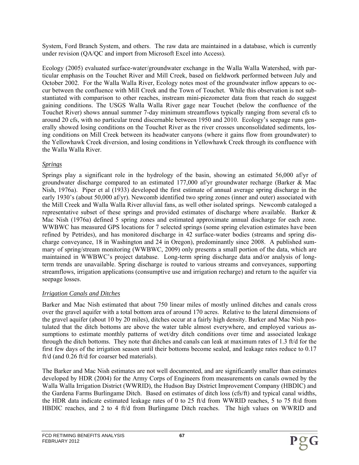System, Ford Branch System, and others. The raw data are maintained in a database, which is currently under revision (QA/QC and import from Microsoft Excel into Access).

Ecology (2005) evaluated surface-water/groundwater exchange in the Walla Walla Watershed, with particular emphasis on the Touchet River and Mill Creek, based on fieldwork performed between July and October 2002. For the Walla Walla River, Ecology notes most of the groundwater inflow appears to occur between the confluence with Mill Creek and the Town of Touchet. While this observation is not substantiated with comparison to other reaches, instream mini-piezometer data from that reach do suggest gaining conditions. The USGS Walla Walla River gage near Touchet (below the confluence of the Touchet River) shows annual summer 7-day minimum streamflows typically ranging from several cfs to around 20 cfs, with no particular trend discernable between 1950 and 2010. Ecology's seepage runs generally showed losing conditions on the Touchet River as the river crosses unconsolidated sediments, losing conditions on Mill Creek between its headwater canyons (where it gains flow from groundwater) to the Yellowhawk Creek diversion, and losing conditions in Yellowhawk Creek through its confluence with the Walla Walla River.

#### *Springs*

Springs play a significant role in the hydrology of the basin, showing an estimated 56,000 af/yr of groundwater discharge compared to an estimated 177,000 af/yr groundwater recharge (Barker & Mac Nish, 1976a). Piper et al (1933) developed the first estimate of annual average spring discharge in the early 1930's (about 50,000 af/yr). Newcomb identified two spring zones (inner and outer) associated with the Mill Creek and Walla Walla River alluvial fans, as well other isolated springs. Newcomb cataloged a representative subset of these springs and provided estimates of discharge where available. Barker & Mac Nish (1976a) defined 5 spring zones and estimated approximate annual discharge for each zone. WWBWC has measured GPS locations for 7 selected springs (some spring elevation estimates have been refined by Petrides), and has monitored discharge in 42 surface-water bodies (streams and spring discharge conveyance, 18 in Washington and 24 in Oregon), predominantly since 2008. A published summary of spring/stream monitoring (WWBWC, 2009) only presents a small portion of the data, which are maintained in WWBWC's project database. Long-term spring discharge data and/or analysis of longterm trends are unavailable. Spring discharge is routed to various streams and conveyances, supporting streamflows, irrigation applications (consumptive use and irrigation recharge) and return to the aquifer via seepage losses.

### *Irrigation Canals and Ditches*

Barker and Mac Nish estimated that about 750 linear miles of mostly unlined ditches and canals cross over the gravel aquifer with a total bottom area of around 170 acres. Relative to the lateral dimensions of the gravel aquifer (about 10 by 20 miles), ditches occur at a fairly high density. Barker and Mac Nish postulated that the ditch bottoms are above the water table almost everywhere, and employed various assumptions to estimate monthly patterns of wet/dry ditch conditions over time and associated leakage through the ditch bottoms. They note that ditches and canals can leak at maximum rates of 1.3 ft/d for the first few days of the irrigation season until their bottoms become sealed, and leakage rates reduce to 0.17 ft/d (and 0.26 ft/d for coarser bed materials).

The Barker and Mac Nish estimates are not well documented, and are significantly smaller than estimates developed by HDR (2004) for the Army Corps of Engineers from measurements on canals owned by the Walla Walla Irrigation District (WWRID), the Hudson Bay District Improvement Company (HBDIC) and the Gardena Farms Burlingame Ditch. Based on estimates of ditch loss (cfs/ft) and typical canal widths, the HDR data indicate estimated leakage rates of 0 to 25 ft/d from WWRID reaches, 5 to 75 ft/d from HBDIC reaches, and 2 to 4 ft/d from Burlingame Ditch reaches. The high values on WWRID and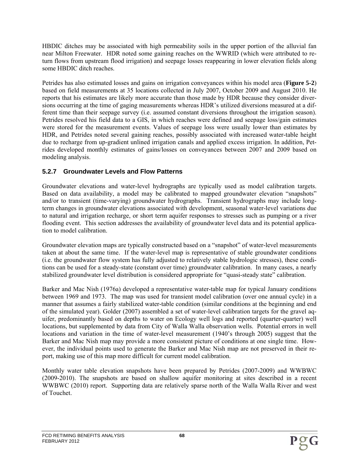HBDIC ditches may be associated with high permeability soils in the upper portion of the alluvial fan near Milton Freewater. HDR noted some gaining reaches on the WWRID (which were attributed to return flows from upstream flood irrigation) and seepage losses reappearing in lower elevation fields along some HBDIC ditch reaches.

Petrides has also estimated losses and gains on irrigation conveyances within his model area (**Figure 5-2**) based on field measurements at 35 locations collected in July 2007, October 2009 and August 2010. He reports that his estimates are likely more accurate than those made by HDR because they consider diversions occurring at the time of gaging measurements whereas HDR's utilized diversions measured at a different time than their seepage survey (i.e. assumed constant diversions throughout the irrigation season). Petrides resolved his field data to a GIS, in which reaches were defined and seepage loss/gain estimates were stored for the measurement events. Values of seepage loss were usually lower than estimates by HDR, and Petrides noted several gaining reaches, possibly associated with increased water-table height due to recharge from up-gradient unlined irrigation canals and applied excess irrigation. In addition, Petrides developed monthly estimates of gains/losses on conveyances between 2007 and 2009 based on modeling analysis.

## **5.2.7 Groundwater Levels and Flow Patterns**

Groundwater elevations and water-level hydrographs are typically used as model calibration targets. Based on data availability, a model may be calibrated to mapped groundwater elevation "snapshots" and/or to transient (time-varying) groundwater hydrographs. Transient hydrographs may include longterm changes in groundwater elevations associated with development, seasonal water-level variations due to natural and irrigation recharge, or short term aquifer responses to stresses such as pumping or a river flooding event. This section addresses the availability of groundwater level data and its potential application to model calibration.

Groundwater elevation maps are typically constructed based on a "snapshot" of water-level measurements taken at about the same time. If the water-level map is representative of stable groundwater conditions (i.e. the groundwater flow system has fully adjusted to relatively stable hydrologic stresses), these conditions can be used for a steady-state (constant over time) groundwater calibration. In many cases, a nearly stabilized groundwater level distribution is considered appropriate for "quasi-steady state" calibration.

Barker and Mac Nish (1976a) developed a representative water-table map for typical January conditions between 1969 and 1973. The map was used for transient model calibration (over one annual cycle) in a manner that assumes a fairly stabilized water-table condition (similar conditions at the beginning and end of the simulated year). Golder (2007) assembled a set of water-level calibration targets for the gravel aquifer, predominantly based on depths to water on Ecology well logs and reported (quarter-quarter) well locations, but supplemented by data from City of Walla Walla observation wells. Potential errors in well locations and variation in the time of water-level measurement (1940's through 2005) suggest that the Barker and Mac Nish map may provide a more consistent picture of conditions at one single time. However, the individual points used to generate the Barker and Mac Nish map are not preserved in their report, making use of this map more difficult for current model calibration.

Monthly water table elevation snapshots have been prepared by Petrides (2007-2009) and WWBWC (2009-2010). The snapshots are based on shallow aquifer monitoring at sites described in a recent WWBWC (2010) report. Supporting data are relatively sparse north of the Walla Walla River and west of Touchet.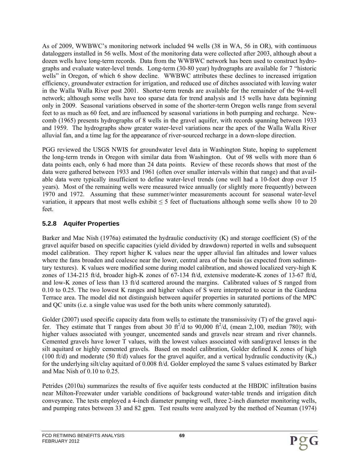As of 2009, WWBWC's monitoring network included 94 wells (38 in WA, 56 in OR), with continuous dataloggers installed in 56 wells. Most of the monitoring data were collected after 2003, although about a dozen wells have long-term records. Data from the WWBWC network has been used to construct hydrographs and evaluate water-level trends. Long-term (30-80 year) hydrographs are available for 7 "historic wells" in Oregon, of which 6 show decline. WWBWC attributes these declines to increased irrigation efficiency, groundwater extraction for irrigation, and reduced use of ditches associated with leaving water in the Walla Walla River post 2001. Shorter-term trends are available for the remainder of the 94-well network; although some wells have too sparse data for trend analysis and 15 wells have data beginning only in 2009. Seasonal variations observed in some of the shorter-term Oregon wells range from several feet to as much as 60 feet, and are influenced by seasonal variations in both pumping and recharge. Newcomb (1965) presents hydrographs of 8 wells in the gravel aquifer, with records spanning between 1933 and 1959. The hydrographs show greater water-level variations near the apex of the Walla Walla River alluvial fan, and a time lag for the appearance of river-sourced recharge in a down-slope direction.

PGG reviewed the USGS NWIS for groundwater level data in Washington State, hoping to supplement the long-term trends in Oregon with similar data from Washington. Out of 98 wells with more than 6 data points each, only 6 had more than 24 data points. Review of these records shows that most of the data were gathered between 1933 and 1961 (often over smaller intervals within that range) and that available data were typically insufficient to define water-level trends (one well had a 10-foot drop over 15 years). Most of the remaining wells were measured twice annually (or slightly more frequently) between 1970 and 1972. Assuming that these summer/winter measurements account for seasonal water-level variation, it appears that most wells exhibit  $\leq 5$  feet of fluctuations although some wells show 10 to 20 feet.

## **5.2.8 Aquifer Properties**

Barker and Mac Nish (1976a) estimated the hydraulic conductivity (K) and storage coefficient (S) of the gravel aquifer based on specific capacities (yield divided by drawdown) reported in wells and subsequent model calibration. They report higher K values near the upper alluvial fan altitudes and lower values where the fans broaden and coalesce near the lower, central area of the basin (as expected from sedimentary textures). K values were modified some during model calibration, and showed localized very-high K zones of 134-215 ft/d, broader high-K zones of 67-134 ft/d, extensive moderate-K zones of 13-67 ft/d, and low-K zones of less than 13 ft/d scattered around the margins. Calibrated values of S ranged from 0.10 to 0.25. The two lowest K ranges and higher values of S were interpreted to occur in the Gardena Terrace area. The model did not distinguish between aquifer properties in saturated portions of the MPC and QC units (i.e. a single value was used for the both units where commonly saturated).

Golder (2007) used specific capacity data from wells to estimate the transmissivity (T) of the gravel aquifer. They estimate that T ranges from about 30 ft<sup>2</sup>/d to 90,000 ft<sup>2</sup>/d, (mean 2,100, median 780); with higher values associated with younger, uncemented sands and gravels near stream and river channels. Cemented gravels have lower T values, with the lowest values associated with sand/gravel lenses in the silt aquitard or highly cemented gravels. Based on model calibration, Golder defined K zones of high (100 ft/d) and moderate (50 ft/d) values for the gravel aquifer, and a vertical hydraulic conductivity  $(K_v)$ for the underlying silt/clay aquitard of 0.008 ft/d. Golder employed the same S values estimated by Barker and Mac Nish of 0.10 to 0.25.

Petrides (2010a) summarizes the results of five aquifer tests conducted at the HBDIC infiltration basins near Milton-Freewater under variable conditions of background water-table trends and irrigation ditch conveyance. The tests employed a 4-inch diameter pumping well, three 2-inch diameter monitoring wells, and pumping rates between 33 and 82 gpm. Test results were analyzed by the method of Neuman (1974)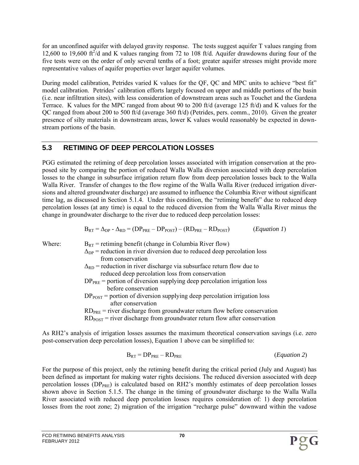for an unconfined aquifer with delayed gravity response. The tests suggest aquifer T values ranging from 12,600 to 19,600  $\text{ft}^2/\text{d}$  and K values ranging from 72 to 108 ft/d. Aquifer drawdowns during four of the five tests were on the order of only several tenths of a foot; greater aquifer stresses might provide more representative values of aquifer properties over larger aquifer volumes.

During model calibration, Petrides varied K values for the QF, QC and MPC units to achieve "best fit" model calibration. Petrides' calibration efforts largely focused on upper and middle portions of the basin (i.e. near infiltration sites), with less consideration of downstream areas such as Touchet and the Gardena Terrace. K values for the MPC ranged from about 90 to 200 ft/d (average 125 ft/d) and K values for the QC ranged from about 200 to 500 ft/d (average 360 ft/d) (Petrides, pers. comm., 2010). Given the greater presence of silty materials in downstream areas, lower K values would reasonably be expected in downstream portions of the basin.

# **5.3 RETIMING OF DEEP PERCOLATION LOSSES**

PGG estimated the retiming of deep percolation losses associated with irrigation conservation at the proposed site by comparing the portion of reduced Walla Walla diversion associated with deep percolation losses to the change in subsurface irrigation return flow from deep percolation losses back to the Walla Walla River. Transfer of changes to the flow regime of the Walla Walla River (reduced irrigation diversions and altered groundwater discharge) are assumed to influence the Columbia River without significant time lag, as discussed in Section 5.1.4. Under this condition, the "retiming benefit" due to reduced deep percolation losses (at any time) is equal to the reduced diversion from the Walla Walla River minus the change in groundwater discharge to the river due to reduced deep percolation losses:

$$
B_{RT} = \Delta_{DP} - \Delta_{RD} = (DP_{PRE} - DP_{POST}) - (RD_{PRE} - RD_{POST})
$$
 (*Equation 1*)

- Where:  $B_{RT}$  = retiming benefit (change in Columbia River flow)  $\Delta_{\text{DP}}$  = reduction in river diversion due to reduced deep percolation loss from conservation  $\Delta_{\rm RD}$  = reduction in river discharge via subsurface return flow due to
	- reduced deep percolation loss from conservation
	- $DP<sub>PRE</sub>$  = portion of diversion supplying deep percolation irrigation loss before conservation
	- $DP<sub>POST</sub>$  = portion of diversion supplying deep percolation irrigation loss after conservation
	- $RD<sub>PRE</sub>$  = river discharge from groundwater return flow before conservation
	- $RD_{POST}$  = river discharge from groundwater return flow after conservation

As RH2's analysis of irrigation losses assumes the maximum theoretical conservation savings (i.e. zero post-conservation deep percolation losses), Equation 1 above can be simplified to:

$$
B_{RT} = DP_{PRE} - RD_{PRE}
$$
 (Equation 2)

For the purpose of this project, only the retiming benefit during the critical period (July and August) has been defined as important for making water rights decisions. The reduced diversion associated with deep percolation losses (DP<sub>PRE</sub>) is calculated based on RH2's monthly estimates of deep percolation losses shown above in Section 5.1.5. The change in the timing of groundwater discharge to the Walla Walla River associated with reduced deep percolation losses requires consideration of: 1) deep percolation losses from the root zone; 2) migration of the irrigation "recharge pulse" downward within the vadose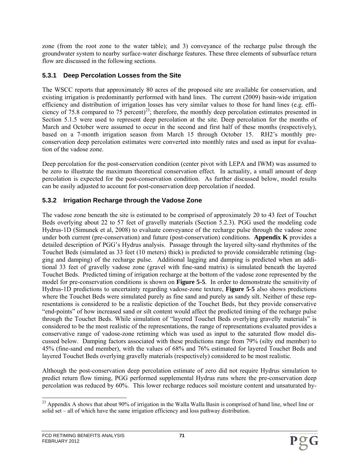zone (from the root zone to the water table); and 3) conveyance of the recharge pulse through the groundwater system to nearby surface-water discharge features. These three elements of subsurface return flow are discussed in the following sections.

#### **5.3.1 Deep Percolation Losses from the Site**

The WSCC reports that approximately 80 acres of the proposed site are available for conservation, and existing irrigation is predominantly performed with hand lines. The current (2009) basin-wide irrigation efficiency and distribution of irrigation losses has very similar values to those for hand lines (e.g. efficiency of 75.8 compared to 75 percent)<sup>23</sup>; therefore, the monthly deep percolation estimates presented in Section 5.1.5 were used to represent deep percolation at the site. Deep percolation for the months of March and October were assumed to occur in the second and first half of these months (respectively), based on a 7-month irrigation season from March 15 through October 15. RH2's monthly preconservation deep percolation estimates were converted into monthly rates and used as input for evaluation of the vadose zone.

Deep percolation for the post-conservation condition (center pivot with LEPA and IWM) was assumed to be zero to illustrate the maximum theoretical conservation effect. In actuality, a small amount of deep percolation is expected for the post-conservation condition. As further discussed below, model results can be easily adjusted to account for post-conservation deep percolation if needed.

### **5.3.2 Irrigation Recharge through the Vadose Zone**

The vadose zone beneath the site is estimated to be comprised of approximately 20 to 43 feet of Touchet Beds overlying about 22 to 57 feet of gravelly materials (Section 5.2.3). PGG used the modeling code Hydrus-1D (Simunek et al, 2008) to evaluate conveyance of the recharge pulse through the vadose zone under both current (pre-conservation) and future (post-conservation) conditions. **Appendix K** provides a detailed description of PGG's Hydrus analysis. Passage through the layered silty-sand rhythmites of the Touchet Beds (simulated as 33 feet (10 meters) thick) is predicted to provide considerable retiming (lagging and damping) of the recharge pulse. Additional lagging and damping is predicted when an additional 33 feet of gravelly vadose zone (gravel with fine-sand matrix) is simulated beneath the layered Touchet Beds. Predicted timing of irrigation recharge at the bottom of the vadose zone represented by the model for pre-conservation conditions is shown on **Figure 5-5**.In order to demonstrate the sensitivity of Hydrus-1D predictions to uncertainty regarding vadose-zone texture, **Figure 5-5** also shows predictions where the Touchet Beds were simulated purely as fine sand and purely as sandy silt. Neither of these representations is considered to be a realistic depiction of the Touchet Beds, but they provide conservative "end-points" of how increased sand or silt content would affect the predicted timing of the recharge pulse through the Touchet Beds. While simulation of "layered Touchet Beds overlying gravelly materials" is considered to be the most realistic of the representations, the range of representations evaluated provides a conservative range of vadose-zone retiming which was used as input to the saturated flow model discussed below. Damping factors associated with these predictions range from 79% (silty end member) to 45% (fine-sand end member), with the values of 68% and 76% estimated for layered Touchet Beds and layered Touchet Beds overlying gravelly materials (respectively) considered to be most realistic.

Although the post-conservation deep percolation estimate of zero did not require Hydrus simulation to predict return flow timing, PGG performed supplemental Hydrus runs where the pre-conservation deep percolation was reduced by 60%. This lower recharge reduces soil moisture content and unsaturated hy-

l <sup>23</sup> Appendix A shows that about 90% of irrigation in the Walla Walla Basin is comprised of hand line, wheel line or solid set – all of which have the same irrigation efficiency and loss pathway distribution.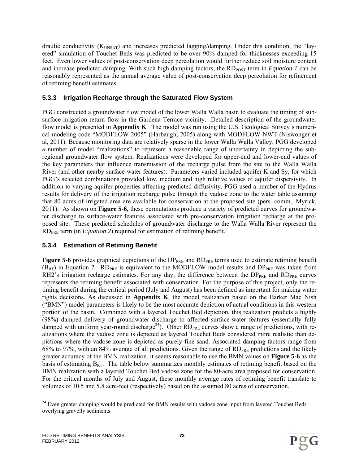draulic conductivity (K<sub>UNSAT</sub>) and increases predicted lagging/damping. Under this condition, the "layered" simulation of Touchet Beds was predicted to be over 90% damped for thicknesses exceeding 15 feet. Even lower values of post-conservation deep percolation would further reduce soil moisture content and increase predicted damping. With such high damping factors, the RD<sub>POST</sub> term in *Equation 1* can be reasonably represented as the annual average value of post-conservation deep percolation for refinement of retiming benefit estimates.

#### **5.3.3 Irrigation Recharge through the Saturated Flow System**

PGG constructed a groundwater flow model of the lower Walla Walla basin to evaluate the timing of subsurface irrigation return flow in the Gardena Terrace vicinity. Detailed description of the groundwater flow model is presented in **Appendix K**. The model was run using the U.S. Geological Survey's numerical modeling code "MODFLOW 2005" (Harbaugh, 2005) along with MODFLOW NWT (Niswonger et al, 2011). Because monitoring data are relatively sparse in the lower Walla Walla Valley, PGG developed a number of model "realizations" to represent a reasonable range of uncertainty in depicting the subregional groundwater flow system. Realizations were developed for upper-end and lower-end values of the key parameters that influence transmission of the recharge pulse from the site to the Walla Walla River (and other nearby surface-water features). Parameters varied included aquifer K and Sy, for which PGG's selected combinations provided low, medium and high relative values of aquifer dispersivity. In addition to varying aquifer properties affecting predicted diffusivity, PGG used a number of the Hydrus results for delivery of the irrigation recharge pulse through the vadose zone to the water table assuming that 80 acres of irrigated area are available for conservation at the proposed site (pers. comm., Myrick, 2011). As shown on **Figure 5-6**, these permutations produce a variety of predicted curves for groundwater discharge to surface-water features associated with pre-conservation irrigation recharge at the proposed site. These predicted schedules of groundwater discharge to the Walla Walla River represent the RDPRE term (in *Equation 2*) required for estimation of retiming benefit.

### **5.3.4 Estimation of Retiming Benefit**

**Figure 5-6** provides graphical depictions of the DP<sub>PRE</sub> and RD<sub>PRE</sub> terms used to estimate retiming benefit  $(B_{RT})$  in Equation 2. RD<sub>PRE</sub> is equivalent to the MODFLOW model results and DP<sub>PRE</sub> was taken from RH2's irrigation recharge estimates. For any day, the difference between the  $DP_{PRE}$  and  $RD_{PRE}$  curves represents the retiming benefit associated with conservation. For the purpose of this project, only the retiming benefit during the critical period (July and August) has been defined as important for making water rights decisions. As discussed in **Appendix K**, the model realization based on the Barker Mac Nish ("BMN") model parameters is likely to be the most accurate depiction of actual conditions in this western portion of the basin. Combined with a layered Touchet Bed depiction, this realization predicts a highly (98%) damped delivery of groundwater discharge to affected surface-water features (essentially fully damped with uniform year-round discharge<sup>24</sup>). Other  $RD_{PRE}$  curves show a range of predictions, with realizations where the vadose zone is depicted as layered Touchet Beds considered more realistic than depictions where the vadose zone is depicted as purely fine sand. Associated damping factors range from 68% to 97%, with an 84% average of all predictions. Given the range of  $RD_{PRE}$  predictions and the likely greater accuracy of the BMN realization, it seems reasonable to use the BMN values on **Figure 5-6** as the basis of estimating  $B_{RT}$ . The table below summarizes monthly estimates of retiming benefit based on the BMN realization with a layered Touchet Bed vadose zone for the 80-acre area proposed for conservation. For the critical months of July and August, these monthly average rates of retiming benefit translate to volumes of 10.5 and 5.8 acre-feet (respectively) based on the assumed 80 acres of conservation.

l <sup>24</sup> Even greater damping would be predicted for BMN results with vadose zone input from layered Touchet Beds overlying gravelly sediments.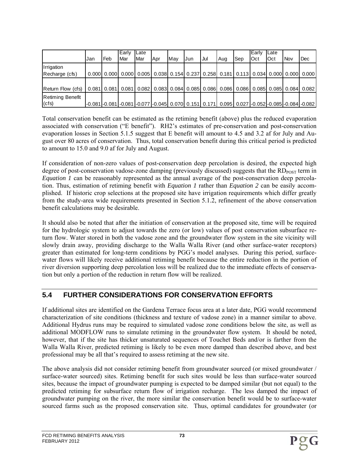|                                                                                                                         | IJan | Feb | Early<br>Mar | <b>ILate</b><br><b>I</b> Mar | Apr | <b>I</b> Mav | .Jun | Jul | Aug | Sep | lEarly<br><b>Oct</b> | <b>ILate</b><br><b>I</b> Oct | <b>Nov</b> | Dec                                                                                                                                    |
|-------------------------------------------------------------------------------------------------------------------------|------|-----|--------------|------------------------------|-----|--------------|------|-----|-----|-----|----------------------|------------------------------|------------|----------------------------------------------------------------------------------------------------------------------------------------|
| Irrigation                                                                                                              |      |     |              |                              |     |              |      |     |     |     |                      |                              |            |                                                                                                                                        |
| Recharge (cfs)                                                                                                          |      |     |              |                              |     |              |      |     |     |     |                      |                              |            | 0.000 0.000 0.000 0.005 0.038 0.154 0.237 0.258 0.181 0.113 0.034 0.000 0.000 0.000                                                    |
|                                                                                                                         |      |     |              |                              |     |              |      |     |     |     |                      |                              |            |                                                                                                                                        |
| Return Flow (cfs)   0.081 0.081   0.081   0.082   0.083   0.084   0.085   0.086   0.086   0.085   0.085   0.084   0.082 |      |     |              |                              |     |              |      |     |     |     |                      |                              |            |                                                                                                                                        |
| <b>Retiming Benefit</b>                                                                                                 |      |     |              |                              |     |              |      |     |     |     |                      |                              |            |                                                                                                                                        |
| (cfs)                                                                                                                   |      |     |              |                              |     |              |      |     |     |     |                      |                              |            | $-0.081$ $-0.081$ $-0.081$ $-0.081$ $-0.077$ $-0.045$ $-0.070$ $-0.151$ $-0.171$ $-0.095$ $-0.027$ $-0.052$ $-0.052$ $-0.084$ $-0.084$ |

Total conservation benefit can be estimated as the retiming benefit (above) plus the reduced evaporation associated with conservation ("E benefit"). RH2's estimates of pre-conservation and post-conservation evaporation losses in Section 5.1.5 suggest that E benefit will amount to 4.5 and 3.2 af for July and August over 80 acres of conservation. Thus, total conservation benefit during this critical period is predicted to amount to 15.0 and 9.0 af for July and August.

If consideration of non-zero values of post-conservation deep percolation is desired, the expected high degree of post-conservation vadose-zone damping (previously discussed) suggests that the  $RD_{POST}$  term in *Equation 1* can be reasonably represented as the annual average of the post-conservation deep percolation. Thus, estimation of retiming benefit with *Equation 1* rather than *Equation 2* can be easily accomplished. If historic crop selections at the proposed site have irrigation requirements which differ greatly from the study-area wide requirements presented in Section 5.1.2, refinement of the above conservation benefit calculations may be desirable.

It should also be noted that after the initiation of conservation at the proposed site, time will be required for the hydrologic system to adjust towards the zero (or low) values of post conservation subsurface return flow. Water stored in both the vadose zone and the groundwater flow system in the site vicinity will slowly drain away, providing discharge to the Walla Walla River (and other surface-water receptors) greater than estimated for long-term conditions by PGG's model analyses. During this period, surfacewater flows will likely receive additional retiming benefit because the entire reduction in the portion of river diversion supporting deep percolation loss will be realized due to the immediate effects of conservation but only a portion of the reduction in return flow will be realized.

# **5.4 FURTHER CONSIDERATIONS FOR CONSERVATION EFFORTS**

If additional sites are identified on the Gardena Terrace focus area at a later date, PGG would recommend characterization of site conditions (thickness and texture of vadose zone) in a manner similar to above. Additional Hydrus runs may be required to simulated vadose zone conditions below the site, as well as additional MODFLOW runs to simulate retiming in the groundwater flow system. It should be noted, however, that if the site has thicker unsaturated sequences of Touchet Beds and/or is farther from the Walla Walla River, predicted retiming is likely to be even more damped than described above, and best professional may be all that's required to assess retiming at the new site.

The above analysis did not consider retiming benefit from groundwater sourced (or mixed groundwater / surface-water sourced) sites. Retiming benefit for such sites would be less than surface-water sourced sites, because the impact of groundwater pumping is expected to be damped similar (but not equal) to the predicted retiming for subsurface return flow of irrigation recharge. The less damped the impact of groundwater pumping on the river, the more similar the conservation benefit would be to surface-water sourced farms such as the proposed conservation site. Thus, optimal candidates for groundwater (or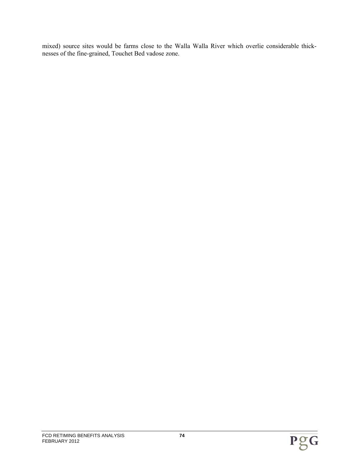mixed) source sites would be farms close to the Walla Walla River which overlie considerable thicknesses of the fine-grained, Touchet Bed vadose zone.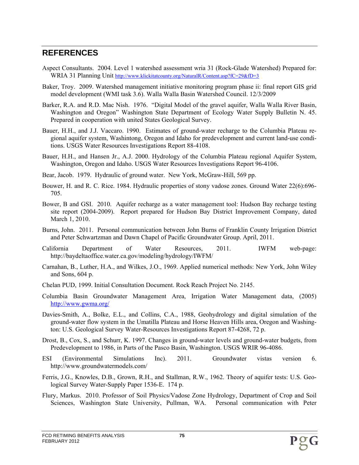# **REFERENCES**

- Aspect Consultants. 2004. Level 1 watershed assessment wria 31 (Rock-Glade Watershed) Prepared for: WRIA 31 Planning Unit http://www.klickitatcounty.org/NaturalR/Content.asp?fC=29&fD=3
- Baker, Troy. 2009. Watershed management initiative monitoring program phase ii: final report GIS grid model development (WMI task 3.6). Walla Walla Basin Watershed Council. 12/3/2009
- Barker, R.A. and R.D. Mac Nish. 1976. "Digital Model of the gravel aquifer, Walla Walla River Basin, Washington and Oregon" Washington State Department of Ecology Water Supply Bulletin N. 45. Prepared in cooperation with united States Geological Survey.
- Bauer, H.H., and J.J. Vaccaro. 1990. Estimates of ground-water recharge to the Columbia Plateau regional aquifer system, Washintong, Oregon and Idaho for predevelopment and current land-use conditions. USGS Water Resources Investigations Report 88-4108.
- Bauer, H.H., and Hansen Jr., A.J. 2000. Hydrology of the Columbia Plateau regional Aquifer System, Washington, Oregon and Idaho. USGS Water Resources Investigations Report 96-4106.
- Bear, Jacob. 1979. Hydraulic of ground water. New York, McGraw-Hill, 569 pp.
- Bouwer, H. and R. C. Rice. 1984. Hydraulic properties of stony vadose zones. Ground Water 22(6):696- 705.
- Bower, B and GSI. 2010. Aquifer recharge as a water management tool: Hudson Bay recharge testing site report (2004-2009). Report prepared for Hudson Bay District Improvement Company, dated March 1, 2010.
- Burns, John. 2011. Personal communication between John Burns of Franklin County Irrigation District and Peter Schwartzman and Dawn Chapel of Pacific Groundwater Group. April, 2011.
- California Department of Water Resources, 2011. IWFM web-page: http://baydeltaoffice.water.ca.gov/modeling/hydrology/IWFM/
- Carnahan, B., Luther, H.A., and Wilkes, J.O., 1969. Applied numerical methods: New York, John Wiley and Sons, 604 p.
- Chelan PUD, 1999. Initial Consultation Document. Rock Reach Project No. 2145.
- Columbia Basin Groundwater Management Area, Irrigation Water Management data, (2005) http://www.gwma.org/
- Davies-Smith, A., Bolke, E.L., and Collins, C.A., 1988, Geohydrology and digital simulation of the ground-water flow system in the Umatilla Plateau and Horse Heaven Hills area, Oregon and Washington: U.S. Geological Survey Water-Resources Investigations Report 87-4268, 72 p.
- Drost, B., Cox, S., and Schurr, K. 1997. Changes in ground-water levels and ground-water budgets, from Predevelopment to 1986, in Parts of the Pasco Basin, Washington. USGS WRIR 96-4086.
- ESI (Environmental Simulations Inc). 2011. Groundwater vistas version 6. http://www.groundwatermodels.com/
- Ferris, J.G., Knowles, D.B., Grown, R.H., and Stallman, R.W., 1962. Theory of aquifer tests: U.S. Geological Survey Water-Supply Paper 1536-E. 174 p.
- Flury, Markus. 2010. Professor of Soil Physics/Vadose Zone Hydrology, Department of Crop and Soil Sciences, Washington State University, Pullman, WA. Personal communication with Peter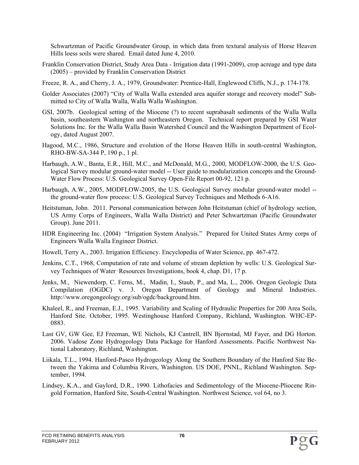Schwartzman of Pacific Groundwater Group, in which data from textural analysis of Horse Heaven Hills loess soils were shared. Email dated June 4, 2010.

- Franklin Conservation District, Study Area Data Irrigation data (1991-2009), crop acreage and type data (2005) – provided by Franklin Conservation District
- Freeze, R. A., and Cherry, J. A., 1979, Groundwater: Prentice-Hall, Englewood Cliffs, N.J., p. 174-178.
- Golder Associates (2007) "City of Walla Walla extended area aquifer storage and recovery model" Submitted to City of Walla Walla, Walla Walla Washington.
- GSI, 2007b. Geological setting of the Miocene (?) to recent suprabasalt sediments of the Walla Walla basin, southeastern Washington and northeastern Oregon. Technical report prepared by GSI Water Solutions Inc. for the Walla Walla Basin Watershed Council and the Washington Department of Ecology, dated August 2007.
- Hagood, M.C., 1986, Structure and evolution of the Horse Heaven Hills in south-central Washington, RHO-BW-SA-344 P, 190 p., 1 pl.
- Harbaugh, A.W., Banta, E.R., Hill, M.C., and McDonald, M.G., 2000, MODFLOW-2000, the U.S. Geological Survey modular ground-water model -- User guide to modularization concepts and the Ground-Water Flow Process: U.S. Geological Survey Open-File Report 00-92, 121 p.
- Harbaugh, A.W., 2005, MODFLOW-2005, the U.S. Geological Survey modular ground-water model the ground-water flow process: U.S. Geological Survey Techniques and Methods 6-A16.
- Heitstuman, John. 2011. Personal communication between John Heitstuman (chief of hydrology section, US Army Corps of Engineers, Walla Walla District) and Peter Schwartzman (Pacific Groundwater Group). June 2011.
- HDR Engineering Inc. (2004) "Irrigation System Analysis." Prepared for United States Army corps of Engineers Walla Walla Engineer District.
- Howell, Terry A., 2003. Irrigation Efficiency. Encyclopedia of Water Science, pp. 467-472.
- Jenkins, C.T., 1968, Computation of rate and volume of stream depletion by wells: U.S. Geological Survey Techniques of Water‑Resources Investigations, book 4, chap. D1, 17 p.
- Jenks, M., Niewendorp, C. Ferns, M., Madin, I., Staub, P., and Ma, L., 2006. Oregon Geologic Data Compilation (OGDC) v. 3. Oregon Department of Geology and Mineral Industries. http://www.oregongeology.org/sub/ogdc/background.htm.
- Khaleel, R., and Freeman, E.J., 1995. Variability and Scaling of Hydraulic Properties for 200 Area Soils, Hanford Site. October, 1995. Westinghouse Hanford Company, Richland, Washington. WHC-EP-0883.
- Last GV, GW Gee, EJ Freeman, WE Nichols, KJ Cantrell, BN Bjornstad, MJ Fayer, and DG Horton. 2006. Vadose Zone Hydrogeology Data Package for Hanford Assessments. Pacific Northwest National Laboratory, Richland, Washington.
- Liikala, T.L., 1994. Hanford-Pasco Hydrogeology Along the Southern Boundary of the Hanford Site Between the Yakima and Columbia Rivers, Washington. US DOE, PNNL, Richland Washington. September, 1994.
- Lindsey, K.A., and Gaylord, D.R., 1990. Lithofacies and Sedimentology of the Miocene-Pliocene Ringold Formation, Hanford Site, South-Central Washington. Northwest Science, vol 64, no 3.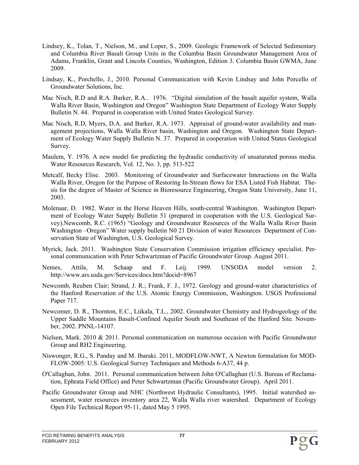- Lindsey, K., Tolan, T., Nielson, M., and Loper, S., 2009. Geologic Framework of Selected Sedimentary and Columbia River Basalt Group Units in the Columbia Basin Groundwater Management Area of Adams, Franklin, Grant and Lincoln Counties, Washington, Edition 3. Columbia Basin GWMA, June 2009.
- Lindsay, K., Porchello, J., 2010. Personal Communication with Kevin Lindsay and John Porcello of Groundwater Solutions, Inc.
- Mac Nisch, R.D and R.A. Barker, R.A.. 1976. "Digital simulation of the basalt aquifer system, Walla Walla River Basin, Washington and Oregon" Washington State Department of Ecology Water Supply Bulletin N. 44. Prepared in cooperation with United States Geological Survey.
- Mac Nisch, R.D, Myers, D.A. and Barker, R.A. 1973. Appraisal of ground-water availability and management projections, Walla Walla River basin, Washington and Oregon. Washington State Department of Ecology Water Supply Bulletin N. 37. Prepared in cooperation with United States Geological Survey.
- Maulem, Y. 1976. A new model for predicting the hydraulic conductivity of unsaturated porous media. Water Resources Research, Vol. 12, No. 3, pp. 513-522
- Metcalf, Becky Elise. 2003. Monitoring of Groundwater and Surfacewater Interactions on the Walla Walla River, Oregon for the Purpose of Restoring In-Stream flows for ESA Listed Fish Habitat. Thesis for the degree of Master of Science in Bioresource Engineering, Oregon State University, June 11, 2003.
- Molenaar, D. 1982. Water in the Horse Heaven Hills, south-central Washington. Washington Department of Ecology Water Supply Bulletin 51 (prepared in cooperation with the U.S. Geological Survey).Newcomb, R.C. (1965) "Geology and Groundwater Resources of the Walla Walla River Basin Washington –Oregon" Water supply bulletin N0 21 Division of water Resources Department of Conservation State of Washington, U.S. Geological Survey.
- Myrick, Jack. 2011. Washington State Conservation Commission irrigation efficiency specialist. Personal communication with Peter Schwartzman of Pacific Groundwater Group. August 2011.
- Nemes, Attila, M. Schaap and F. Leij. 1999. UNSODA model version 2. http://www.ars.usda.gov/Services/docs.htm?docid=8967
- Newcomb, Reuben Clair; Strand, J. R.; Frank, F. J., 1972. Geology and ground-water characteristics of the Hanford Reservation of the U.S. Atomic Energy Commission, Washington. USGS Professional Paper 717.
- Newcomer, D. R., Thornton, E.C., Liikala, T.L., 2002. Groundwater Chemistry and Hydrogeology of the Upper Saddle Mountains Basalt-Confined Aquifer South and Southeast of the Hanford Site. November, 2002. PNNL-14107.
- Nielsen, Mark. 2010 & 2011. Personal communication on numerous occasion with Pacific Groundwater Group and RH2 Engineering.
- Niswonger, R.G., S. Panday and M. Ibaraki. 2011, MODFLOW-NWT, A Newton formulation for MOD-FLOW-2005: U.S. Geological Survey Techniques and Methods 6-A37, 44 p.
- O'Callaghan, John. 2011. Personal communication between John O'Callaghan (U.S. Bureau of Reclamation, Ephrata Field Office) and Peter Schwartzman (Pacific Groundwater Group). April 2011.
- Pacific Groundwater Group and NHC (Northwest Hydraulic Consultants), 1995. Initial watershed assessment, water resources inventory area 22, Walla Walla river watershed. Department of Ecology Open File Technical Report 95-11, dated May 5 1995.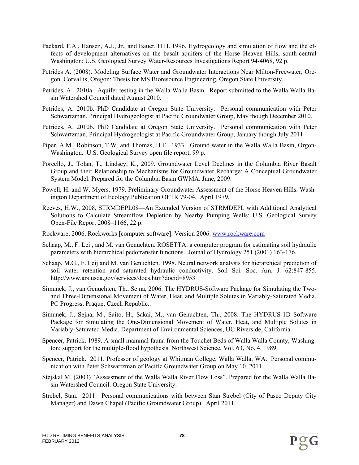- Packard, F.A., Hansen, A.J., Jr., and Bauer, H.H. 1996. Hydrogeology and simulation of flow and the effects of development alternatives on the basalt aquifers of the Horse Heaven Hills, south-central Washington: U.S. Geological Survey Water-Resources Investigations Report 94-4068, 92 p.
- Petrides A. (2008). Modeling Surface Water and Groundwater Interactions Near Milton-Freewater, Oregon. Corvallis, Oregon: Thesis for MS Bioresource Engineering, Oregon State University.
- Petrides, A. 2010a. Aquifer testing in the Walla Walla Basin. Report submitted to the Walla Walla Basin Watershed Council dated August 2010.
- Petrides, A. 2010b. PhD Candidate at Oregon State University. Personal communication with Peter Schwartzman, Principal Hydrogeologist at Pacific Groundwater Group, May though December 2010.
- Petrides, A. 2010b. PhD Candidate at Oregon State University. Personal communication with Peter Schwartzman, Principal Hydrogeologist at Pacific Groundwater Group, January though July 2011.
- Piper, A.M., Robinson, T.W. and Thomas, H.E., 1933. Ground water in the Walla Walla Basin, Orgon-Washington. U.S. Geological Survey open file report, 99 p.
- Porcello, J., Tolan, T., Lindsey, K., 2009. Groundwater Level Declines in the Columbia River Basalt Group and their Relationship to Mechanisms for Groundwater Recharge: A Conceptual Groundwater System Model. Prepared for the Columbia Basin GWMA. June, 2009.
- Powell, H. and W. Myers. 1979. Preliminary Groundwater Assessment of the Horse Heaven Hills. Washington Department of Ecology Publication OFTR 79-04. April 1979.
- Reeves, H.W., 2008, STRMDEPL08—An Extended Version of STRMDEPL with Additional Analytical Solutions to Calculate Streamflow Depletion by Nearby Pumping Wells: U.S. Geological Survey Open-File Report 2008–1166, 22 p.
- Rockware, 2006. Rockworks [computer software]. Version 2006. www.rockware.com
- Schaap, M., F. Leij, and M. van Genuchten. ROSETTA: a computer program for estimating soil hydraulic parameters with hierarchical pedotransfer functions. Jounal of Hydrology 251 (2001) 163-176.
- Schaap, M.G., F. Leij and M. van Genuchten. 1998. Neural network analysis for hierarchical prediction of soil water retention and saturated hydraulic conductivity. Soil Sci. Soc. Am. J. 62:847-855. http://www.ars.usda.gov/services/docs.htm?docid=8953
- Simunek, J., van Genuchten, Th., Sejna, 2006. The HYDRUS-Software Package for Simulating the Twoand Three-Dimensional Movement of Water, Heat, and Multiple Solutes in Variably-Saturated Media. PC Progress, Praque, Czech Republic..
- Simunek, J., Sejna, M., Saito, H., Sakai, M., van Genuchten, Th., 2008. The HYDRUS-1D Software Package for Simulating the One-Dimensional Movement of Water, Heat, and Multiple Solutes in Variably-Saturated Media. Department of Environmental Sciences, UC Riverside, California.
- Spencer, Patrick. 1989. A small mammal fauna from the Touchet Beds of Walla Walla County, Washington: support for the multiple-flood hypothesis. Northwest Science, Vol. 63, No. 4, 1989.
- Spencer, Patrick. 2011. Professor of geology at Whitman College, Walla Walla, WA. Personal communication with Peter Schwartzman of Pacific Groundwater Group on May 10, 2011.
- Stejskal M. (2003) "Assessment of the Walla Walla River Flow Loss". Prepared for the Walla Walla Basin Watershed Council. Oregon State University.
- Strebel, Stan. 2011. Personal communications with between Stan Strebel (City of Pasco Deputy City Manager) and Dawn Chapel (Pacific Groundwater Group). April 2011.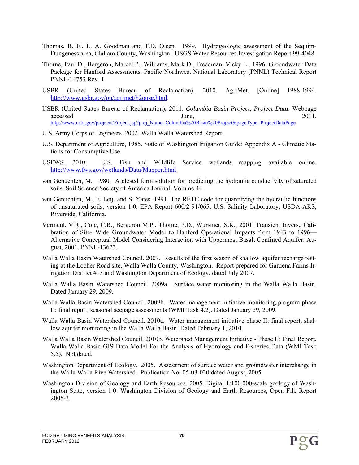- Thomas, B. E., L. A. Goodman and T.D. Olsen. 1999. Hydrogeologic assessment of the Sequim-Dungeness area, Clallam County, Washington. USGS Water Resources Investigation Report 99-4048.
- Thorne, Paul D., Bergeron, Marcel P., Williams, Mark D., Freedman, Vicky L., 1996. Groundwater Data Package for Hanford Assessments. Pacific Northwest National Laboratory (PNNL) Technical Report PNNL-14753 Rev. 1.
- USBR (United States Bureau of Reclamation). 2010. AgriMet. [Online] 1988-1994. http://www.usbr.gov/pn/agrimet/h2ouse.html.
- USBR (United States Bureau of Reclamation), 2011. *Columbia Basin Project, Project Data*. Webpage accessed June, 2011. http://www.usbr.gov/projects/Project.jsp?proj\_Name=Columbia%20Basin%20Project&pageType=ProjectDataPage
- U.S. Army Corps of Engineers, 2002. Walla Walla Watershed Report.
- U.S. Department of Agriculture, 1985. State of Washington Irrigation Guide: Appendix A Climatic Stations for Consumptive Use.
- USFWS, 2010. U.S. Fish and Wildlife Service wetlands mapping available online. http://www.fws.gov/wetlands/Data/Mapper.html
- van Genuchten, M. 1980. A closed form solution for predicting the hydraulic conductivity of saturated soils. Soil Science Society of America Journal, Volume 44.
- van Genuchten, M., F. Leij, and S. Yates. 1991. The RETC code for quantifying the hydraulic functions of unsaturated soils, version 1.0. EPA Report 600/2-91/065, U.S. Salinity Laboratory, USDA-ARS, Riverside, California.
- Vermeul, V.R., Cole, C.R., Bergeron M.P., Thorne, P.D., Wurstner, S.K., 2001. Transient Inverse Calibration of Site- Wide Groundwater Model to Hanford Operational Impacts from 1943 to 1996— Alternative Conceptual Model Considering Interaction with Uppermost Basalt Confined Aquifer. August, 2001. PNNL-13623.
- Walla Walla Basin Watershed Council. 2007. Results of the first season of shallow aquifer recharge testing at the Locher Road site, Walla Walla County, Washington. Report prepared for Gardena Farms Irrigation District #13 and Washington Department of Ecology, dated July 2007.
- Walla Walla Basin Watershed Council. 2009a. Surface water monitoring in the Walla Walla Basin. Dated January 29, 2009.
- Walla Walla Basin Watershed Council. 2009b. Water management initiative monitoring program phase II: final report, seasonal seepage assessments (WMI Task 4.2). Dated January 29, 2009.
- Walla Walla Basin Watershed Council. 2010a. Water management initiative phase II: final report, shallow aquifer monitoring in the Walla Walla Basin. Dated February 1, 2010.
- Walla Walla Basin Watershed Council. 2010b. Watershed Management Initiative Phase II: Final Report, Walla Walla Basin GIS Data Model For the Analysis of Hydrology and Fisheries Data (WMI Task 5.5). Not dated.
- Washington Department of Ecology. 2005. Assessment of surface water and groundwater interchange in the Walla Walla Rive Watershed. Publication No. 05-03-020 dated August, 2005.
- Washington Division of Geology and Earth Resources, 2005. Digital 1:100,000-scale geology of Washington State, version 1.0: Washington Division of Geology and Earth Resources, Open File Report 2005-3.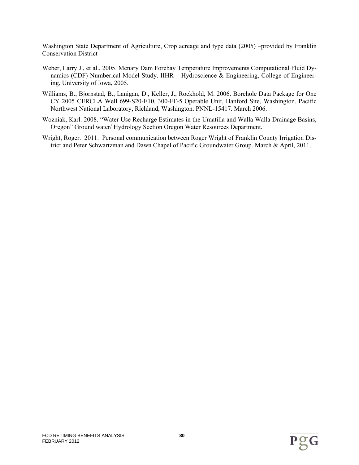Washington State Department of Agriculture, Crop acreage and type data (2005) –provided by Franklin Conservation District

- Weber, Larry J., et al., 2005. Mcnary Dam Forebay Temperature Improvements Computational Fluid Dynamics (CDF) Numberical Model Study. IIHR – Hydroscience  $\&$  Engineering, College of Engineering, University of Iowa, 2005.
- Williams, B., Bjornstad, B., Lanigan, D., Keller, J., Rockhold, M. 2006. Borehole Data Package for One CY 2005 CERCLA Well 699-S20-E10, 300-FF-5 Operable Unit, Hanford Site, Washington. Pacific Northwest National Laboratory, Richland, Washington. PNNL-15417. March 2006.
- Wozniak, Karl. 2008. "Water Use Recharge Estimates in the Umatilla and Walla Walla Drainage Basins, Oregon" Ground water/ Hydrology Section Oregon Water Resources Department.
- Wright, Roger. 2011. Personal communication between Roger Wright of Franklin County Irrigation District and Peter Schwartzman and Dawn Chapel of Pacific Groundwater Group. March & April, 2011.